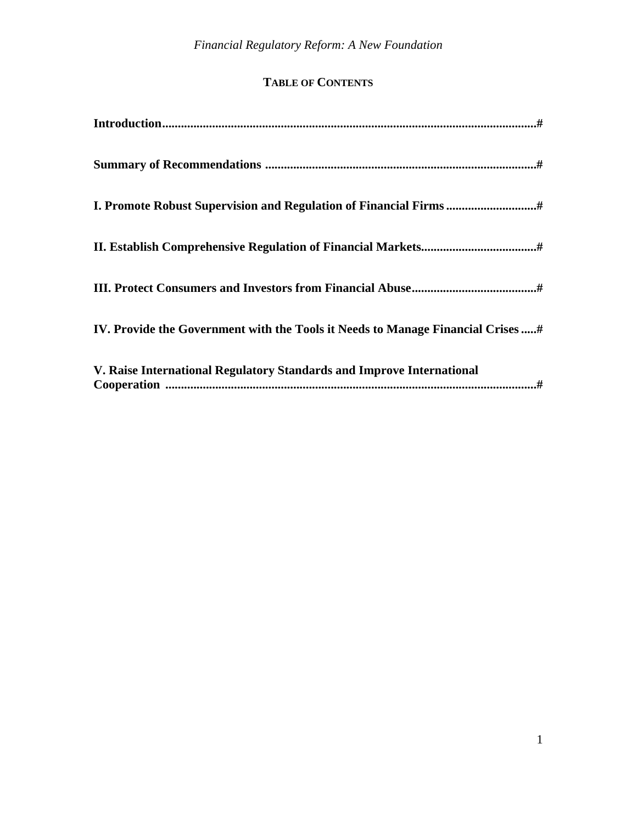# **TABLE OF CONTENTS**

| $\label{prop:non-1} \textbf{Introduction}\\$                                   |
|--------------------------------------------------------------------------------|
|                                                                                |
|                                                                                |
|                                                                                |
|                                                                                |
| IV. Provide the Government with the Tools it Needs to Manage Financial Crises# |
| V. Raise International Regulatory Standards and Improve International          |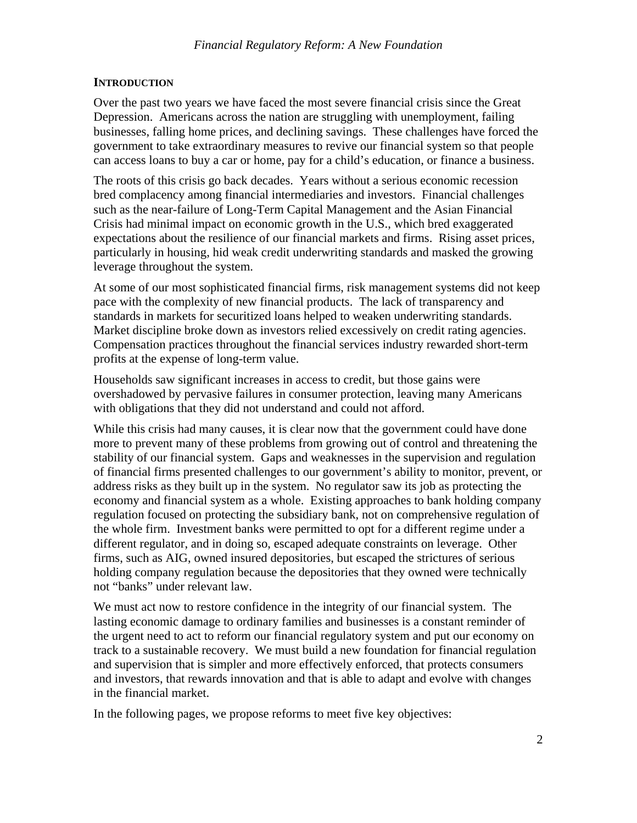#### **INTRODUCTION**

Over the past two years we have faced the most severe financial crisis since the Great Depression. Americans across the nation are struggling with unemployment, failing businesses, falling home prices, and declining savings. These challenges have forced the government to take extraordinary measures to revive our financial system so that people can access loans to buy a car or home, pay for a child's education, or finance a business.

The roots of this crisis go back decades. Years without a serious economic recession bred complacency among financial intermediaries and investors. Financial challenges such as the near-failure of Long-Term Capital Management and the Asian Financial Crisis had minimal impact on economic growth in the U.S., which bred exaggerated expectations about the resilience of our financial markets and firms. Rising asset prices, particularly in housing, hid weak credit underwriting standards and masked the growing leverage throughout the system.

At some of our most sophisticated financial firms, risk management systems did not keep pace with the complexity of new financial products. The lack of transparency and standards in markets for securitized loans helped to weaken underwriting standards. Market discipline broke down as investors relied excessively on credit rating agencies. Compensation practices throughout the financial services industry rewarded short-term profits at the expense of long-term value.

Households saw significant increases in access to credit, but those gains were overshadowed by pervasive failures in consumer protection, leaving many Americans with obligations that they did not understand and could not afford.

While this crisis had many causes, it is clear now that the government could have done more to prevent many of these problems from growing out of control and threatening the stability of our financial system. Gaps and weaknesses in the supervision and regulation of financial firms presented challenges to our government's ability to monitor, prevent, or address risks as they built up in the system. No regulator saw its job as protecting the economy and financial system as a whole. Existing approaches to bank holding company regulation focused on protecting the subsidiary bank, not on comprehensive regulation of the whole firm. Investment banks were permitted to opt for a different regime under a different regulator, and in doing so, escaped adequate constraints on leverage. Other firms, such as AIG, owned insured depositories, but escaped the strictures of serious holding company regulation because the depositories that they owned were technically not "banks" under relevant law.

We must act now to restore confidence in the integrity of our financial system. The lasting economic damage to ordinary families and businesses is a constant reminder of the urgent need to act to reform our financial regulatory system and put our economy on track to a sustainable recovery. We must build a new foundation for financial regulation and supervision that is simpler and more effectively enforced, that protects consumers and investors, that rewards innovation and that is able to adapt and evolve with changes in the financial market.

In the following pages, we propose reforms to meet five key objectives: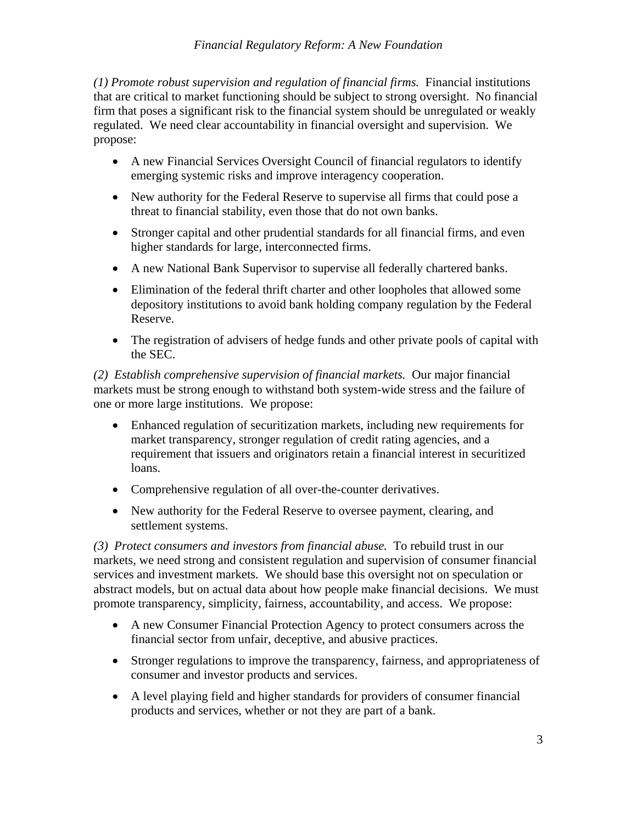# *Financial Regulatory Reform: A New Foundation*

*(1) Promote robust supervision and regulation of financial firms.* Financial institutions that are critical to market functioning should be subject to strong oversight. No financial firm that poses a significant risk to the financial system should be unregulated or weakly regulated. We need clear accountability in financial oversight and supervision. We propose:

- A new Financial Services Oversight Council of financial regulators to identify emerging systemic risks and improve interagency cooperation.
- New authority for the Federal Reserve to supervise all firms that could pose a threat to financial stability, even those that do not own banks.
- Stronger capital and other prudential standards for all financial firms, and even higher standards for large, interconnected firms.
- A new National Bank Supervisor to supervise all federally chartered banks.
- Elimination of the federal thrift charter and other loopholes that allowed some depository institutions to avoid bank holding company regulation by the Federal Reserve.
- The registration of advisers of hedge funds and other private pools of capital with the SEC.

*(2) Establish comprehensive supervision of financial markets.* Our major financial markets must be strong enough to withstand both system-wide stress and the failure of one or more large institutions. We propose:

- Enhanced regulation of securitization markets, including new requirements for market transparency, stronger regulation of credit rating agencies, and a requirement that issuers and originators retain a financial interest in securitized loans.
- Comprehensive regulation of all over-the-counter derivatives.
- New authority for the Federal Reserve to oversee payment, clearing, and settlement systems.

*(3) Protect consumers and investors from financial abuse.* To rebuild trust in our markets, we need strong and consistent regulation and supervision of consumer financial services and investment markets. We should base this oversight not on speculation or abstract models, but on actual data about how people make financial decisions. We must promote transparency, simplicity, fairness, accountability, and access. We propose:

- A new Consumer Financial Protection Agency to protect consumers across the financial sector from unfair, deceptive, and abusive practices.
- Stronger regulations to improve the transparency, fairness, and appropriateness of consumer and investor products and services.
- A level playing field and higher standards for providers of consumer financial products and services, whether or not they are part of a bank.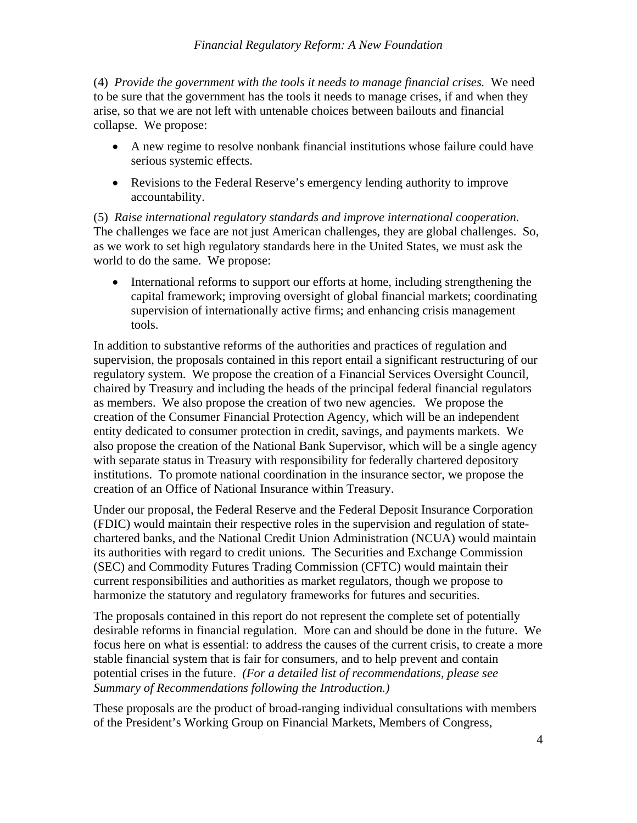### *Financial Regulatory Reform: A New Foundation*

(4) *Provide the government with the tools it needs to manage financial crises.* We need to be sure that the government has the tools it needs to manage crises, if and when they arise, so that we are not left with untenable choices between bailouts and financial collapse. We propose:

- A new regime to resolve nonbank financial institutions whose failure could have serious systemic effects.
- Revisions to the Federal Reserve's emergency lending authority to improve accountability.

(5) *Raise international regulatory standards and improve international cooperation.*  The challenges we face are not just American challenges, they are global challenges. So, as we work to set high regulatory standards here in the United States, we must ask the world to do the same. We propose:

• International reforms to support our efforts at home, including strengthening the capital framework; improving oversight of global financial markets; coordinating supervision of internationally active firms; and enhancing crisis management tools.

In addition to substantive reforms of the authorities and practices of regulation and supervision, the proposals contained in this report entail a significant restructuring of our regulatory system. We propose the creation of a Financial Services Oversight Council, chaired by Treasury and including the heads of the principal federal financial regulators as members. We also propose the creation of two new agencies. We propose the creation of the Consumer Financial Protection Agency, which will be an independent entity dedicated to consumer protection in credit, savings, and payments markets. We also propose the creation of the National Bank Supervisor, which will be a single agency with separate status in Treasury with responsibility for federally chartered depository institutions. To promote national coordination in the insurance sector, we propose the creation of an Office of National Insurance within Treasury.

Under our proposal, the Federal Reserve and the Federal Deposit Insurance Corporation (FDIC) would maintain their respective roles in the supervision and regulation of statechartered banks, and the National Credit Union Administration (NCUA) would maintain its authorities with regard to credit unions. The Securities and Exchange Commission (SEC) and Commodity Futures Trading Commission (CFTC) would maintain their current responsibilities and authorities as market regulators, though we propose to harmonize the statutory and regulatory frameworks for futures and securities.

The proposals contained in this report do not represent the complete set of potentially desirable reforms in financial regulation. More can and should be done in the future. We focus here on what is essential: to address the causes of the current crisis, to create a more stable financial system that is fair for consumers, and to help prevent and contain potential crises in the future. *(For a detailed list of recommendations, please see Summary of Recommendations following the Introduction.)*

These proposals are the product of broad-ranging individual consultations with members of the President's Working Group on Financial Markets, Members of Congress,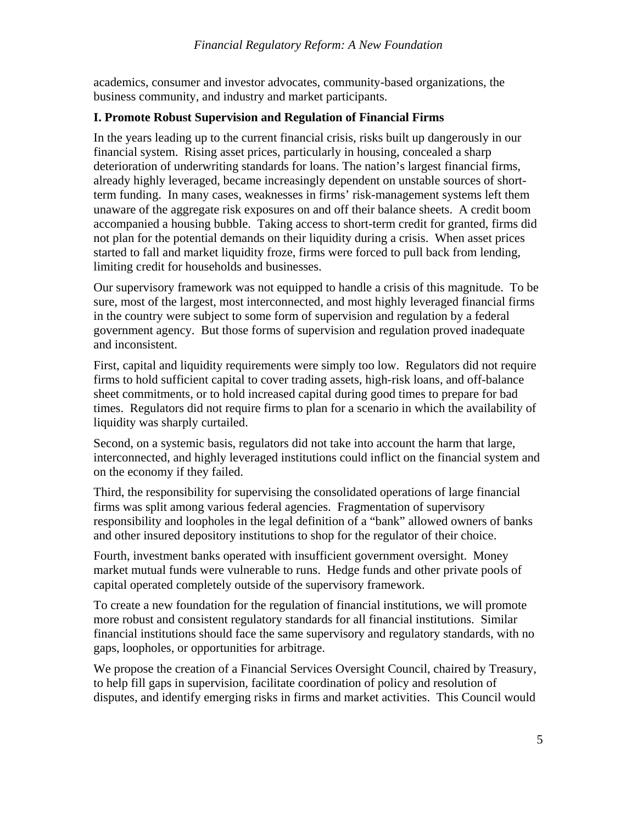academics, consumer and investor advocates, community-based organizations, the business community, and industry and market participants.

## **I. Promote Robust Supervision and Regulation of Financial Firms**

In the years leading up to the current financial crisis, risks built up dangerously in our financial system. Rising asset prices, particularly in housing, concealed a sharp deterioration of underwriting standards for loans. The nation's largest financial firms, already highly leveraged, became increasingly dependent on unstable sources of shortterm funding. In many cases, weaknesses in firms' risk-management systems left them unaware of the aggregate risk exposures on and off their balance sheets. A credit boom accompanied a housing bubble. Taking access to short-term credit for granted, firms did not plan for the potential demands on their liquidity during a crisis. When asset prices started to fall and market liquidity froze, firms were forced to pull back from lending, limiting credit for households and businesses.

Our supervisory framework was not equipped to handle a crisis of this magnitude. To be sure, most of the largest, most interconnected, and most highly leveraged financial firms in the country were subject to some form of supervision and regulation by a federal government agency. But those forms of supervision and regulation proved inadequate and inconsistent.

First, capital and liquidity requirements were simply too low. Regulators did not require firms to hold sufficient capital to cover trading assets, high-risk loans, and off-balance sheet commitments, or to hold increased capital during good times to prepare for bad times. Regulators did not require firms to plan for a scenario in which the availability of liquidity was sharply curtailed.

Second, on a systemic basis, regulators did not take into account the harm that large, interconnected, and highly leveraged institutions could inflict on the financial system and on the economy if they failed.

Third, the responsibility for supervising the consolidated operations of large financial firms was split among various federal agencies. Fragmentation of supervisory responsibility and loopholes in the legal definition of a "bank" allowed owners of banks and other insured depository institutions to shop for the regulator of their choice.

Fourth, investment banks operated with insufficient government oversight. Money market mutual funds were vulnerable to runs. Hedge funds and other private pools of capital operated completely outside of the supervisory framework.

To create a new foundation for the regulation of financial institutions, we will promote more robust and consistent regulatory standards for all financial institutions. Similar financial institutions should face the same supervisory and regulatory standards, with no gaps, loopholes, or opportunities for arbitrage.

We propose the creation of a Financial Services Oversight Council, chaired by Treasury, to help fill gaps in supervision, facilitate coordination of policy and resolution of disputes, and identify emerging risks in firms and market activities. This Council would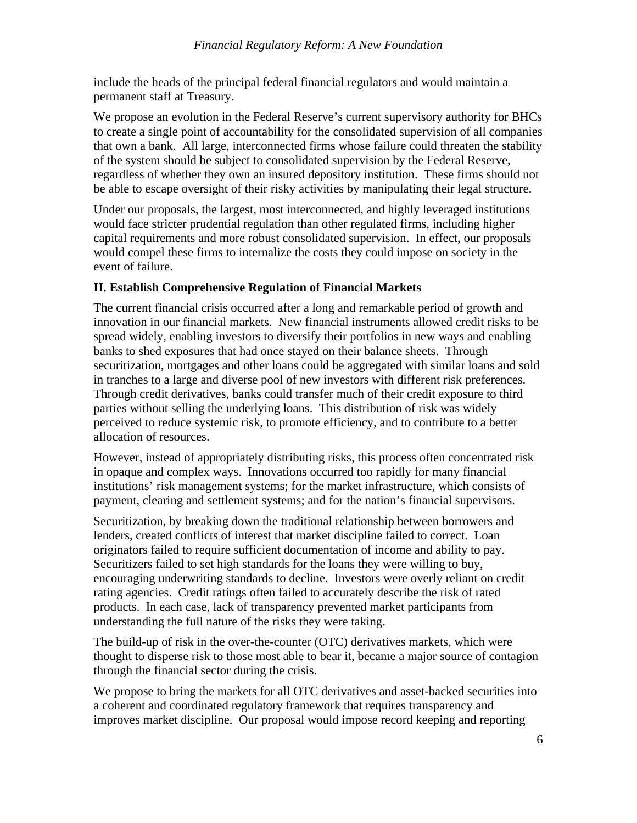include the heads of the principal federal financial regulators and would maintain a permanent staff at Treasury.

We propose an evolution in the Federal Reserve's current supervisory authority for BHCs to create a single point of accountability for the consolidated supervision of all companies that own a bank. All large, interconnected firms whose failure could threaten the stability of the system should be subject to consolidated supervision by the Federal Reserve, regardless of whether they own an insured depository institution. These firms should not be able to escape oversight of their risky activities by manipulating their legal structure.

Under our proposals, the largest, most interconnected, and highly leveraged institutions would face stricter prudential regulation than other regulated firms, including higher capital requirements and more robust consolidated supervision. In effect, our proposals would compel these firms to internalize the costs they could impose on society in the event of failure.

### **II. Establish Comprehensive Regulation of Financial Markets**

The current financial crisis occurred after a long and remarkable period of growth and innovation in our financial markets. New financial instruments allowed credit risks to be spread widely, enabling investors to diversify their portfolios in new ways and enabling banks to shed exposures that had once stayed on their balance sheets. Through securitization, mortgages and other loans could be aggregated with similar loans and sold in tranches to a large and diverse pool of new investors with different risk preferences. Through credit derivatives, banks could transfer much of their credit exposure to third parties without selling the underlying loans. This distribution of risk was widely perceived to reduce systemic risk, to promote efficiency, and to contribute to a better allocation of resources.

However, instead of appropriately distributing risks, this process often concentrated risk in opaque and complex ways. Innovations occurred too rapidly for many financial institutions' risk management systems; for the market infrastructure, which consists of payment, clearing and settlement systems; and for the nation's financial supervisors.

Securitization, by breaking down the traditional relationship between borrowers and lenders, created conflicts of interest that market discipline failed to correct. Loan originators failed to require sufficient documentation of income and ability to pay. Securitizers failed to set high standards for the loans they were willing to buy, encouraging underwriting standards to decline. Investors were overly reliant on credit rating agencies. Credit ratings often failed to accurately describe the risk of rated products. In each case, lack of transparency prevented market participants from understanding the full nature of the risks they were taking.

The build-up of risk in the over-the-counter (OTC) derivatives markets, which were thought to disperse risk to those most able to bear it, became a major source of contagion through the financial sector during the crisis.

We propose to bring the markets for all OTC derivatives and asset-backed securities into a coherent and coordinated regulatory framework that requires transparency and improves market discipline. Our proposal would impose record keeping and reporting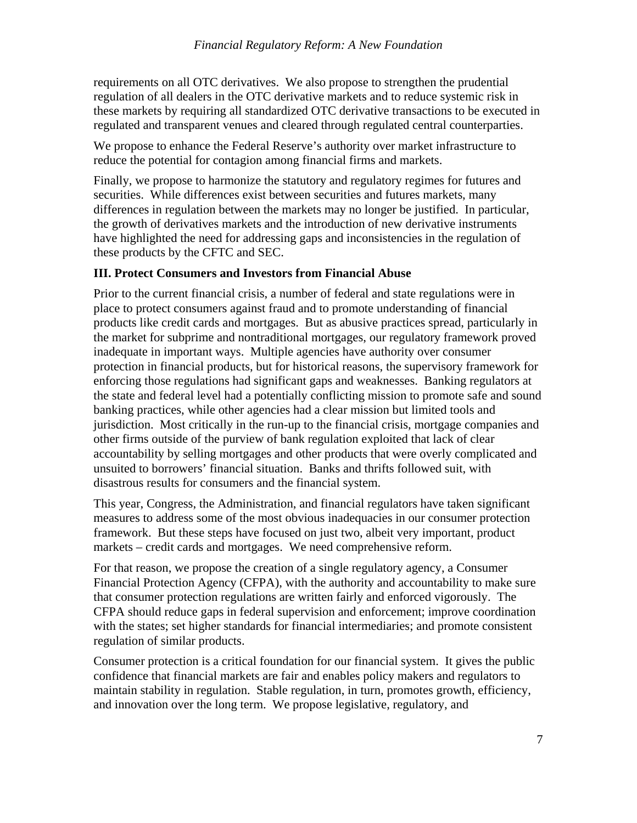requirements on all OTC derivatives. We also propose to strengthen the prudential regulation of all dealers in the OTC derivative markets and to reduce systemic risk in these markets by requiring all standardized OTC derivative transactions to be executed in regulated and transparent venues and cleared through regulated central counterparties.

We propose to enhance the Federal Reserve's authority over market infrastructure to reduce the potential for contagion among financial firms and markets.

Finally, we propose to harmonize the statutory and regulatory regimes for futures and securities. While differences exist between securities and futures markets, many differences in regulation between the markets may no longer be justified. In particular, the growth of derivatives markets and the introduction of new derivative instruments have highlighted the need for addressing gaps and inconsistencies in the regulation of these products by the CFTC and SEC.

### **III. Protect Consumers and Investors from Financial Abuse**

Prior to the current financial crisis, a number of federal and state regulations were in place to protect consumers against fraud and to promote understanding of financial products like credit cards and mortgages. But as abusive practices spread, particularly in the market for subprime and nontraditional mortgages, our regulatory framework proved inadequate in important ways. Multiple agencies have authority over consumer protection in financial products, but for historical reasons, the supervisory framework for enforcing those regulations had significant gaps and weaknesses. Banking regulators at the state and federal level had a potentially conflicting mission to promote safe and sound banking practices, while other agencies had a clear mission but limited tools and jurisdiction. Most critically in the run-up to the financial crisis, mortgage companies and other firms outside of the purview of bank regulation exploited that lack of clear accountability by selling mortgages and other products that were overly complicated and unsuited to borrowers' financial situation. Banks and thrifts followed suit, with disastrous results for consumers and the financial system.

This year, Congress, the Administration, and financial regulators have taken significant measures to address some of the most obvious inadequacies in our consumer protection framework. But these steps have focused on just two, albeit very important, product markets – credit cards and mortgages. We need comprehensive reform.

For that reason, we propose the creation of a single regulatory agency, a Consumer Financial Protection Agency (CFPA), with the authority and accountability to make sure that consumer protection regulations are written fairly and enforced vigorously. The CFPA should reduce gaps in federal supervision and enforcement; improve coordination with the states; set higher standards for financial intermediaries; and promote consistent regulation of similar products.

Consumer protection is a critical foundation for our financial system. It gives the public confidence that financial markets are fair and enables policy makers and regulators to maintain stability in regulation. Stable regulation, in turn, promotes growth, efficiency, and innovation over the long term. We propose legislative, regulatory, and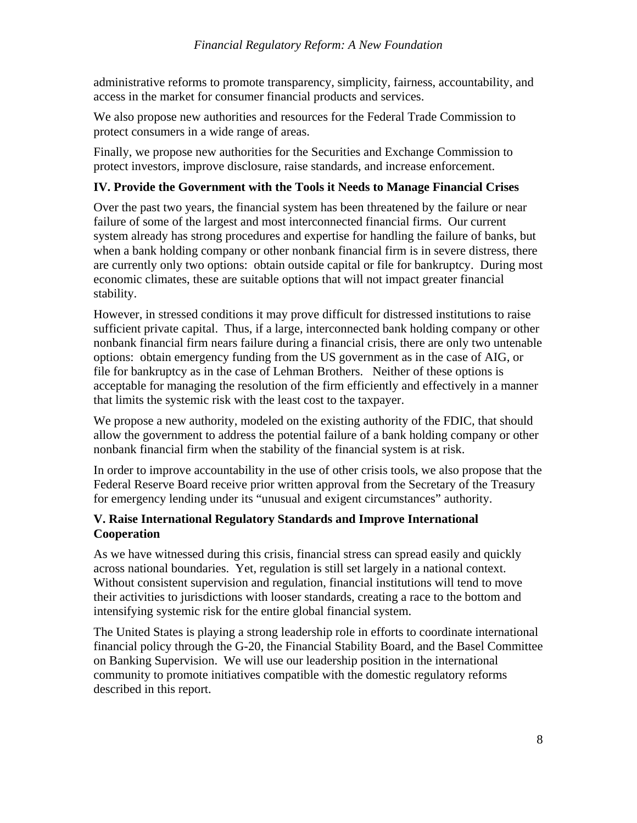administrative reforms to promote transparency, simplicity, fairness, accountability, and access in the market for consumer financial products and services.

We also propose new authorities and resources for the Federal Trade Commission to protect consumers in a wide range of areas.

Finally, we propose new authorities for the Securities and Exchange Commission to protect investors, improve disclosure, raise standards, and increase enforcement.

# **IV. Provide the Government with the Tools it Needs to Manage Financial Crises**

Over the past two years, the financial system has been threatened by the failure or near failure of some of the largest and most interconnected financial firms. Our current system already has strong procedures and expertise for handling the failure of banks, but when a bank holding company or other nonbank financial firm is in severe distress, there are currently only two options: obtain outside capital or file for bankruptcy. During most economic climates, these are suitable options that will not impact greater financial stability.

However, in stressed conditions it may prove difficult for distressed institutions to raise sufficient private capital. Thus, if a large, interconnected bank holding company or other nonbank financial firm nears failure during a financial crisis, there are only two untenable options: obtain emergency funding from the US government as in the case of AIG, or file for bankruptcy as in the case of Lehman Brothers. Neither of these options is acceptable for managing the resolution of the firm efficiently and effectively in a manner that limits the systemic risk with the least cost to the taxpayer.

We propose a new authority, modeled on the existing authority of the FDIC, that should allow the government to address the potential failure of a bank holding company or other nonbank financial firm when the stability of the financial system is at risk.

In order to improve accountability in the use of other crisis tools, we also propose that the Federal Reserve Board receive prior written approval from the Secretary of the Treasury for emergency lending under its "unusual and exigent circumstances" authority.

# **V. Raise International Regulatory Standards and Improve International Cooperation**

As we have witnessed during this crisis, financial stress can spread easily and quickly across national boundaries. Yet, regulation is still set largely in a national context. Without consistent supervision and regulation, financial institutions will tend to move their activities to jurisdictions with looser standards, creating a race to the bottom and intensifying systemic risk for the entire global financial system.

The United States is playing a strong leadership role in efforts to coordinate international financial policy through the G-20, the Financial Stability Board, and the Basel Committee on Banking Supervision. We will use our leadership position in the international community to promote initiatives compatible with the domestic regulatory reforms described in this report.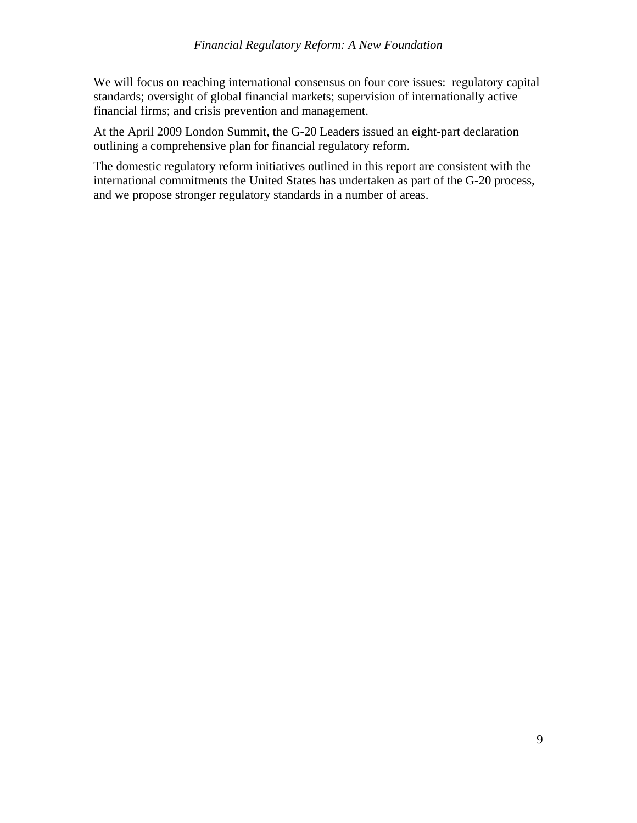We will focus on reaching international consensus on four core issues: regulatory capital standards; oversight of global financial markets; supervision of internationally active financial firms; and crisis prevention and management.

At the April 2009 London Summit, the G-20 Leaders issued an eight-part declaration outlining a comprehensive plan for financial regulatory reform.

The domestic regulatory reform initiatives outlined in this report are consistent with the international commitments the United States has undertaken as part of the G-20 process, and we propose stronger regulatory standards in a number of areas.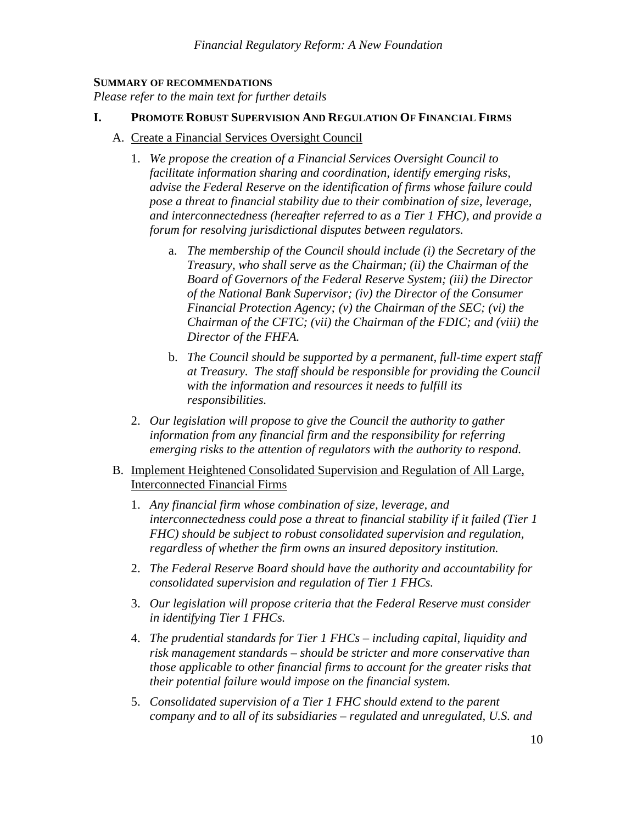#### **SUMMARY OF RECOMMENDATIONS**

*Please refer to the main text for further details* 

#### **I. PROMOTE ROBUST SUPERVISION AND REGULATION OF FINANCIAL FIRMS**

- A. Create a Financial Services Oversight Council
	- 1. *We propose the creation of a Financial Services Oversight Council to facilitate information sharing and coordination, identify emerging risks, advise the Federal Reserve on the identification of firms whose failure could pose a threat to financial stability due to their combination of size, leverage, and interconnectedness (hereafter referred to as a Tier 1 FHC), and provide a forum for resolving jurisdictional disputes between regulators.* 
		- a. *The membership of the Council should include (i) the Secretary of the Treasury, who shall serve as the Chairman; (ii) the Chairman of the Board of Governors of the Federal Reserve System; (iii) the Director of the National Bank Supervisor; (iv) the Director of the Consumer Financial Protection Agency; (v) the Chairman of the SEC; (vi) the Chairman of the CFTC; (vii) the Chairman of the FDIC; and (viii) the Director of the FHFA.*
		- b. *The Council should be supported by a permanent, full-time expert staff at Treasury. The staff should be responsible for providing the Council with the information and resources it needs to fulfill its responsibilities.*
	- 2. *Our legislation will propose to give the Council the authority to gather information from any financial firm and the responsibility for referring emerging risks to the attention of regulators with the authority to respond.*
- B. Implement Heightened Consolidated Supervision and Regulation of All Large, Interconnected Financial Firms
	- 1. *Any financial firm whose combination of size, leverage, and interconnectedness could pose a threat to financial stability if it failed (Tier 1 FHC) should be subject to robust consolidated supervision and regulation, regardless of whether the firm owns an insured depository institution.*
	- 2. *The Federal Reserve Board should have the authority and accountability for consolidated supervision and regulation of Tier 1 FHCs.*
	- 3. *Our legislation will propose criteria that the Federal Reserve must consider in identifying Tier 1 FHCs.*
	- 4. *The prudential standards for Tier 1 FHCs including capital, liquidity and risk management standards – should be stricter and more conservative than those applicable to other financial firms to account for the greater risks that their potential failure would impose on the financial system.*
	- 5. *Consolidated supervision of a Tier 1 FHC should extend to the parent company and to all of its subsidiaries – regulated and unregulated, U.S. and*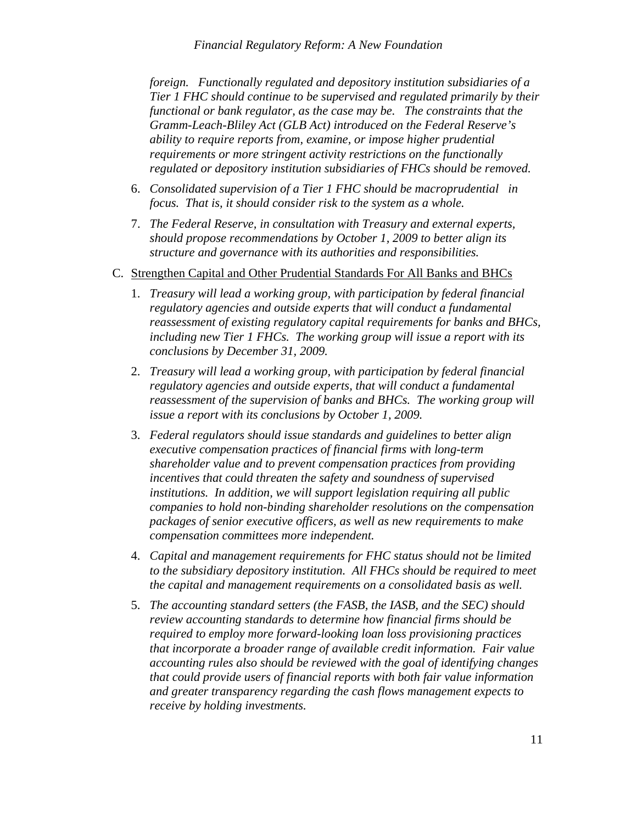*foreign. Functionally regulated and depository institution subsidiaries of a Tier 1 FHC should continue to be supervised and regulated primarily by their functional or bank regulator, as the case may be. The constraints that the Gramm-Leach-Bliley Act (GLB Act) introduced on the Federal Reserve's ability to require reports from, examine, or impose higher prudential requirements or more stringent activity restrictions on the functionally regulated or depository institution subsidiaries of FHCs should be removed.* 

- 6. *Consolidated supervision of a Tier 1 FHC should be macroprudential in focus. That is, it should consider risk to the system as a whole.*
- 7. *The Federal Reserve, in consultation with Treasury and external experts, should propose recommendations by October 1, 2009 to better align its structure and governance with its authorities and responsibilities.*
- C. Strengthen Capital and Other Prudential Standards For All Banks and BHCs
	- 1. *Treasury will lead a working group, with participation by federal financial regulatory agencies and outside experts that will conduct a fundamental reassessment of existing regulatory capital requirements for banks and BHCs, including new Tier 1 FHCs. The working group will issue a report with its conclusions by December 31, 2009.*
	- 2. *Treasury will lead a working group, with participation by federal financial regulatory agencies and outside experts, that will conduct a fundamental reassessment of the supervision of banks and BHCs. The working group will issue a report with its conclusions by October 1, 2009.*
	- 3. *Federal regulators should issue standards and guidelines to better align executive compensation practices of financial firms with long-term shareholder value and to prevent compensation practices from providing incentives that could threaten the safety and soundness of supervised institutions. In addition, we will support legislation requiring all public companies to hold non-binding shareholder resolutions on the compensation packages of senior executive officers, as well as new requirements to make compensation committees more independent.*
	- 4. *Capital and management requirements for FHC status should not be limited to the subsidiary depository institution. All FHCs should be required to meet the capital and management requirements on a consolidated basis as well.*
	- 5. *The accounting standard setters (the FASB, the IASB, and the SEC) should review accounting standards to determine how financial firms should be required to employ more forward-looking loan loss provisioning practices that incorporate a broader range of available credit information. Fair value accounting rules also should be reviewed with the goal of identifying changes that could provide users of financial reports with both fair value information and greater transparency regarding the cash flows management expects to receive by holding investments.*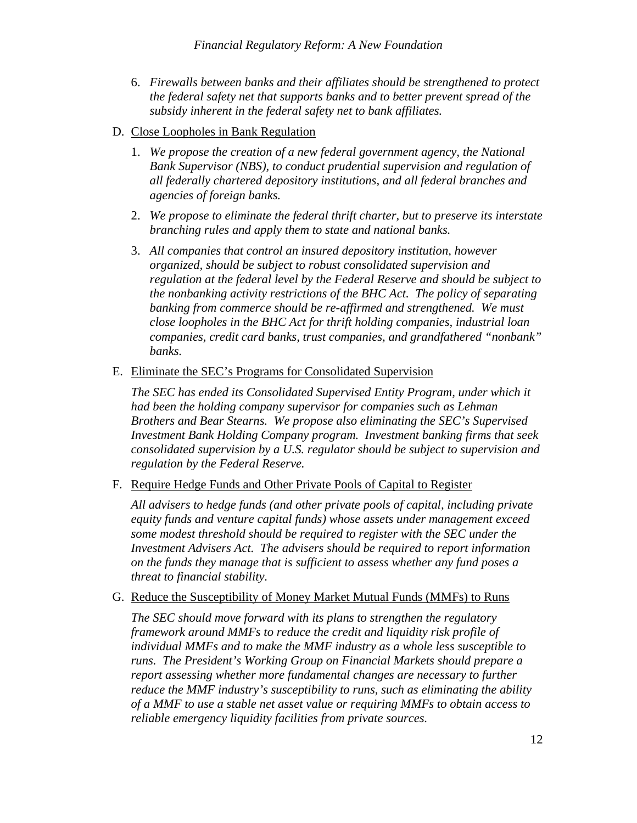- 6. *Firewalls between banks and their affiliates should be strengthened to protect the federal safety net that supports banks and to better prevent spread of the subsidy inherent in the federal safety net to bank affiliates.*
- D. Close Loopholes in Bank Regulation
	- 1. *We propose the creation of a new federal government agency, the National Bank Supervisor (NBS), to conduct prudential supervision and regulation of all federally chartered depository institutions, and all federal branches and agencies of foreign banks.*
	- 2. *We propose to eliminate the federal thrift charter, but to preserve its interstate branching rules and apply them to state and national banks.*
	- 3. *All companies that control an insured depository institution, however organized, should be subject to robust consolidated supervision and regulation at the federal level by the Federal Reserve and should be subject to the nonbanking activity restrictions of the BHC Act. The policy of separating banking from commerce should be re-affirmed and strengthened. We must close loopholes in the BHC Act for thrift holding companies, industrial loan companies, credit card banks, trust companies, and grandfathered "nonbank" banks.*
- E. Eliminate the SEC's Programs for Consolidated Supervision

*The SEC has ended its Consolidated Supervised Entity Program, under which it had been the holding company supervisor for companies such as Lehman Brothers and Bear Stearns. We propose also eliminating the SEC's Supervised Investment Bank Holding Company program. Investment banking firms that seek consolidated supervision by a U.S. regulator should be subject to supervision and regulation by the Federal Reserve.* 

F. Require Hedge Funds and Other Private Pools of Capital to Register

*All advisers to hedge funds (and other private pools of capital, including private equity funds and venture capital funds) whose assets under management exceed some modest threshold should be required to register with the SEC under the Investment Advisers Act. The advisers should be required to report information on the funds they manage that is sufficient to assess whether any fund poses a threat to financial stability.* 

G. Reduce the Susceptibility of Money Market Mutual Funds (MMFs) to Runs

*The SEC should move forward with its plans to strengthen the regulatory framework around MMFs to reduce the credit and liquidity risk profile of individual MMFs and to make the MMF industry as a whole less susceptible to runs. The President's Working Group on Financial Markets should prepare a report assessing whether more fundamental changes are necessary to further reduce the MMF industry's susceptibility to runs, such as eliminating the ability of a MMF to use a stable net asset value or requiring MMFs to obtain access to reliable emergency liquidity facilities from private sources.*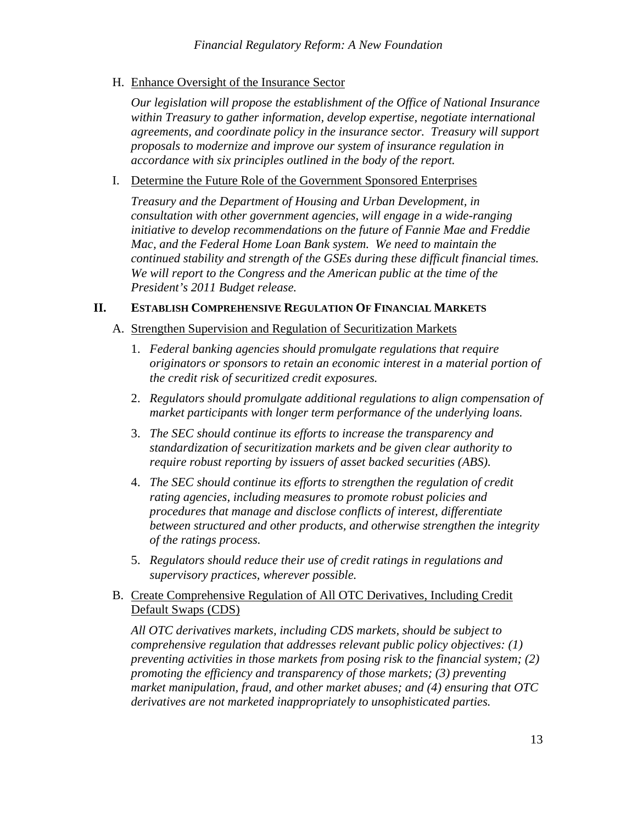H. Enhance Oversight of the Insurance Sector

*Our legislation will propose the establishment of the Office of National Insurance within Treasury to gather information, develop expertise, negotiate international agreements, and coordinate policy in the insurance sector. Treasury will support proposals to modernize and improve our system of insurance regulation in accordance with six principles outlined in the body of the report.*

I. Determine the Future Role of the Government Sponsored Enterprises

*Treasury and the Department of Housing and Urban Development, in consultation with other government agencies, will engage in a wide-ranging initiative to develop recommendations on the future of Fannie Mae and Freddie Mac, and the Federal Home Loan Bank system. We need to maintain the continued stability and strength of the GSEs during these difficult financial times. We will report to the Congress and the American public at the time of the President's 2011 Budget release.* 

### **II. ESTABLISH COMPREHENSIVE REGULATION OF FINANCIAL MARKETS**

### A. Strengthen Supervision and Regulation of Securitization Markets

- 1. *Federal banking agencies should promulgate regulations that require originators or sponsors to retain an economic interest in a material portion of the credit risk of securitized credit exposures.*
- 2. *Regulators should promulgate additional regulations to align compensation of market participants with longer term performance of the underlying loans.*
- 3. *The SEC should continue its efforts to increase the transparency and standardization of securitization markets and be given clear authority to require robust reporting by issuers of asset backed securities (ABS).*
- 4. *The SEC should continue its efforts to strengthen the regulation of credit rating agencies, including measures to promote robust policies and procedures that manage and disclose conflicts of interest, differentiate between structured and other products, and otherwise strengthen the integrity of the ratings process.*
- 5. *Regulators should reduce their use of credit ratings in regulations and supervisory practices, wherever possible.*

# B. Create Comprehensive Regulation of All OTC Derivatives, Including Credit Default Swaps (CDS)

*All OTC derivatives markets, including CDS markets, should be subject to comprehensive regulation that addresses relevant public policy objectives: (1) preventing activities in those markets from posing risk to the financial system; (2) promoting the efficiency and transparency of those markets; (3) preventing market manipulation, fraud, and other market abuses; and (4) ensuring that OTC derivatives are not marketed inappropriately to unsophisticated parties.*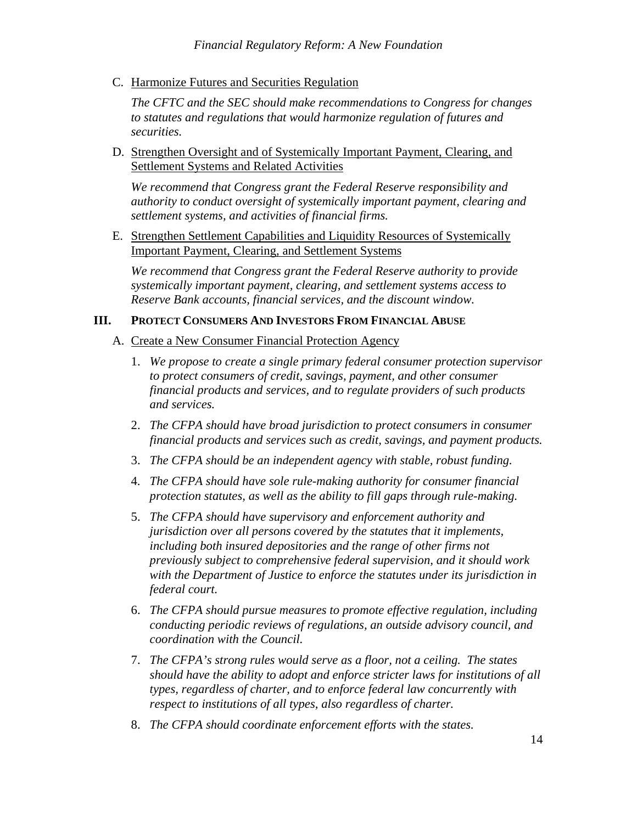C. Harmonize Futures and Securities Regulation

*The CFTC and the SEC should make recommendations to Congress for changes to statutes and regulations that would harmonize regulation of futures and securities.* 

D. Strengthen Oversight and of Systemically Important Payment, Clearing, and Settlement Systems and Related Activities

*We recommend that Congress grant the Federal Reserve responsibility and authority to conduct oversight of systemically important payment, clearing and settlement systems, and activities of financial firms.* 

E. Strengthen Settlement Capabilities and Liquidity Resources of Systemically Important Payment, Clearing, and Settlement Systems

*We recommend that Congress grant the Federal Reserve authority to provide systemically important payment, clearing, and settlement systems access to Reserve Bank accounts, financial services, and the discount window.* 

### **III. PROTECT CONSUMERS AND INVESTORS FROM FINANCIAL ABUSE**

- A. Create a New Consumer Financial Protection Agency
	- 1. *We propose to create a single primary federal consumer protection supervisor to protect consumers of credit, savings, payment, and other consumer financial products and services, and to regulate providers of such products and services.*
	- 2. *The CFPA should have broad jurisdiction to protect consumers in consumer financial products and services such as credit, savings, and payment products.*
	- 3. *The CFPA should be an independent agency with stable, robust funding.*
	- 4. *The CFPA should have sole rule-making authority for consumer financial protection statutes, as well as the ability to fill gaps through rule-making.*
	- 5. *The CFPA should have supervisory and enforcement authority and jurisdiction over all persons covered by the statutes that it implements, including both insured depositories and the range of other firms not previously subject to comprehensive federal supervision, and it should work with the Department of Justice to enforce the statutes under its jurisdiction in federal court.*
	- 6. *The CFPA should pursue measures to promote effective regulation, including conducting periodic reviews of regulations, an outside advisory council, and coordination with the Council.*
	- 7. *The CFPA's strong rules would serve as a floor, not a ceiling. The states should have the ability to adopt and enforce stricter laws for institutions of all types, regardless of charter, and to enforce federal law concurrently with respect to institutions of all types, also regardless of charter.*
	- 8. *The CFPA should coordinate enforcement efforts with the states.*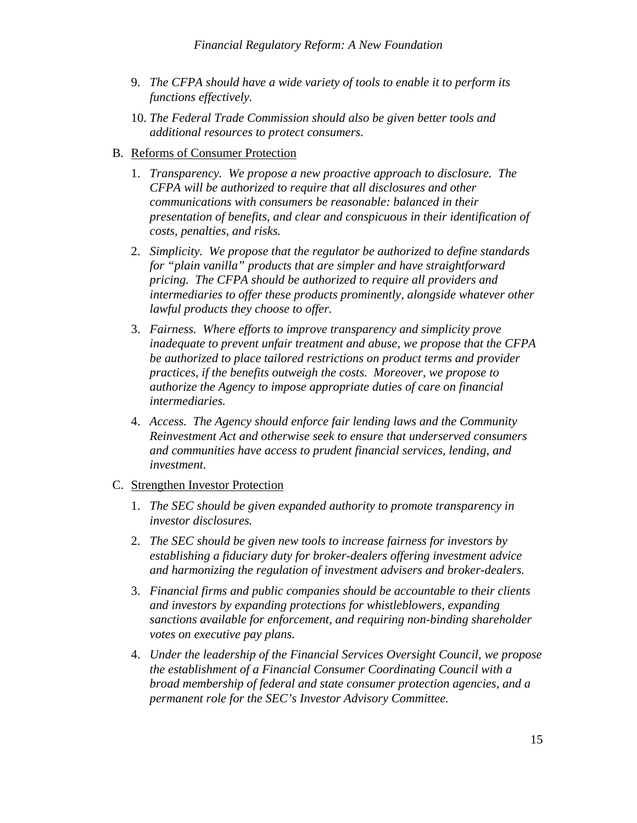- 9. *The CFPA should have a wide variety of tools to enable it to perform its functions effectively.*
- 10. *The Federal Trade Commission should also be given better tools and additional resources to protect consumers.*
- B. Reforms of Consumer Protection
	- 1. *Transparency. We propose a new proactive approach to disclosure. The CFPA will be authorized to require that all disclosures and other communications with consumers be reasonable: balanced in their presentation of benefits, and clear and conspicuous in their identification of costs, penalties, and risks.*
	- 2. *Simplicity. We propose that the regulator be authorized to define standards for "plain vanilla" products that are simpler and have straightforward pricing. The CFPA should be authorized to require all providers and intermediaries to offer these products prominently, alongside whatever other lawful products they choose to offer.*
	- 3. *Fairness. Where efforts to improve transparency and simplicity prove inadequate to prevent unfair treatment and abuse, we propose that the CFPA be authorized to place tailored restrictions on product terms and provider practices, if the benefits outweigh the costs. Moreover, we propose to authorize the Agency to impose appropriate duties of care on financial intermediaries.*
	- 4. *Access. The Agency should enforce fair lending laws and the Community Reinvestment Act and otherwise seek to ensure that underserved consumers and communities have access to prudent financial services, lending, and investment.*
- C. Strengthen Investor Protection
	- 1. *The SEC should be given expanded authority to promote transparency in investor disclosures.*
	- 2. *The SEC should be given new tools to increase fairness for investors by establishing a fiduciary duty for broker-dealers offering investment advice and harmonizing the regulation of investment advisers and broker-dealers.*
	- 3. *Financial firms and public companies should be accountable to their clients and investors by expanding protections for whistleblowers, expanding sanctions available for enforcement, and requiring non-binding shareholder votes on executive pay plans.*
	- 4. *Under the leadership of the Financial Services Oversight Council, we propose the establishment of a Financial Consumer Coordinating Council with a broad membership of federal and state consumer protection agencies, and a permanent role for the SEC's Investor Advisory Committee.*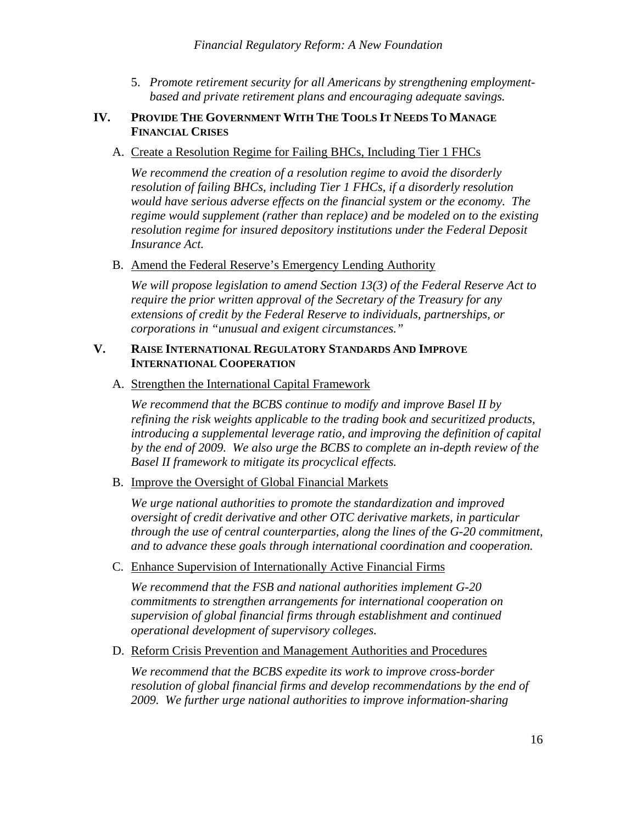5. *Promote retirement security for all Americans by strengthening employmentbased and private retirement plans and encouraging adequate savings.*

### **IV. PROVIDE THE GOVERNMENT WITH THE TOOLS IT NEEDS TO MANAGE FINANCIAL CRISES**

#### A. Create a Resolution Regime for Failing BHCs, Including Tier 1 FHCs

*We recommend the creation of a resolution regime to avoid the disorderly resolution of failing BHCs, including Tier 1 FHCs, if a disorderly resolution would have serious adverse effects on the financial system or the economy. The regime would supplement (rather than replace) and be modeled on to the existing resolution regime for insured depository institutions under the Federal Deposit Insurance Act.* 

B. Amend the Federal Reserve's Emergency Lending Authority

*We will propose legislation to amend Section 13(3) of the Federal Reserve Act to require the prior written approval of the Secretary of the Treasury for any extensions of credit by the Federal Reserve to individuals, partnerships, or corporations in "unusual and exigent circumstances."* 

#### **V. RAISE INTERNATIONAL REGULATORY STANDARDS AND IMPROVE INTERNATIONAL COOPERATION**

A. Strengthen the International Capital Framework

*We recommend that the BCBS continue to modify and improve Basel II by refining the risk weights applicable to the trading book and securitized products, introducing a supplemental leverage ratio, and improving the definition of capital by the end of 2009. We also urge the BCBS to complete an in-depth review of the Basel II framework to mitigate its procyclical effects.* 

#### B. Improve the Oversight of Global Financial Markets

*We urge national authorities to promote the standardization and improved oversight of credit derivative and other OTC derivative markets, in particular through the use of central counterparties, along the lines of the G-20 commitment, and to advance these goals through international coordination and cooperation.* 

#### C. Enhance Supervision of Internationally Active Financial Firms

*We recommend that the FSB and national authorities implement G-20 commitments to strengthen arrangements for international cooperation on supervision of global financial firms through establishment and continued operational development of supervisory colleges.* 

#### D. Reform Crisis Prevention and Management Authorities and Procedures

*We recommend that the BCBS expedite its work to improve cross-border*  resolution of global financial firms and develop recommendations by the end of *2009. We further urge national authorities to improve information-sharing*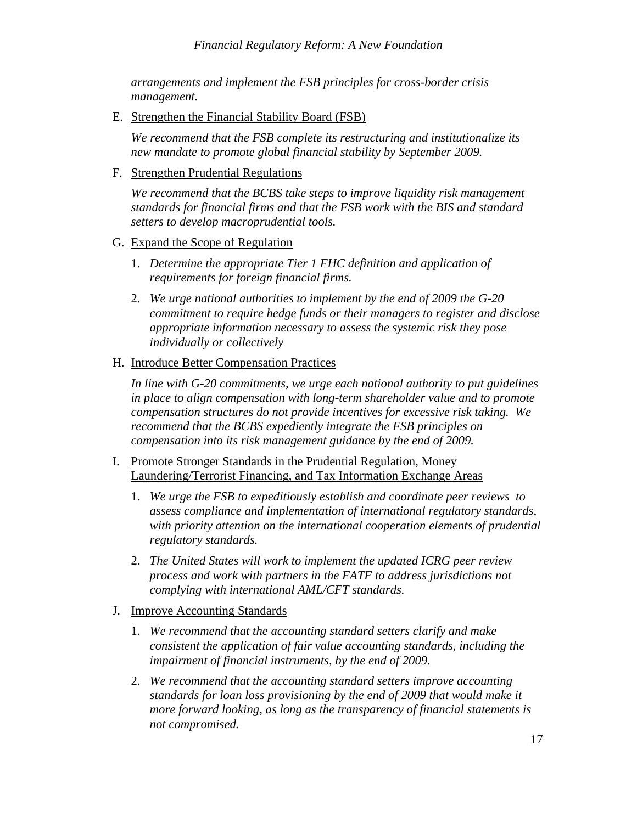*arrangements and implement the FSB principles for cross-border crisis management.* 

E. Strengthen the Financial Stability Board (FSB)

*We recommend that the FSB complete its restructuring and institutionalize its new mandate to promote global financial stability by September 2009.* 

F. Strengthen Prudential Regulations

*We recommend that the BCBS take steps to improve liquidity risk management standards for financial firms and that the FSB work with the BIS and standard setters to develop macroprudential tools.* 

- G. Expand the Scope of Regulation
	- 1. *Determine the appropriate Tier 1 FHC definition and application of requirements for foreign financial firms.*
	- 2. *We urge national authorities to implement by the end of 2009 the G-20 commitment to require hedge funds or their managers to register and disclose appropriate information necessary to assess the systemic risk they pose individually or collectively*
- H. Introduce Better Compensation Practices

*In line with G-20 commitments, we urge each national authority to put guidelines in place to align compensation with long-term shareholder value and to promote compensation structures do not provide incentives for excessive risk taking. We recommend that the BCBS expediently integrate the FSB principles on compensation into its risk management guidance by the end of 2009.* 

- I. Promote Stronger Standards in the Prudential Regulation, Money Laundering/Terrorist Financing, and Tax Information Exchange Areas
	- 1. *We urge the FSB to expeditiously establish and coordinate peer reviews to assess compliance and implementation of international regulatory standards, with priority attention on the international cooperation elements of prudential regulatory standards.*
	- 2. *The United States will work to implement the updated ICRG peer review process and work with partners in the FATF to address jurisdictions not complying with international AML/CFT standards.*
- J. Improve Accounting Standards
	- 1. *We recommend that the accounting standard setters clarify and make consistent the application of fair value accounting standards, including the impairment of financial instruments, by the end of 2009.*
	- 2. *We recommend that the accounting standard setters improve accounting standards for loan loss provisioning by the end of 2009 that would make it more forward looking, as long as the transparency of financial statements is not compromised.*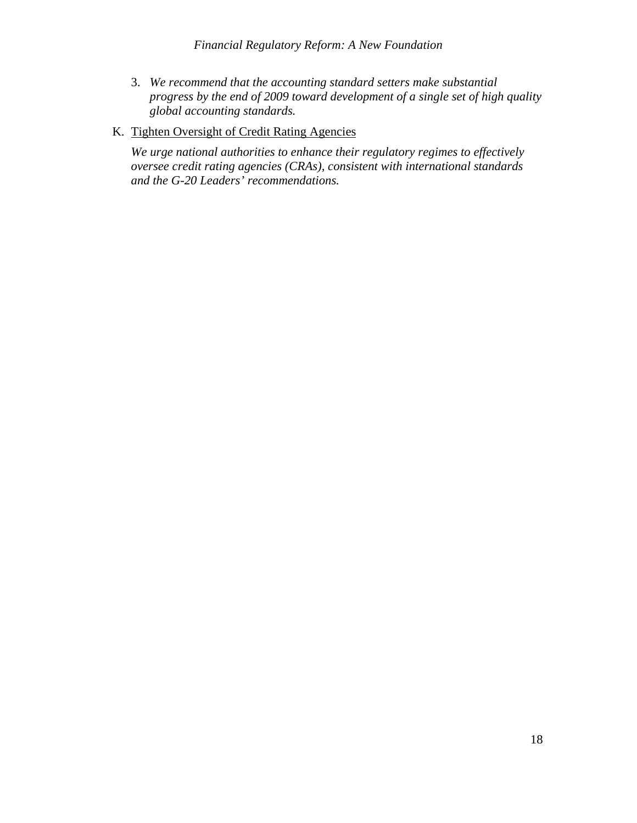3. *We recommend that the accounting standard setters make substantial progress by the end of 2009 toward development of a single set of high quality global accounting standards.* 

# K. Tighten Oversight of Credit Rating Agencies

*We urge national authorities to enhance their regulatory regimes to effectively oversee credit rating agencies (CRAs), consistent with international standards and the G-20 Leaders' recommendations.*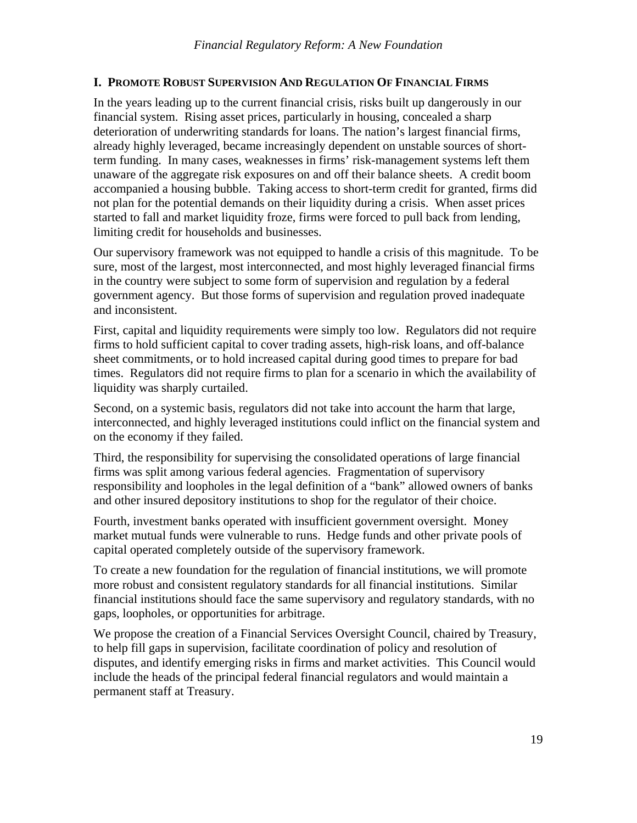### **I. PROMOTE ROBUST SUPERVISION AND REGULATION OF FINANCIAL FIRMS**

In the years leading up to the current financial crisis, risks built up dangerously in our financial system. Rising asset prices, particularly in housing, concealed a sharp deterioration of underwriting standards for loans. The nation's largest financial firms, already highly leveraged, became increasingly dependent on unstable sources of shortterm funding. In many cases, weaknesses in firms' risk-management systems left them unaware of the aggregate risk exposures on and off their balance sheets. A credit boom accompanied a housing bubble. Taking access to short-term credit for granted, firms did not plan for the potential demands on their liquidity during a crisis. When asset prices started to fall and market liquidity froze, firms were forced to pull back from lending, limiting credit for households and businesses.

Our supervisory framework was not equipped to handle a crisis of this magnitude. To be sure, most of the largest, most interconnected, and most highly leveraged financial firms in the country were subject to some form of supervision and regulation by a federal government agency. But those forms of supervision and regulation proved inadequate and inconsistent.

First, capital and liquidity requirements were simply too low. Regulators did not require firms to hold sufficient capital to cover trading assets, high-risk loans, and off-balance sheet commitments, or to hold increased capital during good times to prepare for bad times. Regulators did not require firms to plan for a scenario in which the availability of liquidity was sharply curtailed.

Second, on a systemic basis, regulators did not take into account the harm that large, interconnected, and highly leveraged institutions could inflict on the financial system and on the economy if they failed.

Third, the responsibility for supervising the consolidated operations of large financial firms was split among various federal agencies. Fragmentation of supervisory responsibility and loopholes in the legal definition of a "bank" allowed owners of banks and other insured depository institutions to shop for the regulator of their choice.

Fourth, investment banks operated with insufficient government oversight. Money market mutual funds were vulnerable to runs. Hedge funds and other private pools of capital operated completely outside of the supervisory framework.

To create a new foundation for the regulation of financial institutions, we will promote more robust and consistent regulatory standards for all financial institutions. Similar financial institutions should face the same supervisory and regulatory standards, with no gaps, loopholes, or opportunities for arbitrage.

We propose the creation of a Financial Services Oversight Council, chaired by Treasury, to help fill gaps in supervision, facilitate coordination of policy and resolution of disputes, and identify emerging risks in firms and market activities. This Council would include the heads of the principal federal financial regulators and would maintain a permanent staff at Treasury.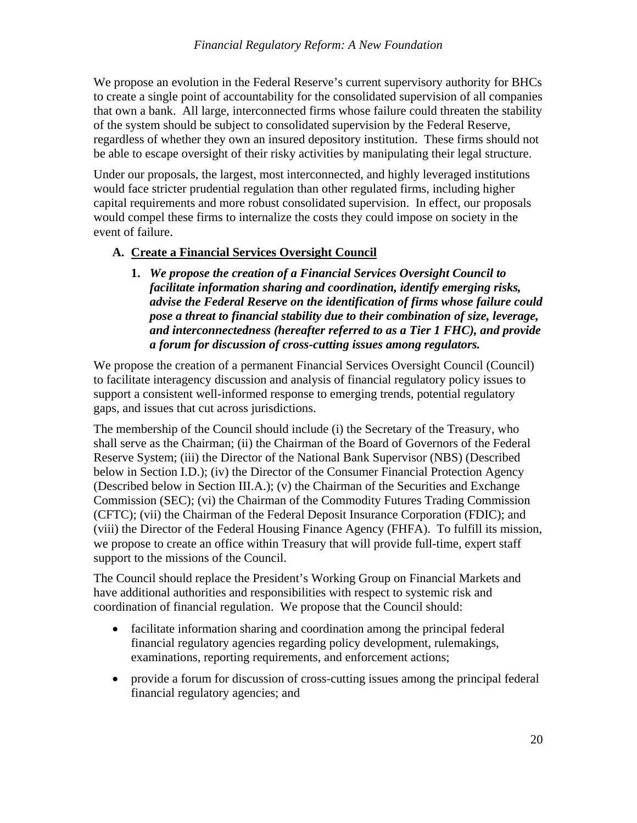We propose an evolution in the Federal Reserve's current supervisory authority for BHCs to create a single point of accountability for the consolidated supervision of all companies that own a bank. All large, interconnected firms whose failure could threaten the stability of the system should be subject to consolidated supervision by the Federal Reserve, regardless of whether they own an insured depository institution. These firms should not be able to escape oversight of their risky activities by manipulating their legal structure.

Under our proposals, the largest, most interconnected, and highly leveraged institutions would face stricter prudential regulation than other regulated firms, including higher capital requirements and more robust consolidated supervision. In effect, our proposals would compel these firms to internalize the costs they could impose on society in the event of failure.

# **A. Create a Financial Services Oversight Council**

**1.** *We propose the creation of a Financial Services Oversight Council to facilitate information sharing and coordination, identify emerging risks, advise the Federal Reserve on the identification of firms whose failure could pose a threat to financial stability due to their combination of size, leverage, and interconnectedness (hereafter referred to as a Tier 1 FHC), and provide a forum for discussion of cross-cutting issues among regulators.* 

We propose the creation of a permanent Financial Services Oversight Council (Council) to facilitate interagency discussion and analysis of financial regulatory policy issues to support a consistent well-informed response to emerging trends, potential regulatory gaps, and issues that cut across jurisdictions.

The membership of the Council should include (i) the Secretary of the Treasury, who shall serve as the Chairman; (ii) the Chairman of the Board of Governors of the Federal Reserve System; (iii) the Director of the National Bank Supervisor (NBS) (Described below in Section I.D.); (iv) the Director of the Consumer Financial Protection Agency (Described below in Section III.A.); (v) the Chairman of the Securities and Exchange Commission (SEC); (vi) the Chairman of the Commodity Futures Trading Commission (CFTC); (vii) the Chairman of the Federal Deposit Insurance Corporation (FDIC); and (viii) the Director of the Federal Housing Finance Agency (FHFA). To fulfill its mission, we propose to create an office within Treasury that will provide full-time, expert staff support to the missions of the Council.

The Council should replace the President's Working Group on Financial Markets and have additional authorities and responsibilities with respect to systemic risk and coordination of financial regulation. We propose that the Council should:

- facilitate information sharing and coordination among the principal federal financial regulatory agencies regarding policy development, rulemakings, examinations, reporting requirements, and enforcement actions;
- provide a forum for discussion of cross-cutting issues among the principal federal financial regulatory agencies; and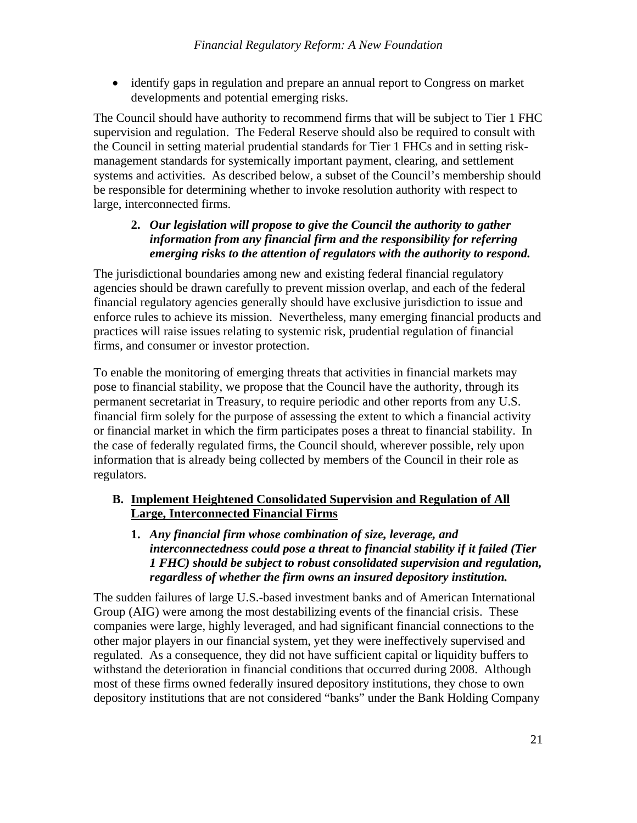• identify gaps in regulation and prepare an annual report to Congress on market developments and potential emerging risks.

The Council should have authority to recommend firms that will be subject to Tier 1 FHC supervision and regulation. The Federal Reserve should also be required to consult with the Council in setting material prudential standards for Tier 1 FHCs and in setting riskmanagement standards for systemically important payment, clearing, and settlement systems and activities. As described below, a subset of the Council's membership should be responsible for determining whether to invoke resolution authority with respect to large, interconnected firms.

### **2.** *Our legislation will propose to give the Council the authority to gather information from any financial firm and the responsibility for referring emerging risks to the attention of regulators with the authority to respond.*

The jurisdictional boundaries among new and existing federal financial regulatory agencies should be drawn carefully to prevent mission overlap, and each of the federal financial regulatory agencies generally should have exclusive jurisdiction to issue and enforce rules to achieve its mission. Nevertheless, many emerging financial products and practices will raise issues relating to systemic risk, prudential regulation of financial firms, and consumer or investor protection.

To enable the monitoring of emerging threats that activities in financial markets may pose to financial stability, we propose that the Council have the authority, through its permanent secretariat in Treasury, to require periodic and other reports from any U.S. financial firm solely for the purpose of assessing the extent to which a financial activity or financial market in which the firm participates poses a threat to financial stability. In the case of federally regulated firms, the Council should, wherever possible, rely upon information that is already being collected by members of the Council in their role as regulators.

# **B. Implement Heightened Consolidated Supervision and Regulation of All Large, Interconnected Financial Firms**

**1.** *Any financial firm whose combination of size, leverage, and interconnectedness could pose a threat to financial stability if it failed (Tier 1 FHC) should be subject to robust consolidated supervision and regulation, regardless of whether the firm owns an insured depository institution.* 

The sudden failures of large U.S.-based investment banks and of American International Group (AIG) were among the most destabilizing events of the financial crisis. These companies were large, highly leveraged, and had significant financial connections to the other major players in our financial system, yet they were ineffectively supervised and regulated. As a consequence, they did not have sufficient capital or liquidity buffers to withstand the deterioration in financial conditions that occurred during 2008. Although most of these firms owned federally insured depository institutions, they chose to own depository institutions that are not considered "banks" under the Bank Holding Company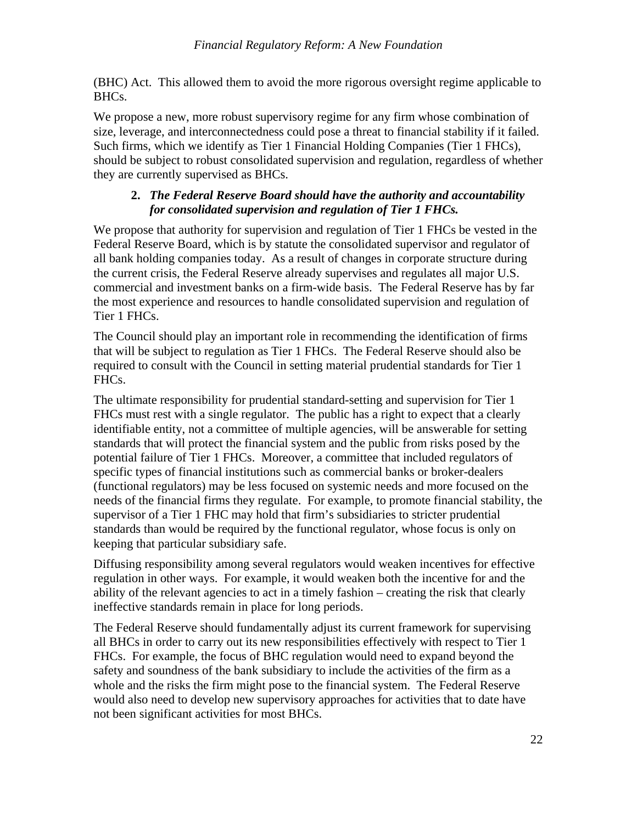(BHC) Act. This allowed them to avoid the more rigorous oversight regime applicable to BHCs.

We propose a new, more robust supervisory regime for any firm whose combination of size, leverage, and interconnectedness could pose a threat to financial stability if it failed. Such firms, which we identify as Tier 1 Financial Holding Companies (Tier 1 FHCs), should be subject to robust consolidated supervision and regulation, regardless of whether they are currently supervised as BHCs.

# **2.** *The Federal Reserve Board should have the authority and accountability for consolidated supervision and regulation of Tier 1 FHCs.*

We propose that authority for supervision and regulation of Tier 1 FHCs be vested in the Federal Reserve Board, which is by statute the consolidated supervisor and regulator of all bank holding companies today. As a result of changes in corporate structure during the current crisis, the Federal Reserve already supervises and regulates all major U.S. commercial and investment banks on a firm-wide basis. The Federal Reserve has by far the most experience and resources to handle consolidated supervision and regulation of Tier 1 FHCs.

The Council should play an important role in recommending the identification of firms that will be subject to regulation as Tier 1 FHCs. The Federal Reserve should also be required to consult with the Council in setting material prudential standards for Tier 1 FHC<sub>s</sub>.

The ultimate responsibility for prudential standard-setting and supervision for Tier 1 FHCs must rest with a single regulator. The public has a right to expect that a clearly identifiable entity, not a committee of multiple agencies, will be answerable for setting standards that will protect the financial system and the public from risks posed by the potential failure of Tier 1 FHCs. Moreover, a committee that included regulators of specific types of financial institutions such as commercial banks or broker-dealers (functional regulators) may be less focused on systemic needs and more focused on the needs of the financial firms they regulate. For example, to promote financial stability, the supervisor of a Tier 1 FHC may hold that firm's subsidiaries to stricter prudential standards than would be required by the functional regulator, whose focus is only on keeping that particular subsidiary safe.

Diffusing responsibility among several regulators would weaken incentives for effective regulation in other ways. For example, it would weaken both the incentive for and the ability of the relevant agencies to act in a timely fashion – creating the risk that clearly ineffective standards remain in place for long periods.

The Federal Reserve should fundamentally adjust its current framework for supervising all BHCs in order to carry out its new responsibilities effectively with respect to Tier 1 FHCs. For example, the focus of BHC regulation would need to expand beyond the safety and soundness of the bank subsidiary to include the activities of the firm as a whole and the risks the firm might pose to the financial system. The Federal Reserve would also need to develop new supervisory approaches for activities that to date have not been significant activities for most BHCs.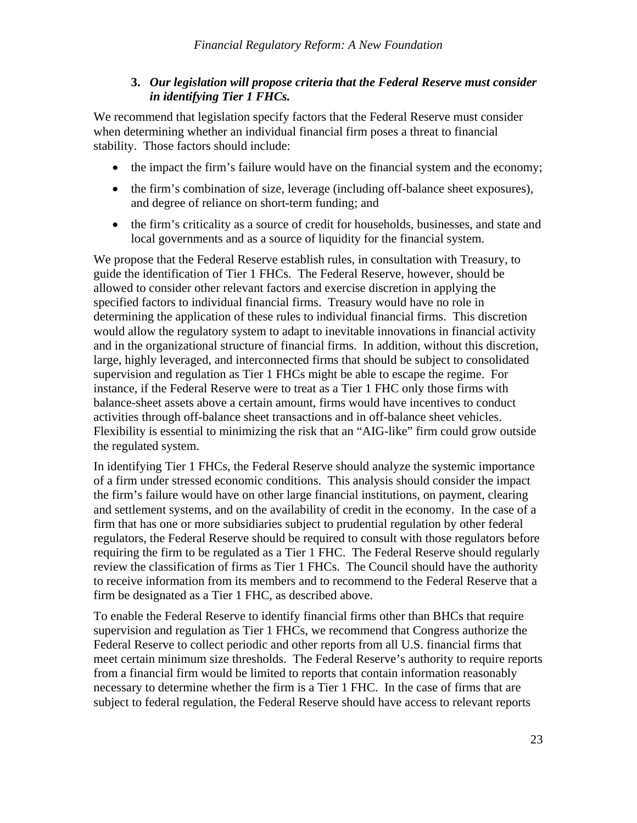### **3.** *Our legislation will propose criteria that the Federal Reserve must consider in identifying Tier 1 FHCs.*

We recommend that legislation specify factors that the Federal Reserve must consider when determining whether an individual financial firm poses a threat to financial stability. Those factors should include:

- the impact the firm's failure would have on the financial system and the economy;
- the firm's combination of size, leverage (including off-balance sheet exposures), and degree of reliance on short-term funding; and
- the firm's criticality as a source of credit for households, businesses, and state and local governments and as a source of liquidity for the financial system.

We propose that the Federal Reserve establish rules, in consultation with Treasury, to guide the identification of Tier 1 FHCs. The Federal Reserve, however, should be allowed to consider other relevant factors and exercise discretion in applying the specified factors to individual financial firms. Treasury would have no role in determining the application of these rules to individual financial firms. This discretion would allow the regulatory system to adapt to inevitable innovations in financial activity and in the organizational structure of financial firms. In addition, without this discretion, large, highly leveraged, and interconnected firms that should be subject to consolidated supervision and regulation as Tier 1 FHCs might be able to escape the regime. For instance, if the Federal Reserve were to treat as a Tier 1 FHC only those firms with balance-sheet assets above a certain amount, firms would have incentives to conduct activities through off-balance sheet transactions and in off-balance sheet vehicles. Flexibility is essential to minimizing the risk that an "AIG-like" firm could grow outside the regulated system.

In identifying Tier 1 FHCs, the Federal Reserve should analyze the systemic importance of a firm under stressed economic conditions. This analysis should consider the impact the firm's failure would have on other large financial institutions, on payment, clearing and settlement systems, and on the availability of credit in the economy. In the case of a firm that has one or more subsidiaries subject to prudential regulation by other federal regulators, the Federal Reserve should be required to consult with those regulators before requiring the firm to be regulated as a Tier 1 FHC. The Federal Reserve should regularly review the classification of firms as Tier 1 FHCs. The Council should have the authority to receive information from its members and to recommend to the Federal Reserve that a firm be designated as a Tier 1 FHC, as described above.

To enable the Federal Reserve to identify financial firms other than BHCs that require supervision and regulation as Tier 1 FHCs, we recommend that Congress authorize the Federal Reserve to collect periodic and other reports from all U.S. financial firms that meet certain minimum size thresholds. The Federal Reserve's authority to require reports from a financial firm would be limited to reports that contain information reasonably necessary to determine whether the firm is a Tier 1 FHC. In the case of firms that are subject to federal regulation, the Federal Reserve should have access to relevant reports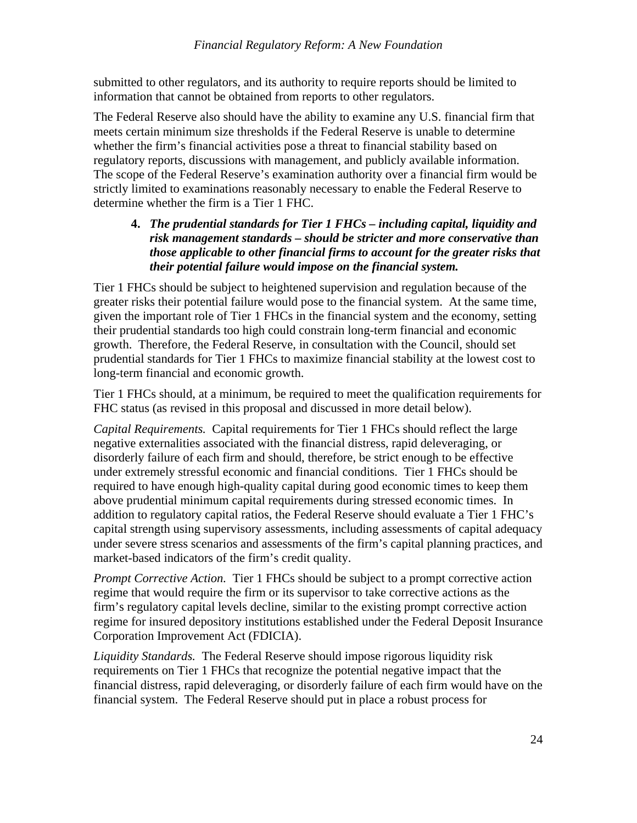#### *Financial Regulatory Reform: A New Foundation*

submitted to other regulators, and its authority to require reports should be limited to information that cannot be obtained from reports to other regulators.

The Federal Reserve also should have the ability to examine any U.S. financial firm that meets certain minimum size thresholds if the Federal Reserve is unable to determine whether the firm's financial activities pose a threat to financial stability based on regulatory reports, discussions with management, and publicly available information. The scope of the Federal Reserve's examination authority over a financial firm would be strictly limited to examinations reasonably necessary to enable the Federal Reserve to determine whether the firm is a Tier 1 FHC.

# **4.** *The prudential standards for Tier 1 FHCs – including capital, liquidity and risk management standards – should be stricter and more conservative than those applicable to other financial firms to account for the greater risks that their potential failure would impose on the financial system.*

Tier 1 FHCs should be subject to heightened supervision and regulation because of the greater risks their potential failure would pose to the financial system. At the same time, given the important role of Tier 1 FHCs in the financial system and the economy, setting their prudential standards too high could constrain long-term financial and economic growth. Therefore, the Federal Reserve, in consultation with the Council, should set prudential standards for Tier 1 FHCs to maximize financial stability at the lowest cost to long-term financial and economic growth.

Tier 1 FHCs should, at a minimum, be required to meet the qualification requirements for FHC status (as revised in this proposal and discussed in more detail below).

*Capital Requirements.* Capital requirements for Tier 1 FHCs should reflect the large negative externalities associated with the financial distress, rapid deleveraging, or disorderly failure of each firm and should, therefore, be strict enough to be effective under extremely stressful economic and financial conditions. Tier 1 FHCs should be required to have enough high-quality capital during good economic times to keep them above prudential minimum capital requirements during stressed economic times. In addition to regulatory capital ratios, the Federal Reserve should evaluate a Tier 1 FHC's capital strength using supervisory assessments, including assessments of capital adequacy under severe stress scenarios and assessments of the firm's capital planning practices, and market-based indicators of the firm's credit quality.

*Prompt Corrective Action.* Tier 1 FHCs should be subject to a prompt corrective action regime that would require the firm or its supervisor to take corrective actions as the firm's regulatory capital levels decline, similar to the existing prompt corrective action regime for insured depository institutions established under the Federal Deposit Insurance Corporation Improvement Act (FDICIA).

*Liquidity Standards.* The Federal Reserve should impose rigorous liquidity risk requirements on Tier 1 FHCs that recognize the potential negative impact that the financial distress, rapid deleveraging, or disorderly failure of each firm would have on the financial system. The Federal Reserve should put in place a robust process for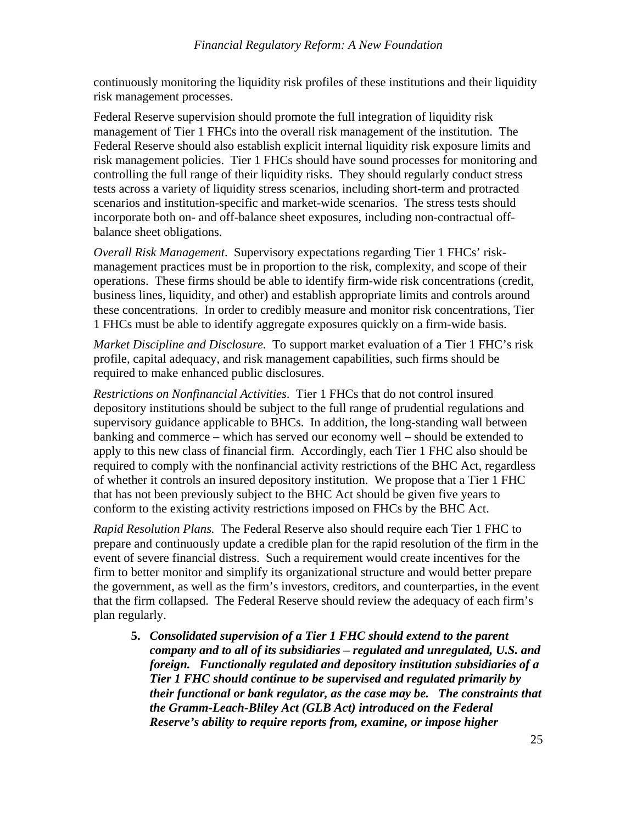continuously monitoring the liquidity risk profiles of these institutions and their liquidity risk management processes.

Federal Reserve supervision should promote the full integration of liquidity risk management of Tier 1 FHCs into the overall risk management of the institution. The Federal Reserve should also establish explicit internal liquidity risk exposure limits and risk management policies. Tier 1 FHCs should have sound processes for monitoring and controlling the full range of their liquidity risks. They should regularly conduct stress tests across a variety of liquidity stress scenarios, including short-term and protracted scenarios and institution-specific and market-wide scenarios. The stress tests should incorporate both on- and off-balance sheet exposures, including non-contractual offbalance sheet obligations.

*Overall Risk Management*. Supervisory expectations regarding Tier 1 FHCs' riskmanagement practices must be in proportion to the risk, complexity, and scope of their operations. These firms should be able to identify firm-wide risk concentrations (credit, business lines, liquidity, and other) and establish appropriate limits and controls around these concentrations. In order to credibly measure and monitor risk concentrations, Tier 1 FHCs must be able to identify aggregate exposures quickly on a firm-wide basis.

*Market Discipline and Disclosure.* To support market evaluation of a Tier 1 FHC's risk profile, capital adequacy, and risk management capabilities, such firms should be required to make enhanced public disclosures.

*Restrictions on Nonfinancial Activities*. Tier 1 FHCs that do not control insured depository institutions should be subject to the full range of prudential regulations and supervisory guidance applicable to BHCs. In addition, the long-standing wall between banking and commerce – which has served our economy well – should be extended to apply to this new class of financial firm. Accordingly, each Tier 1 FHC also should be required to comply with the nonfinancial activity restrictions of the BHC Act, regardless of whether it controls an insured depository institution. We propose that a Tier 1 FHC that has not been previously subject to the BHC Act should be given five years to conform to the existing activity restrictions imposed on FHCs by the BHC Act.

*Rapid Resolution Plans.* The Federal Reserve also should require each Tier 1 FHC to prepare and continuously update a credible plan for the rapid resolution of the firm in the event of severe financial distress. Such a requirement would create incentives for the firm to better monitor and simplify its organizational structure and would better prepare the government, as well as the firm's investors, creditors, and counterparties, in the event that the firm collapsed. The Federal Reserve should review the adequacy of each firm's plan regularly.

**5.** *Consolidated supervision of a Tier 1 FHC should extend to the parent company and to all of its subsidiaries – regulated and unregulated, U.S. and foreign. Functionally regulated and depository institution subsidiaries of a Tier 1 FHC should continue to be supervised and regulated primarily by their functional or bank regulator, as the case may be. The constraints that the Gramm-Leach-Bliley Act (GLB Act) introduced on the Federal Reserve's ability to require reports from, examine, or impose higher*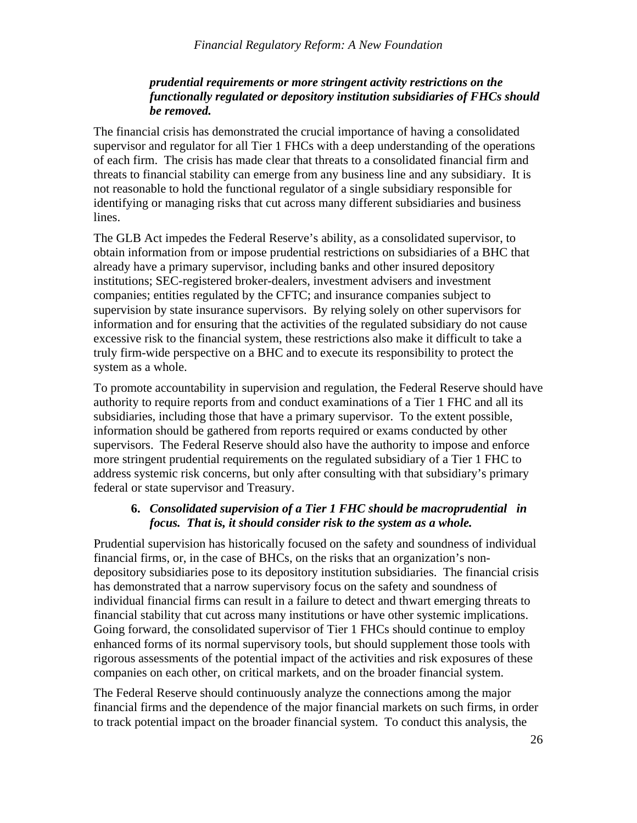#### *prudential requirements or more stringent activity restrictions on the functionally regulated or depository institution subsidiaries of FHCs should be removed.*

The financial crisis has demonstrated the crucial importance of having a consolidated supervisor and regulator for all Tier 1 FHCs with a deep understanding of the operations of each firm. The crisis has made clear that threats to a consolidated financial firm and threats to financial stability can emerge from any business line and any subsidiary. It is not reasonable to hold the functional regulator of a single subsidiary responsible for identifying or managing risks that cut across many different subsidiaries and business lines.

The GLB Act impedes the Federal Reserve's ability, as a consolidated supervisor, to obtain information from or impose prudential restrictions on subsidiaries of a BHC that already have a primary supervisor, including banks and other insured depository institutions; SEC-registered broker-dealers, investment advisers and investment companies; entities regulated by the CFTC; and insurance companies subject to supervision by state insurance supervisors. By relying solely on other supervisors for information and for ensuring that the activities of the regulated subsidiary do not cause excessive risk to the financial system, these restrictions also make it difficult to take a truly firm-wide perspective on a BHC and to execute its responsibility to protect the system as a whole.

To promote accountability in supervision and regulation, the Federal Reserve should have authority to require reports from and conduct examinations of a Tier 1 FHC and all its subsidiaries, including those that have a primary supervisor. To the extent possible, information should be gathered from reports required or exams conducted by other supervisors. The Federal Reserve should also have the authority to impose and enforce more stringent prudential requirements on the regulated subsidiary of a Tier 1 FHC to address systemic risk concerns, but only after consulting with that subsidiary's primary federal or state supervisor and Treasury.

#### **6.** *Consolidated supervision of a Tier 1 FHC should be macroprudential in focus. That is, it should consider risk to the system as a whole.*

Prudential supervision has historically focused on the safety and soundness of individual financial firms, or, in the case of BHCs, on the risks that an organization's nondepository subsidiaries pose to its depository institution subsidiaries. The financial crisis has demonstrated that a narrow supervisory focus on the safety and soundness of individual financial firms can result in a failure to detect and thwart emerging threats to financial stability that cut across many institutions or have other systemic implications. Going forward, the consolidated supervisor of Tier 1 FHCs should continue to employ enhanced forms of its normal supervisory tools, but should supplement those tools with rigorous assessments of the potential impact of the activities and risk exposures of these companies on each other, on critical markets, and on the broader financial system.

The Federal Reserve should continuously analyze the connections among the major financial firms and the dependence of the major financial markets on such firms, in order to track potential impact on the broader financial system. To conduct this analysis, the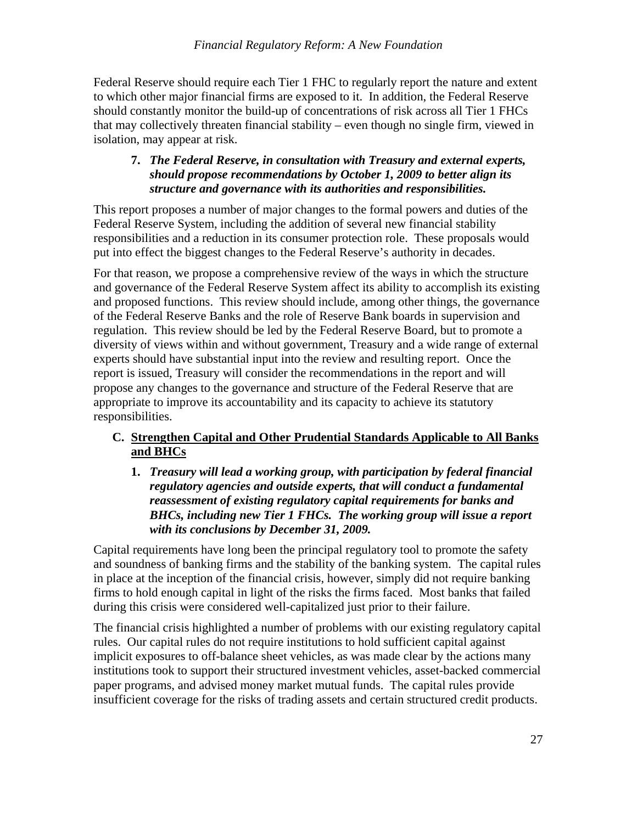Federal Reserve should require each Tier 1 FHC to regularly report the nature and extent to which other major financial firms are exposed to it. In addition, the Federal Reserve should constantly monitor the build-up of concentrations of risk across all Tier 1 FHCs that may collectively threaten financial stability – even though no single firm, viewed in isolation, may appear at risk.

# **7.** *The Federal Reserve, in consultation with Treasury and external experts, should propose recommendations by October 1, 2009 to better align its structure and governance with its authorities and responsibilities.*

This report proposes a number of major changes to the formal powers and duties of the Federal Reserve System, including the addition of several new financial stability responsibilities and a reduction in its consumer protection role. These proposals would put into effect the biggest changes to the Federal Reserve's authority in decades.

For that reason, we propose a comprehensive review of the ways in which the structure and governance of the Federal Reserve System affect its ability to accomplish its existing and proposed functions. This review should include, among other things, the governance of the Federal Reserve Banks and the role of Reserve Bank boards in supervision and regulation. This review should be led by the Federal Reserve Board, but to promote a diversity of views within and without government, Treasury and a wide range of external experts should have substantial input into the review and resulting report. Once the report is issued, Treasury will consider the recommendations in the report and will propose any changes to the governance and structure of the Federal Reserve that are appropriate to improve its accountability and its capacity to achieve its statutory responsibilities.

# **C. Strengthen Capital and Other Prudential Standards Applicable to All Banks and BHCs**

**1.** *Treasury will lead a working group, with participation by federal financial regulatory agencies and outside experts, that will conduct a fundamental reassessment of existing regulatory capital requirements for banks and BHCs, including new Tier 1 FHCs. The working group will issue a report with its conclusions by December 31, 2009.* 

Capital requirements have long been the principal regulatory tool to promote the safety and soundness of banking firms and the stability of the banking system. The capital rules in place at the inception of the financial crisis, however, simply did not require banking firms to hold enough capital in light of the risks the firms faced. Most banks that failed during this crisis were considered well-capitalized just prior to their failure.

The financial crisis highlighted a number of problems with our existing regulatory capital rules. Our capital rules do not require institutions to hold sufficient capital against implicit exposures to off-balance sheet vehicles, as was made clear by the actions many institutions took to support their structured investment vehicles, asset-backed commercial paper programs, and advised money market mutual funds. The capital rules provide insufficient coverage for the risks of trading assets and certain structured credit products.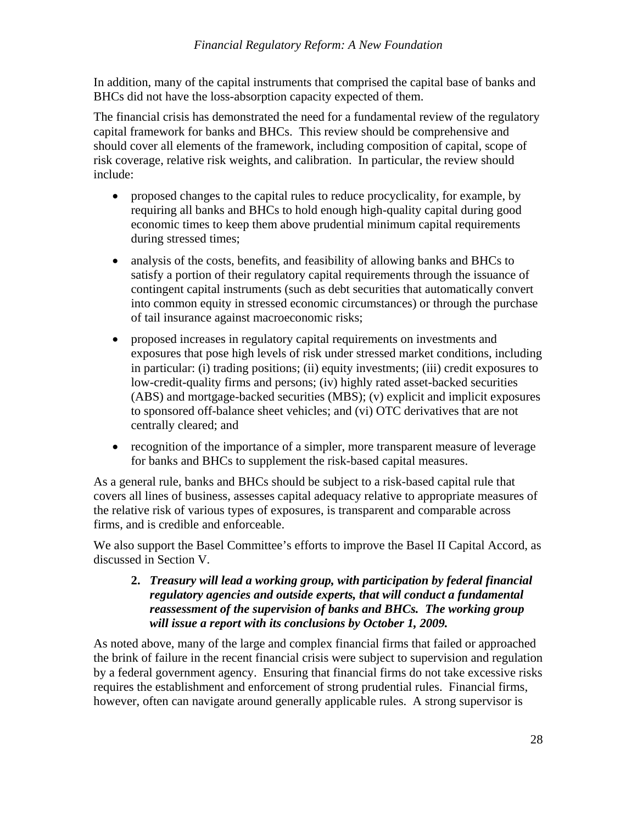### *Financial Regulatory Reform: A New Foundation*

In addition, many of the capital instruments that comprised the capital base of banks and BHCs did not have the loss-absorption capacity expected of them.

The financial crisis has demonstrated the need for a fundamental review of the regulatory capital framework for banks and BHCs. This review should be comprehensive and should cover all elements of the framework, including composition of capital, scope of risk coverage, relative risk weights, and calibration. In particular, the review should include:

- proposed changes to the capital rules to reduce procyclicality, for example, by requiring all banks and BHCs to hold enough high-quality capital during good economic times to keep them above prudential minimum capital requirements during stressed times;
- analysis of the costs, benefits, and feasibility of allowing banks and BHCs to satisfy a portion of their regulatory capital requirements through the issuance of contingent capital instruments (such as debt securities that automatically convert into common equity in stressed economic circumstances) or through the purchase of tail insurance against macroeconomic risks;
- proposed increases in regulatory capital requirements on investments and exposures that pose high levels of risk under stressed market conditions, including in particular: (i) trading positions; (ii) equity investments; (iii) credit exposures to low-credit-quality firms and persons; (iv) highly rated asset-backed securities (ABS) and mortgage-backed securities (MBS); (v) explicit and implicit exposures to sponsored off-balance sheet vehicles; and (vi) OTC derivatives that are not centrally cleared; and
- recognition of the importance of a simpler, more transparent measure of leverage for banks and BHCs to supplement the risk-based capital measures.

As a general rule, banks and BHCs should be subject to a risk-based capital rule that covers all lines of business, assesses capital adequacy relative to appropriate measures of the relative risk of various types of exposures, is transparent and comparable across firms, and is credible and enforceable.

We also support the Basel Committee's efforts to improve the Basel II Capital Accord, as discussed in Section V.

### **2.** *Treasury will lead a working group, with participation by federal financial regulatory agencies and outside experts, that will conduct a fundamental reassessment of the supervision of banks and BHCs. The working group will issue a report with its conclusions by October 1, 2009.*

As noted above, many of the large and complex financial firms that failed or approached the brink of failure in the recent financial crisis were subject to supervision and regulation by a federal government agency. Ensuring that financial firms do not take excessive risks requires the establishment and enforcement of strong prudential rules. Financial firms, however, often can navigate around generally applicable rules. A strong supervisor is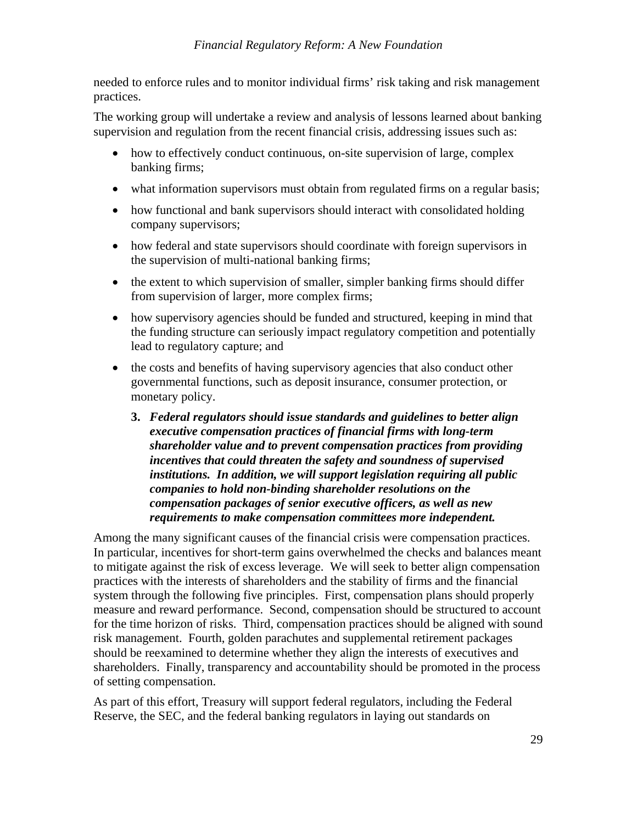needed to enforce rules and to monitor individual firms' risk taking and risk management practices.

The working group will undertake a review and analysis of lessons learned about banking supervision and regulation from the recent financial crisis, addressing issues such as:

- how to effectively conduct continuous, on-site supervision of large, complex banking firms;
- what information supervisors must obtain from regulated firms on a regular basis;
- how functional and bank supervisors should interact with consolidated holding company supervisors;
- how federal and state supervisors should coordinate with foreign supervisors in the supervision of multi-national banking firms;
- the extent to which supervision of smaller, simpler banking firms should differ from supervision of larger, more complex firms;
- how supervisory agencies should be funded and structured, keeping in mind that the funding structure can seriously impact regulatory competition and potentially lead to regulatory capture; and
- the costs and benefits of having supervisory agencies that also conduct other governmental functions, such as deposit insurance, consumer protection, or monetary policy.
	- **3.** *Federal regulators should issue standards and guidelines to better align executive compensation practices of financial firms with long-term shareholder value and to prevent compensation practices from providing incentives that could threaten the safety and soundness of supervised institutions. In addition, we will support legislation requiring all public companies to hold non-binding shareholder resolutions on the compensation packages of senior executive officers, as well as new requirements to make compensation committees more independent.*

Among the many significant causes of the financial crisis were compensation practices. In particular, incentives for short-term gains overwhelmed the checks and balances meant to mitigate against the risk of excess leverage. We will seek to better align compensation practices with the interests of shareholders and the stability of firms and the financial system through the following five principles. First, compensation plans should properly measure and reward performance. Second, compensation should be structured to account for the time horizon of risks. Third, compensation practices should be aligned with sound risk management. Fourth, golden parachutes and supplemental retirement packages should be reexamined to determine whether they align the interests of executives and shareholders. Finally, transparency and accountability should be promoted in the process of setting compensation.

As part of this effort, Treasury will support federal regulators, including the Federal Reserve, the SEC, and the federal banking regulators in laying out standards on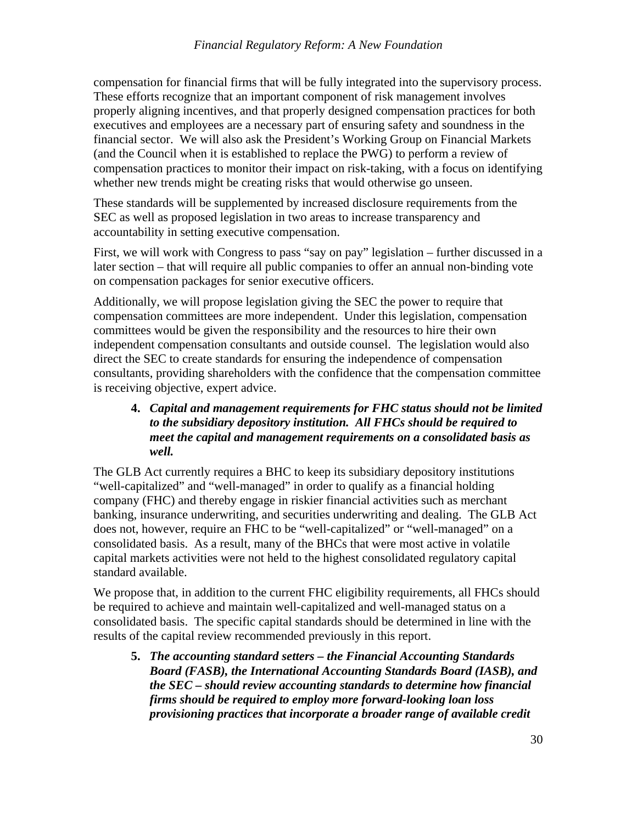compensation for financial firms that will be fully integrated into the supervisory process. These efforts recognize that an important component of risk management involves properly aligning incentives, and that properly designed compensation practices for both executives and employees are a necessary part of ensuring safety and soundness in the financial sector. We will also ask the President's Working Group on Financial Markets (and the Council when it is established to replace the PWG) to perform a review of compensation practices to monitor their impact on risk-taking, with a focus on identifying whether new trends might be creating risks that would otherwise go unseen.

These standards will be supplemented by increased disclosure requirements from the SEC as well as proposed legislation in two areas to increase transparency and accountability in setting executive compensation.

First, we will work with Congress to pass "say on pay" legislation – further discussed in a later section – that will require all public companies to offer an annual non-binding vote on compensation packages for senior executive officers.

Additionally, we will propose legislation giving the SEC the power to require that compensation committees are more independent. Under this legislation, compensation committees would be given the responsibility and the resources to hire their own independent compensation consultants and outside counsel. The legislation would also direct the SEC to create standards for ensuring the independence of compensation consultants, providing shareholders with the confidence that the compensation committee is receiving objective, expert advice.

# **4.** *Capital and management requirements for FHC status should not be limited to the subsidiary depository institution. All FHCs should be required to meet the capital and management requirements on a consolidated basis as well.*

The GLB Act currently requires a BHC to keep its subsidiary depository institutions "well-capitalized" and "well-managed" in order to qualify as a financial holding company (FHC) and thereby engage in riskier financial activities such as merchant banking, insurance underwriting, and securities underwriting and dealing. The GLB Act does not, however, require an FHC to be "well-capitalized" or "well-managed" on a consolidated basis. As a result, many of the BHCs that were most active in volatile capital markets activities were not held to the highest consolidated regulatory capital standard available.

We propose that, in addition to the current FHC eligibility requirements, all FHCs should be required to achieve and maintain well-capitalized and well-managed status on a consolidated basis. The specific capital standards should be determined in line with the results of the capital review recommended previously in this report.

**5.** *The accounting standard setters – the Financial Accounting Standards Board (FASB), the International Accounting Standards Board (IASB), and the SEC – should review accounting standards to determine how financial firms should be required to employ more forward-looking loan loss provisioning practices that incorporate a broader range of available credit*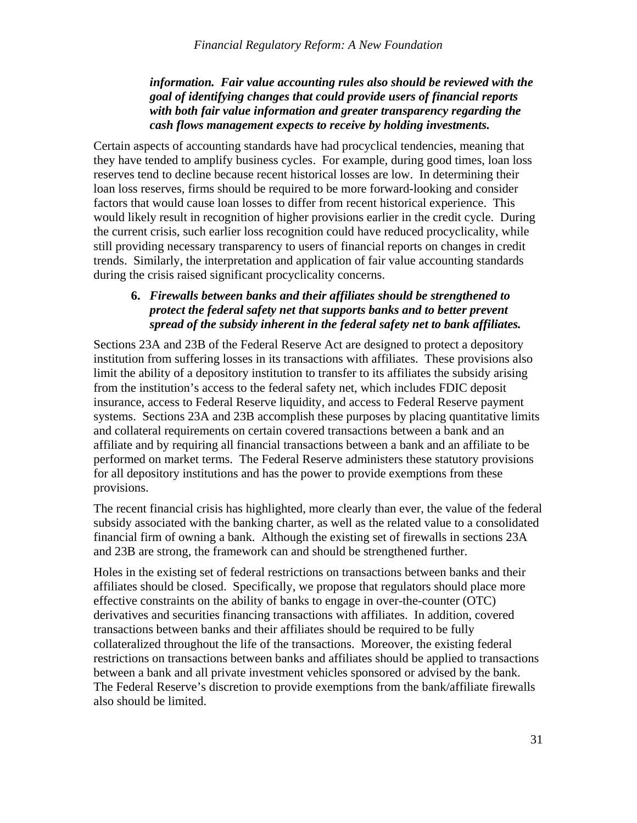### *information. Fair value accounting rules also should be reviewed with the goal of identifying changes that could provide users of financial reports with both fair value information and greater transparency regarding the cash flows management expects to receive by holding investments.*

Certain aspects of accounting standards have had procyclical tendencies, meaning that they have tended to amplify business cycles. For example, during good times, loan loss reserves tend to decline because recent historical losses are low. In determining their loan loss reserves, firms should be required to be more forward-looking and consider factors that would cause loan losses to differ from recent historical experience. This would likely result in recognition of higher provisions earlier in the credit cycle. During the current crisis, such earlier loss recognition could have reduced procyclicality, while still providing necessary transparency to users of financial reports on changes in credit trends. Similarly, the interpretation and application of fair value accounting standards during the crisis raised significant procyclicality concerns.

### **6.** *Firewalls between banks and their affiliates should be strengthened to protect the federal safety net that supports banks and to better prevent spread of the subsidy inherent in the federal safety net to bank affiliates.*

Sections 23A and 23B of the Federal Reserve Act are designed to protect a depository institution from suffering losses in its transactions with affiliates. These provisions also limit the ability of a depository institution to transfer to its affiliates the subsidy arising from the institution's access to the federal safety net, which includes FDIC deposit insurance, access to Federal Reserve liquidity, and access to Federal Reserve payment systems. Sections 23A and 23B accomplish these purposes by placing quantitative limits and collateral requirements on certain covered transactions between a bank and an affiliate and by requiring all financial transactions between a bank and an affiliate to be performed on market terms. The Federal Reserve administers these statutory provisions for all depository institutions and has the power to provide exemptions from these provisions.

The recent financial crisis has highlighted, more clearly than ever, the value of the federal subsidy associated with the banking charter, as well as the related value to a consolidated financial firm of owning a bank. Although the existing set of firewalls in sections 23A and 23B are strong, the framework can and should be strengthened further.

Holes in the existing set of federal restrictions on transactions between banks and their affiliates should be closed. Specifically, we propose that regulators should place more effective constraints on the ability of banks to engage in over-the-counter (OTC) derivatives and securities financing transactions with affiliates. In addition, covered transactions between banks and their affiliates should be required to be fully collateralized throughout the life of the transactions. Moreover, the existing federal restrictions on transactions between banks and affiliates should be applied to transactions between a bank and all private investment vehicles sponsored or advised by the bank. The Federal Reserve's discretion to provide exemptions from the bank/affiliate firewalls also should be limited.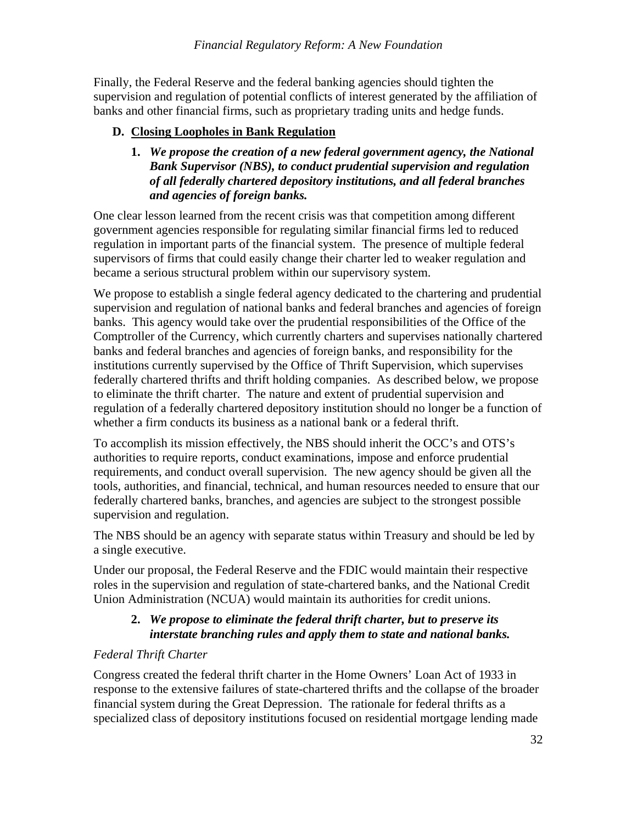Finally, the Federal Reserve and the federal banking agencies should tighten the supervision and regulation of potential conflicts of interest generated by the affiliation of banks and other financial firms, such as proprietary trading units and hedge funds.

# **D. Closing Loopholes in Bank Regulation**

**1.** *We propose the creation of a new federal government agency, the National Bank Supervisor (NBS), to conduct prudential supervision and regulation of all federally chartered depository institutions, and all federal branches and agencies of foreign banks.* 

One clear lesson learned from the recent crisis was that competition among different government agencies responsible for regulating similar financial firms led to reduced regulation in important parts of the financial system. The presence of multiple federal supervisors of firms that could easily change their charter led to weaker regulation and became a serious structural problem within our supervisory system.

We propose to establish a single federal agency dedicated to the chartering and prudential supervision and regulation of national banks and federal branches and agencies of foreign banks. This agency would take over the prudential responsibilities of the Office of the Comptroller of the Currency, which currently charters and supervises nationally chartered banks and federal branches and agencies of foreign banks, and responsibility for the institutions currently supervised by the Office of Thrift Supervision, which supervises federally chartered thrifts and thrift holding companies. As described below, we propose to eliminate the thrift charter. The nature and extent of prudential supervision and regulation of a federally chartered depository institution should no longer be a function of whether a firm conducts its business as a national bank or a federal thrift.

To accomplish its mission effectively, the NBS should inherit the OCC's and OTS's authorities to require reports, conduct examinations, impose and enforce prudential requirements, and conduct overall supervision. The new agency should be given all the tools, authorities, and financial, technical, and human resources needed to ensure that our federally chartered banks, branches, and agencies are subject to the strongest possible supervision and regulation.

The NBS should be an agency with separate status within Treasury and should be led by a single executive.

Under our proposal, the Federal Reserve and the FDIC would maintain their respective roles in the supervision and regulation of state-chartered banks, and the National Credit Union Administration (NCUA) would maintain its authorities for credit unions.

# **2.** *We propose to eliminate the federal thrift charter, but to preserve its interstate branching rules and apply them to state and national banks.*

# *Federal Thrift Charter*

Congress created the federal thrift charter in the Home Owners' Loan Act of 1933 in response to the extensive failures of state-chartered thrifts and the collapse of the broader financial system during the Great Depression. The rationale for federal thrifts as a specialized class of depository institutions focused on residential mortgage lending made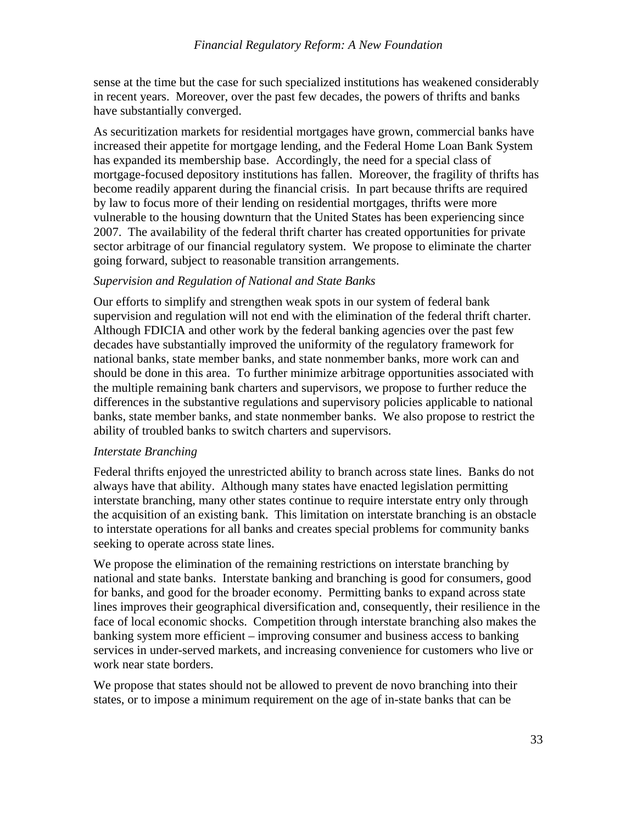sense at the time but the case for such specialized institutions has weakened considerably in recent years. Moreover, over the past few decades, the powers of thrifts and banks have substantially converged.

As securitization markets for residential mortgages have grown, commercial banks have increased their appetite for mortgage lending, and the Federal Home Loan Bank System has expanded its membership base. Accordingly, the need for a special class of mortgage-focused depository institutions has fallen. Moreover, the fragility of thrifts has become readily apparent during the financial crisis. In part because thrifts are required by law to focus more of their lending on residential mortgages, thrifts were more vulnerable to the housing downturn that the United States has been experiencing since 2007. The availability of the federal thrift charter has created opportunities for private sector arbitrage of our financial regulatory system. We propose to eliminate the charter going forward, subject to reasonable transition arrangements.

#### *Supervision and Regulation of National and State Banks*

Our efforts to simplify and strengthen weak spots in our system of federal bank supervision and regulation will not end with the elimination of the federal thrift charter. Although FDICIA and other work by the federal banking agencies over the past few decades have substantially improved the uniformity of the regulatory framework for national banks, state member banks, and state nonmember banks, more work can and should be done in this area. To further minimize arbitrage opportunities associated with the multiple remaining bank charters and supervisors, we propose to further reduce the differences in the substantive regulations and supervisory policies applicable to national banks, state member banks, and state nonmember banks. We also propose to restrict the ability of troubled banks to switch charters and supervisors.

#### *Interstate Branching*

Federal thrifts enjoyed the unrestricted ability to branch across state lines. Banks do not always have that ability. Although many states have enacted legislation permitting interstate branching, many other states continue to require interstate entry only through the acquisition of an existing bank. This limitation on interstate branching is an obstacle to interstate operations for all banks and creates special problems for community banks seeking to operate across state lines.

We propose the elimination of the remaining restrictions on interstate branching by national and state banks. Interstate banking and branching is good for consumers, good for banks, and good for the broader economy. Permitting banks to expand across state lines improves their geographical diversification and, consequently, their resilience in the face of local economic shocks. Competition through interstate branching also makes the banking system more efficient – improving consumer and business access to banking services in under-served markets, and increasing convenience for customers who live or work near state borders.

We propose that states should not be allowed to prevent de novo branching into their states, or to impose a minimum requirement on the age of in-state banks that can be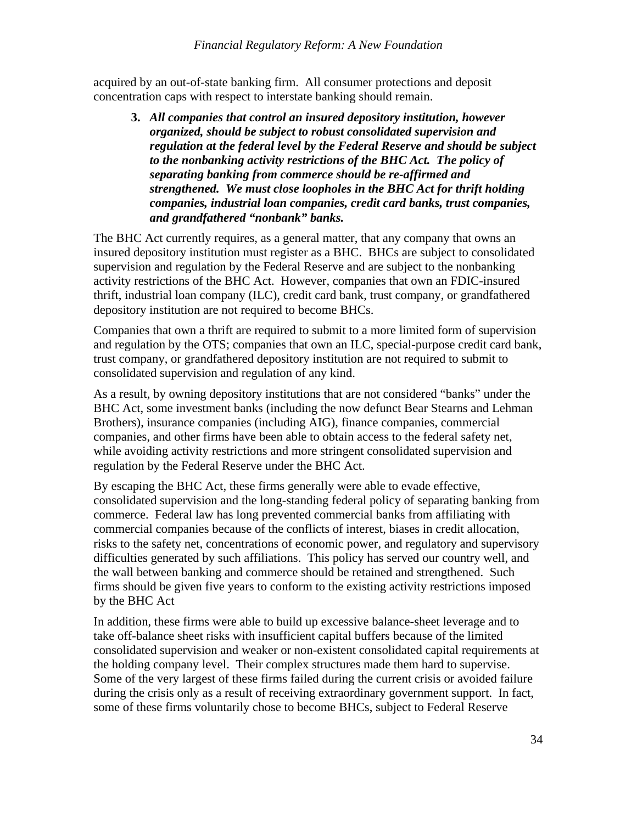acquired by an out-of-state banking firm. All consumer protections and deposit concentration caps with respect to interstate banking should remain.

**3.** *All companies that control an insured depository institution, however organized, should be subject to robust consolidated supervision and regulation at the federal level by the Federal Reserve and should be subject to the nonbanking activity restrictions of the BHC Act. The policy of separating banking from commerce should be re-affirmed and strengthened. We must close loopholes in the BHC Act for thrift holding companies, industrial loan companies, credit card banks, trust companies, and grandfathered "nonbank" banks.* 

The BHC Act currently requires, as a general matter, that any company that owns an insured depository institution must register as a BHC. BHCs are subject to consolidated supervision and regulation by the Federal Reserve and are subject to the nonbanking activity restrictions of the BHC Act. However, companies that own an FDIC-insured thrift, industrial loan company (ILC), credit card bank, trust company, or grandfathered depository institution are not required to become BHCs.

Companies that own a thrift are required to submit to a more limited form of supervision and regulation by the OTS; companies that own an ILC, special-purpose credit card bank, trust company, or grandfathered depository institution are not required to submit to consolidated supervision and regulation of any kind.

As a result, by owning depository institutions that are not considered "banks" under the BHC Act, some investment banks (including the now defunct Bear Stearns and Lehman Brothers), insurance companies (including AIG), finance companies, commercial companies, and other firms have been able to obtain access to the federal safety net, while avoiding activity restrictions and more stringent consolidated supervision and regulation by the Federal Reserve under the BHC Act.

By escaping the BHC Act, these firms generally were able to evade effective, consolidated supervision and the long-standing federal policy of separating banking from commerce. Federal law has long prevented commercial banks from affiliating with commercial companies because of the conflicts of interest, biases in credit allocation, risks to the safety net, concentrations of economic power, and regulatory and supervisory difficulties generated by such affiliations. This policy has served our country well, and the wall between banking and commerce should be retained and strengthened. Such firms should be given five years to conform to the existing activity restrictions imposed by the BHC Act

In addition, these firms were able to build up excessive balance-sheet leverage and to take off-balance sheet risks with insufficient capital buffers because of the limited consolidated supervision and weaker or non-existent consolidated capital requirements at the holding company level. Their complex structures made them hard to supervise. Some of the very largest of these firms failed during the current crisis or avoided failure during the crisis only as a result of receiving extraordinary government support. In fact, some of these firms voluntarily chose to become BHCs, subject to Federal Reserve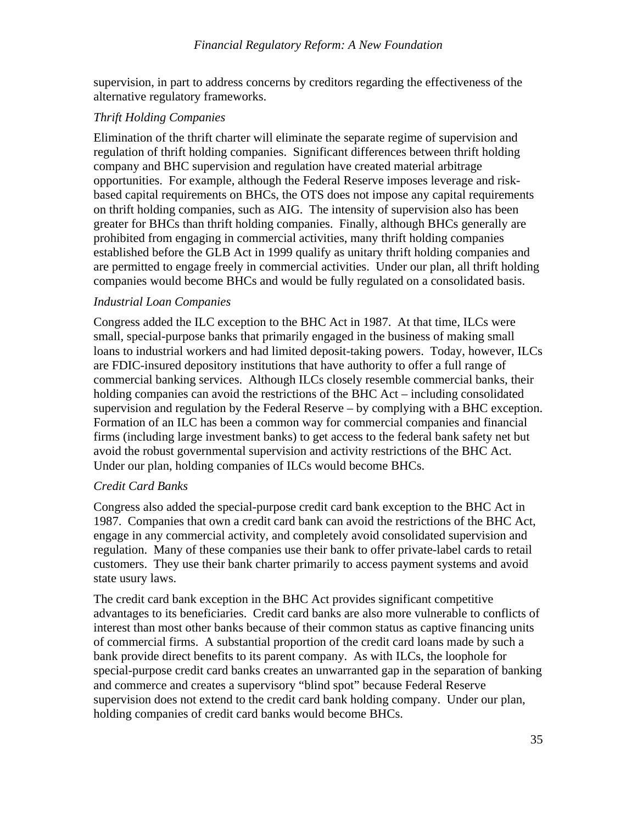#### *Financial Regulatory Reform: A New Foundation*

supervision, in part to address concerns by creditors regarding the effectiveness of the alternative regulatory frameworks.

#### *Thrift Holding Companies*

Elimination of the thrift charter will eliminate the separate regime of supervision and regulation of thrift holding companies. Significant differences between thrift holding company and BHC supervision and regulation have created material arbitrage opportunities. For example, although the Federal Reserve imposes leverage and riskbased capital requirements on BHCs, the OTS does not impose any capital requirements on thrift holding companies, such as AIG. The intensity of supervision also has been greater for BHCs than thrift holding companies. Finally, although BHCs generally are prohibited from engaging in commercial activities, many thrift holding companies established before the GLB Act in 1999 qualify as unitary thrift holding companies and are permitted to engage freely in commercial activities. Under our plan, all thrift holding companies would become BHCs and would be fully regulated on a consolidated basis.

#### *Industrial Loan Companies*

Congress added the ILC exception to the BHC Act in 1987. At that time, ILCs were small, special-purpose banks that primarily engaged in the business of making small loans to industrial workers and had limited deposit-taking powers. Today, however, ILCs are FDIC-insured depository institutions that have authority to offer a full range of commercial banking services. Although ILCs closely resemble commercial banks, their holding companies can avoid the restrictions of the BHC Act – including consolidated supervision and regulation by the Federal Reserve – by complying with a BHC exception. Formation of an ILC has been a common way for commercial companies and financial firms (including large investment banks) to get access to the federal bank safety net but avoid the robust governmental supervision and activity restrictions of the BHC Act. Under our plan, holding companies of ILCs would become BHCs.

#### *Credit Card Banks*

Congress also added the special-purpose credit card bank exception to the BHC Act in 1987. Companies that own a credit card bank can avoid the restrictions of the BHC Act, engage in any commercial activity, and completely avoid consolidated supervision and regulation. Many of these companies use their bank to offer private-label cards to retail customers. They use their bank charter primarily to access payment systems and avoid state usury laws.

The credit card bank exception in the BHC Act provides significant competitive advantages to its beneficiaries. Credit card banks are also more vulnerable to conflicts of interest than most other banks because of their common status as captive financing units of commercial firms. A substantial proportion of the credit card loans made by such a bank provide direct benefits to its parent company. As with ILCs, the loophole for special-purpose credit card banks creates an unwarranted gap in the separation of banking and commerce and creates a supervisory "blind spot" because Federal Reserve supervision does not extend to the credit card bank holding company. Under our plan, holding companies of credit card banks would become BHCs.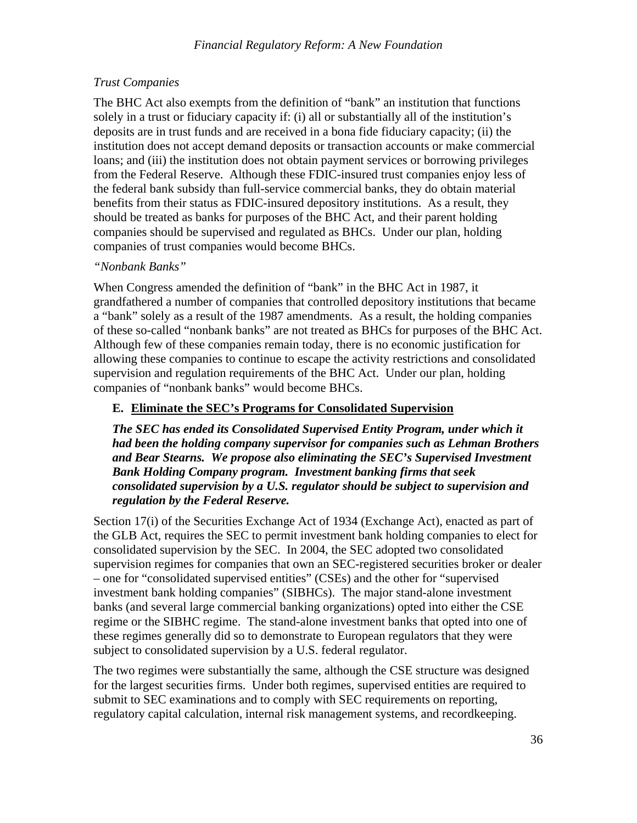# *Trust Companies*

The BHC Act also exempts from the definition of "bank" an institution that functions solely in a trust or fiduciary capacity if: (i) all or substantially all of the institution's deposits are in trust funds and are received in a bona fide fiduciary capacity; (ii) the institution does not accept demand deposits or transaction accounts or make commercial loans; and (iii) the institution does not obtain payment services or borrowing privileges from the Federal Reserve. Although these FDIC-insured trust companies enjoy less of the federal bank subsidy than full-service commercial banks, they do obtain material benefits from their status as FDIC-insured depository institutions. As a result, they should be treated as banks for purposes of the BHC Act, and their parent holding companies should be supervised and regulated as BHCs. Under our plan, holding companies of trust companies would become BHCs.

#### *"Nonbank Banks"*

When Congress amended the definition of "bank" in the BHC Act in 1987, it grandfathered a number of companies that controlled depository institutions that became a "bank" solely as a result of the 1987 amendments. As a result, the holding companies of these so-called "nonbank banks" are not treated as BHCs for purposes of the BHC Act. Although few of these companies remain today, there is no economic justification for allowing these companies to continue to escape the activity restrictions and consolidated supervision and regulation requirements of the BHC Act. Under our plan, holding companies of "nonbank banks" would become BHCs.

### **E. Eliminate the SEC's Programs for Consolidated Supervision**

*The SEC has ended its Consolidated Supervised Entity Program, under which it had been the holding company supervisor for companies such as Lehman Brothers and Bear Stearns. We propose also eliminating the SEC's Supervised Investment Bank Holding Company program. Investment banking firms that seek consolidated supervision by a U.S. regulator should be subject to supervision and regulation by the Federal Reserve.* 

Section 17(i) of the Securities Exchange Act of 1934 (Exchange Act), enacted as part of the GLB Act, requires the SEC to permit investment bank holding companies to elect for consolidated supervision by the SEC. In 2004, the SEC adopted two consolidated supervision regimes for companies that own an SEC-registered securities broker or dealer – one for "consolidated supervised entities" (CSEs) and the other for "supervised investment bank holding companies" (SIBHCs). The major stand-alone investment banks (and several large commercial banking organizations) opted into either the CSE regime or the SIBHC regime. The stand-alone investment banks that opted into one of these regimes generally did so to demonstrate to European regulators that they were subject to consolidated supervision by a U.S. federal regulator.

The two regimes were substantially the same, although the CSE structure was designed for the largest securities firms. Under both regimes, supervised entities are required to submit to SEC examinations and to comply with SEC requirements on reporting, regulatory capital calculation, internal risk management systems, and recordkeeping.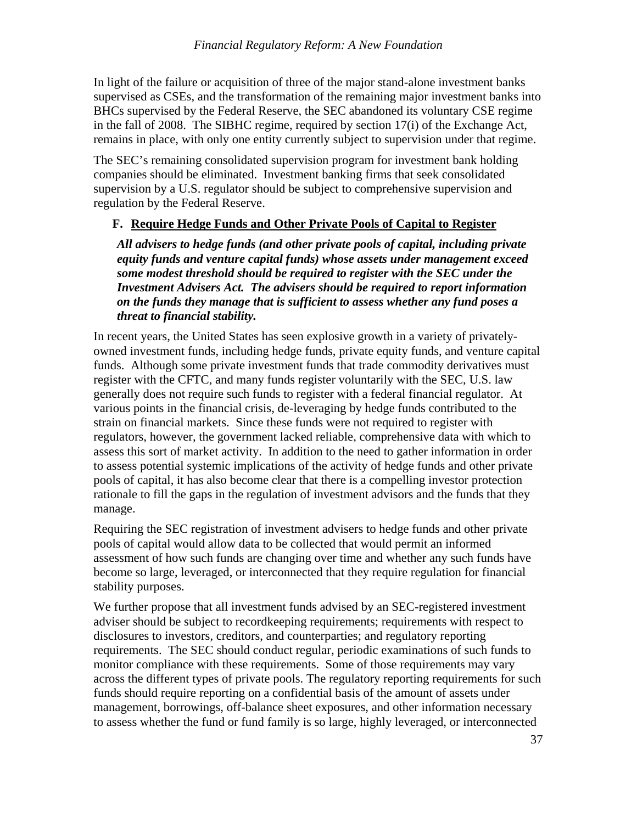In light of the failure or acquisition of three of the major stand-alone investment banks supervised as CSEs, and the transformation of the remaining major investment banks into BHCs supervised by the Federal Reserve, the SEC abandoned its voluntary CSE regime in the fall of 2008. The SIBHC regime, required by section 17(i) of the Exchange Act, remains in place, with only one entity currently subject to supervision under that regime.

The SEC's remaining consolidated supervision program for investment bank holding companies should be eliminated. Investment banking firms that seek consolidated supervision by a U.S. regulator should be subject to comprehensive supervision and regulation by the Federal Reserve.

#### **F. Require Hedge Funds and Other Private Pools of Capital to Register**

*All advisers to hedge funds (and other private pools of capital, including private equity funds and venture capital funds) whose assets under management exceed some modest threshold should be required to register with the SEC under the Investment Advisers Act. The advisers should be required to report information on the funds they manage that is sufficient to assess whether any fund poses a threat to financial stability.* 

In recent years, the United States has seen explosive growth in a variety of privatelyowned investment funds, including hedge funds, private equity funds, and venture capital funds. Although some private investment funds that trade commodity derivatives must register with the CFTC, and many funds register voluntarily with the SEC, U.S. law generally does not require such funds to register with a federal financial regulator. At various points in the financial crisis, de-leveraging by hedge funds contributed to the strain on financial markets. Since these funds were not required to register with regulators, however, the government lacked reliable, comprehensive data with which to assess this sort of market activity. In addition to the need to gather information in order to assess potential systemic implications of the activity of hedge funds and other private pools of capital, it has also become clear that there is a compelling investor protection rationale to fill the gaps in the regulation of investment advisors and the funds that they manage.

Requiring the SEC registration of investment advisers to hedge funds and other private pools of capital would allow data to be collected that would permit an informed assessment of how such funds are changing over time and whether any such funds have become so large, leveraged, or interconnected that they require regulation for financial stability purposes.

We further propose that all investment funds advised by an SEC-registered investment adviser should be subject to recordkeeping requirements; requirements with respect to disclosures to investors, creditors, and counterparties; and regulatory reporting requirements. The SEC should conduct regular, periodic examinations of such funds to monitor compliance with these requirements. Some of those requirements may vary across the different types of private pools. The regulatory reporting requirements for such funds should require reporting on a confidential basis of the amount of assets under management, borrowings, off-balance sheet exposures, and other information necessary to assess whether the fund or fund family is so large, highly leveraged, or interconnected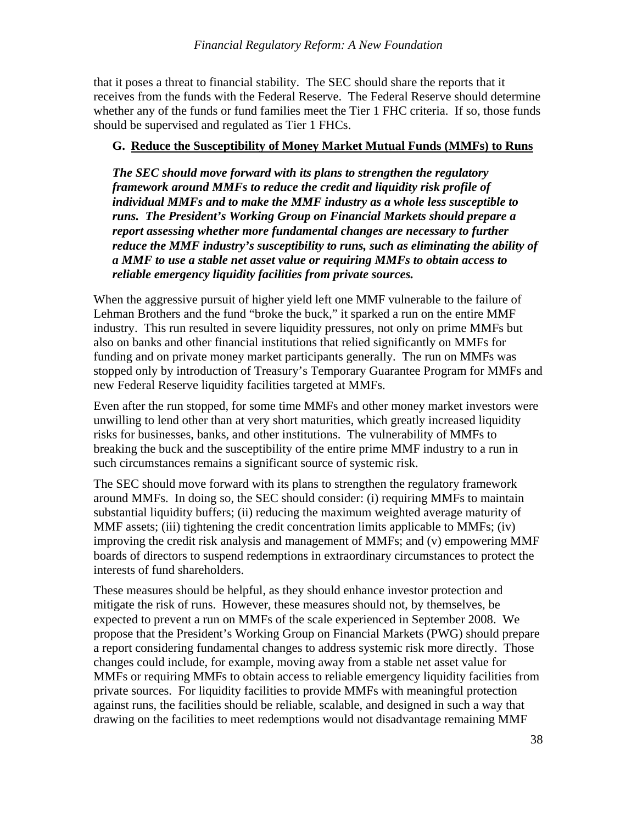that it poses a threat to financial stability. The SEC should share the reports that it receives from the funds with the Federal Reserve. The Federal Reserve should determine whether any of the funds or fund families meet the Tier 1 FHC criteria. If so, those funds should be supervised and regulated as Tier 1 FHCs.

## **G. Reduce the Susceptibility of Money Market Mutual Funds (MMFs) to Runs**

*The SEC should move forward with its plans to strengthen the regulatory framework around MMFs to reduce the credit and liquidity risk profile of individual MMFs and to make the MMF industry as a whole less susceptible to runs. The President's Working Group on Financial Markets should prepare a report assessing whether more fundamental changes are necessary to further reduce the MMF industry's susceptibility to runs, such as eliminating the ability of a MMF to use a stable net asset value or requiring MMFs to obtain access to reliable emergency liquidity facilities from private sources.*

When the aggressive pursuit of higher yield left one MMF vulnerable to the failure of Lehman Brothers and the fund "broke the buck," it sparked a run on the entire MMF industry. This run resulted in severe liquidity pressures, not only on prime MMFs but also on banks and other financial institutions that relied significantly on MMFs for funding and on private money market participants generally. The run on MMFs was stopped only by introduction of Treasury's Temporary Guarantee Program for MMFs and new Federal Reserve liquidity facilities targeted at MMFs.

Even after the run stopped, for some time MMFs and other money market investors were unwilling to lend other than at very short maturities, which greatly increased liquidity risks for businesses, banks, and other institutions. The vulnerability of MMFs to breaking the buck and the susceptibility of the entire prime MMF industry to a run in such circumstances remains a significant source of systemic risk.

The SEC should move forward with its plans to strengthen the regulatory framework around MMFs. In doing so, the SEC should consider: (i) requiring MMFs to maintain substantial liquidity buffers; (ii) reducing the maximum weighted average maturity of MMF assets; (iii) tightening the credit concentration limits applicable to MMFs; (iv) improving the credit risk analysis and management of MMFs; and (v) empowering MMF boards of directors to suspend redemptions in extraordinary circumstances to protect the interests of fund shareholders.

These measures should be helpful, as they should enhance investor protection and mitigate the risk of runs. However, these measures should not, by themselves, be expected to prevent a run on MMFs of the scale experienced in September 2008. We propose that the President's Working Group on Financial Markets (PWG) should prepare a report considering fundamental changes to address systemic risk more directly. Those changes could include, for example, moving away from a stable net asset value for MMFs or requiring MMFs to obtain access to reliable emergency liquidity facilities from private sources. For liquidity facilities to provide MMFs with meaningful protection against runs, the facilities should be reliable, scalable, and designed in such a way that drawing on the facilities to meet redemptions would not disadvantage remaining MMF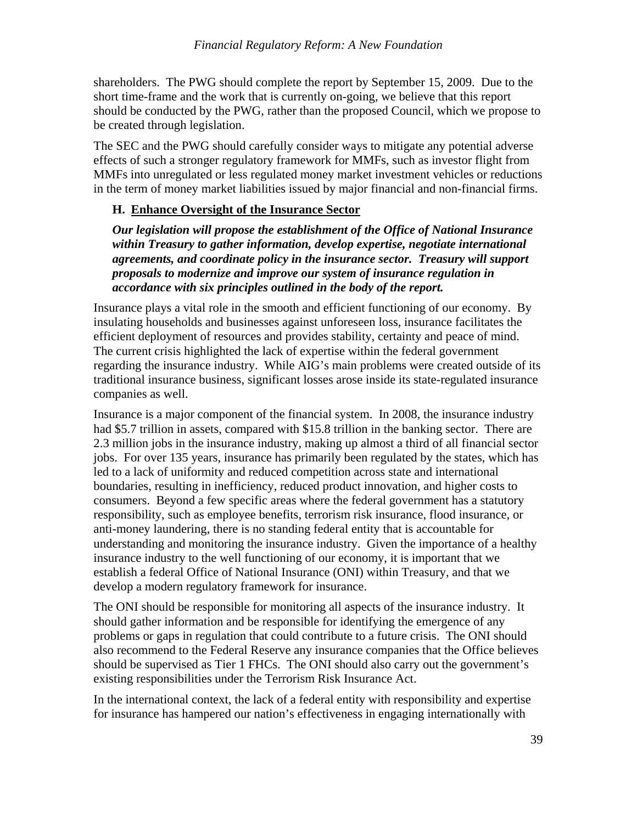shareholders. The PWG should complete the report by September 15, 2009. Due to the short time-frame and the work that is currently on-going, we believe that this report should be conducted by the PWG, rather than the proposed Council, which we propose to be created through legislation.

The SEC and the PWG should carefully consider ways to mitigate any potential adverse effects of such a stronger regulatory framework for MMFs, such as investor flight from MMFs into unregulated or less regulated money market investment vehicles or reductions in the term of money market liabilities issued by major financial and non-financial firms.

# **H. Enhance Oversight of the Insurance Sector**

*Our legislation will propose the establishment of the Office of National Insurance within Treasury to gather information, develop expertise, negotiate international agreements, and coordinate policy in the insurance sector. Treasury will support proposals to modernize and improve our system of insurance regulation in accordance with six principles outlined in the body of the report.*

Insurance plays a vital role in the smooth and efficient functioning of our economy. By insulating households and businesses against unforeseen loss, insurance facilitates the efficient deployment of resources and provides stability, certainty and peace of mind. The current crisis highlighted the lack of expertise within the federal government regarding the insurance industry. While AIG's main problems were created outside of its traditional insurance business, significant losses arose inside its state-regulated insurance companies as well.

Insurance is a major component of the financial system. In 2008, the insurance industry had \$5.7 trillion in assets, compared with \$15.8 trillion in the banking sector. There are 2.3 million jobs in the insurance industry, making up almost a third of all financial sector jobs. For over 135 years, insurance has primarily been regulated by the states, which has led to a lack of uniformity and reduced competition across state and international boundaries, resulting in inefficiency, reduced product innovation, and higher costs to consumers. Beyond a few specific areas where the federal government has a statutory responsibility, such as employee benefits, terrorism risk insurance, flood insurance, or anti-money laundering, there is no standing federal entity that is accountable for understanding and monitoring the insurance industry. Given the importance of a healthy insurance industry to the well functioning of our economy, it is important that we establish a federal Office of National Insurance (ONI) within Treasury, and that we develop a modern regulatory framework for insurance.

The ONI should be responsible for monitoring all aspects of the insurance industry. It should gather information and be responsible for identifying the emergence of any problems or gaps in regulation that could contribute to a future crisis. The ONI should also recommend to the Federal Reserve any insurance companies that the Office believes should be supervised as Tier 1 FHCs. The ONI should also carry out the government's existing responsibilities under the Terrorism Risk Insurance Act.

In the international context, the lack of a federal entity with responsibility and expertise for insurance has hampered our nation's effectiveness in engaging internationally with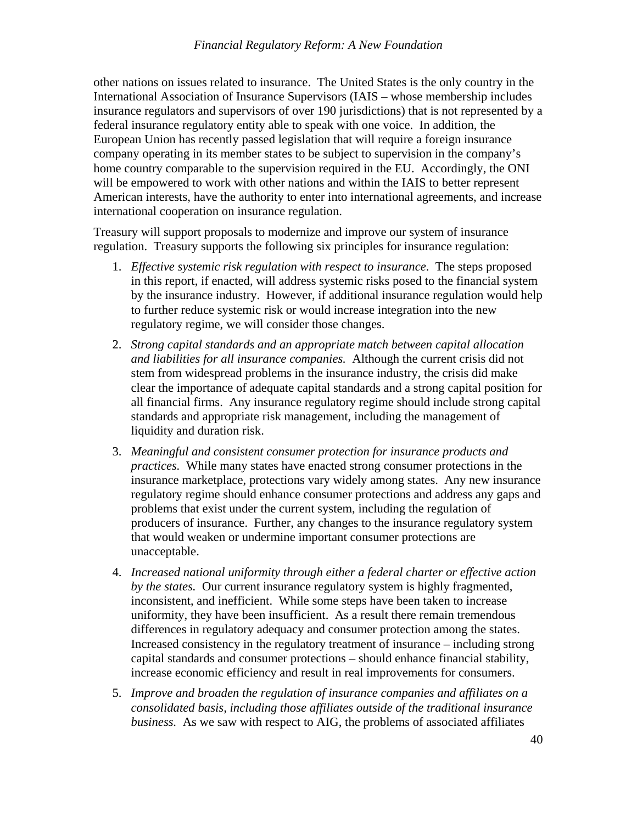other nations on issues related to insurance. The United States is the only country in the International Association of Insurance Supervisors (IAIS – whose membership includes insurance regulators and supervisors of over 190 jurisdictions) that is not represented by a federal insurance regulatory entity able to speak with one voice. In addition, the European Union has recently passed legislation that will require a foreign insurance company operating in its member states to be subject to supervision in the company's home country comparable to the supervision required in the EU. Accordingly, the ONI will be empowered to work with other nations and within the IAIS to better represent American interests, have the authority to enter into international agreements, and increase international cooperation on insurance regulation.

Treasury will support proposals to modernize and improve our system of insurance regulation. Treasury supports the following six principles for insurance regulation:

- 1. *Effective systemic risk regulation with respect to insurance*. The steps proposed in this report, if enacted, will address systemic risks posed to the financial system by the insurance industry. However, if additional insurance regulation would help to further reduce systemic risk or would increase integration into the new regulatory regime, we will consider those changes.
- 2. *Strong capital standards and an appropriate match between capital allocation and liabilities for all insurance companies.* Although the current crisis did not stem from widespread problems in the insurance industry, the crisis did make clear the importance of adequate capital standards and a strong capital position for all financial firms. Any insurance regulatory regime should include strong capital standards and appropriate risk management, including the management of liquidity and duration risk.
- 3. *Meaningful and consistent consumer protection for insurance products and practices.* While many states have enacted strong consumer protections in the insurance marketplace, protections vary widely among states. Any new insurance regulatory regime should enhance consumer protections and address any gaps and problems that exist under the current system, including the regulation of producers of insurance. Further, any changes to the insurance regulatory system that would weaken or undermine important consumer protections are unacceptable.
- 4. *Increased national uniformity through either a federal charter or effective action by the states.* Our current insurance regulatory system is highly fragmented, inconsistent, and inefficient. While some steps have been taken to increase uniformity, they have been insufficient. As a result there remain tremendous differences in regulatory adequacy and consumer protection among the states. Increased consistency in the regulatory treatment of insurance – including strong capital standards and consumer protections – should enhance financial stability, increase economic efficiency and result in real improvements for consumers.
- 5. *Improve and broaden the regulation of insurance companies and affiliates on a consolidated basis, including those affiliates outside of the traditional insurance business.* As we saw with respect to AIG, the problems of associated affiliates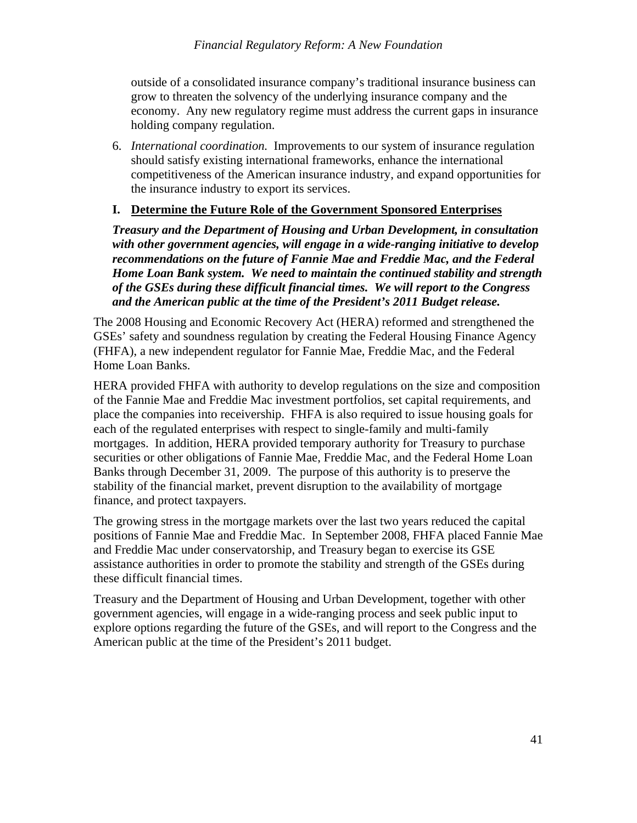outside of a consolidated insurance company's traditional insurance business can grow to threaten the solvency of the underlying insurance company and the economy. Any new regulatory regime must address the current gaps in insurance holding company regulation.

6. *International coordination.* Improvements to our system of insurance regulation should satisfy existing international frameworks, enhance the international competitiveness of the American insurance industry, and expand opportunities for the insurance industry to export its services.

## **I. Determine the Future Role of the Government Sponsored Enterprises**

*Treasury and the Department of Housing and Urban Development, in consultation with other government agencies, will engage in a wide-ranging initiative to develop recommendations on the future of Fannie Mae and Freddie Mac, and the Federal Home Loan Bank system. We need to maintain the continued stability and strength of the GSEs during these difficult financial times. We will report to the Congress and the American public at the time of the President's 2011 Budget release.* 

The 2008 Housing and Economic Recovery Act (HERA) reformed and strengthened the GSEs' safety and soundness regulation by creating the Federal Housing Finance Agency (FHFA), a new independent regulator for Fannie Mae, Freddie Mac, and the Federal Home Loan Banks.

HERA provided FHFA with authority to develop regulations on the size and composition of the Fannie Mae and Freddie Mac investment portfolios, set capital requirements, and place the companies into receivership. FHFA is also required to issue housing goals for each of the regulated enterprises with respect to single-family and multi-family mortgages. In addition, HERA provided temporary authority for Treasury to purchase securities or other obligations of Fannie Mae, Freddie Mac, and the Federal Home Loan Banks through December 31, 2009. The purpose of this authority is to preserve the stability of the financial market, prevent disruption to the availability of mortgage finance, and protect taxpayers.

The growing stress in the mortgage markets over the last two years reduced the capital positions of Fannie Mae and Freddie Mac. In September 2008, FHFA placed Fannie Mae and Freddie Mac under conservatorship, and Treasury began to exercise its GSE assistance authorities in order to promote the stability and strength of the GSEs during these difficult financial times.

Treasury and the Department of Housing and Urban Development, together with other government agencies, will engage in a wide-ranging process and seek public input to explore options regarding the future of the GSEs, and will report to the Congress and the American public at the time of the President's 2011 budget.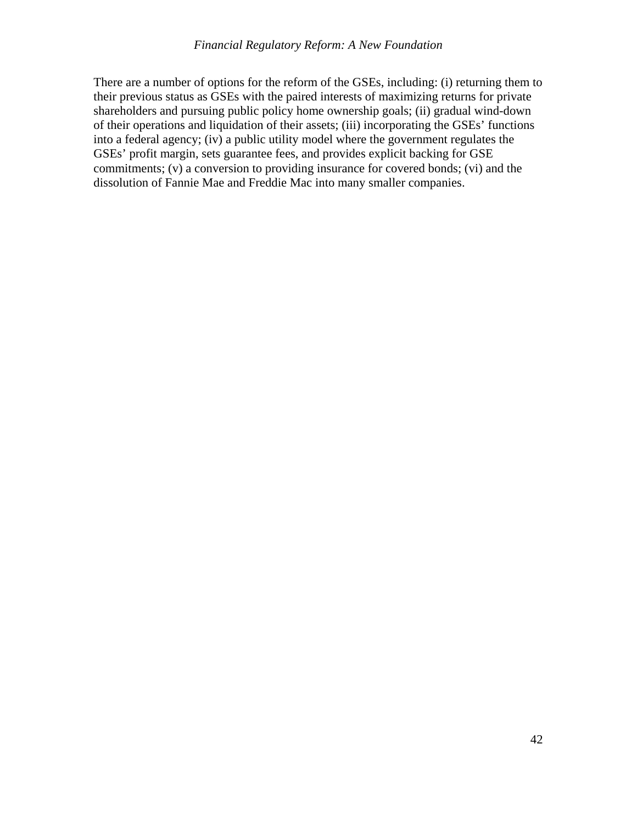There are a number of options for the reform of the GSEs, including: (i) returning them to their previous status as GSEs with the paired interests of maximizing returns for private shareholders and pursuing public policy home ownership goals; (ii) gradual wind-down of their operations and liquidation of their assets; (iii) incorporating the GSEs' functions into a federal agency; (iv) a public utility model where the government regulates the GSEs' profit margin, sets guarantee fees, and provides explicit backing for GSE commitments; (v) a conversion to providing insurance for covered bonds; (vi) and the dissolution of Fannie Mae and Freddie Mac into many smaller companies.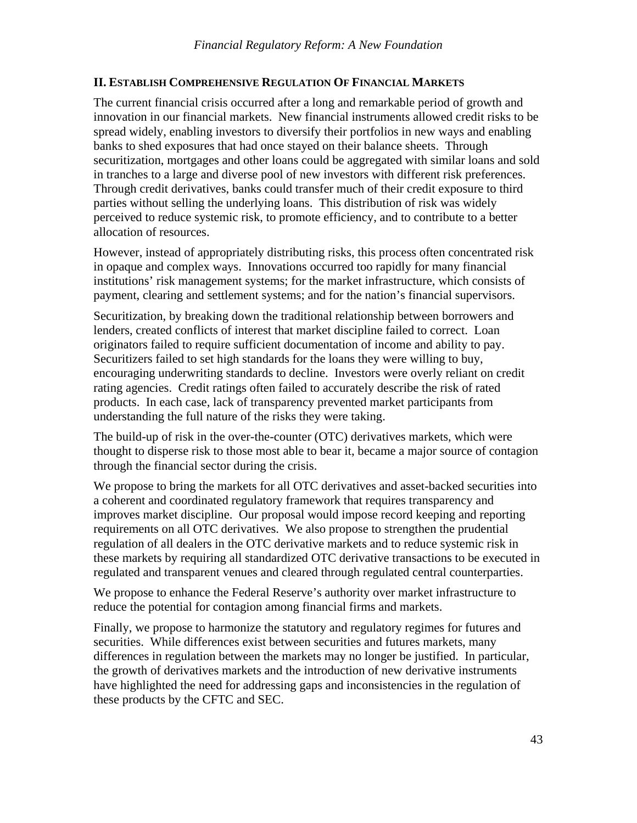# **II. ESTABLISH COMPREHENSIVE REGULATION OF FINANCIAL MARKETS**

The current financial crisis occurred after a long and remarkable period of growth and innovation in our financial markets. New financial instruments allowed credit risks to be spread widely, enabling investors to diversify their portfolios in new ways and enabling banks to shed exposures that had once stayed on their balance sheets. Through securitization, mortgages and other loans could be aggregated with similar loans and sold in tranches to a large and diverse pool of new investors with different risk preferences. Through credit derivatives, banks could transfer much of their credit exposure to third parties without selling the underlying loans. This distribution of risk was widely perceived to reduce systemic risk, to promote efficiency, and to contribute to a better allocation of resources.

However, instead of appropriately distributing risks, this process often concentrated risk in opaque and complex ways. Innovations occurred too rapidly for many financial institutions' risk management systems; for the market infrastructure, which consists of payment, clearing and settlement systems; and for the nation's financial supervisors.

Securitization, by breaking down the traditional relationship between borrowers and lenders, created conflicts of interest that market discipline failed to correct. Loan originators failed to require sufficient documentation of income and ability to pay. Securitizers failed to set high standards for the loans they were willing to buy, encouraging underwriting standards to decline. Investors were overly reliant on credit rating agencies. Credit ratings often failed to accurately describe the risk of rated products. In each case, lack of transparency prevented market participants from understanding the full nature of the risks they were taking.

The build-up of risk in the over-the-counter (OTC) derivatives markets, which were thought to disperse risk to those most able to bear it, became a major source of contagion through the financial sector during the crisis.

We propose to bring the markets for all OTC derivatives and asset-backed securities into a coherent and coordinated regulatory framework that requires transparency and improves market discipline. Our proposal would impose record keeping and reporting requirements on all OTC derivatives. We also propose to strengthen the prudential regulation of all dealers in the OTC derivative markets and to reduce systemic risk in these markets by requiring all standardized OTC derivative transactions to be executed in regulated and transparent venues and cleared through regulated central counterparties.

We propose to enhance the Federal Reserve's authority over market infrastructure to reduce the potential for contagion among financial firms and markets.

Finally, we propose to harmonize the statutory and regulatory regimes for futures and securities. While differences exist between securities and futures markets, many differences in regulation between the markets may no longer be justified. In particular, the growth of derivatives markets and the introduction of new derivative instruments have highlighted the need for addressing gaps and inconsistencies in the regulation of these products by the CFTC and SEC.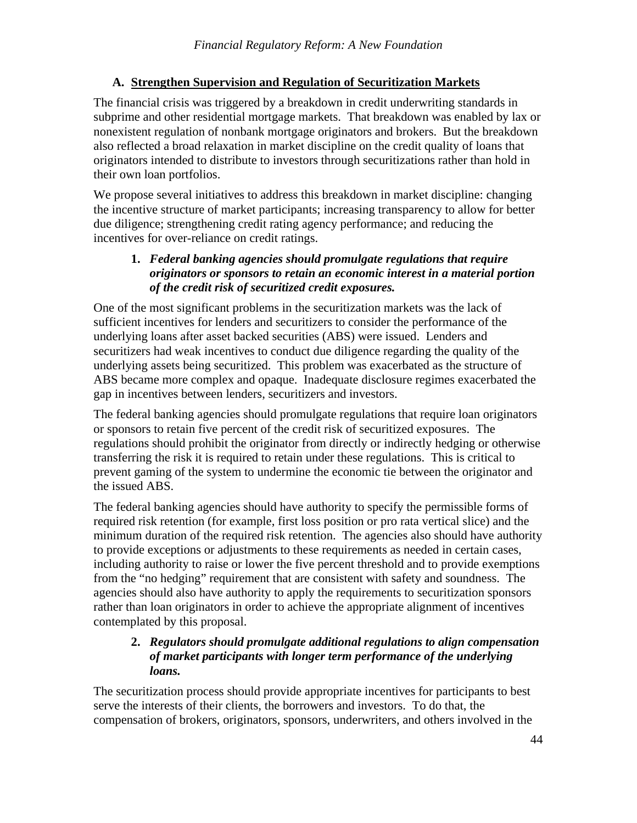# **A. Strengthen Supervision and Regulation of Securitization Markets**

The financial crisis was triggered by a breakdown in credit underwriting standards in subprime and other residential mortgage markets. That breakdown was enabled by lax or nonexistent regulation of nonbank mortgage originators and brokers. But the breakdown also reflected a broad relaxation in market discipline on the credit quality of loans that originators intended to distribute to investors through securitizations rather than hold in their own loan portfolios.

We propose several initiatives to address this breakdown in market discipline: changing the incentive structure of market participants; increasing transparency to allow for better due diligence; strengthening credit rating agency performance; and reducing the incentives for over-reliance on credit ratings.

# **1.** *Federal banking agencies should promulgate regulations that require originators or sponsors to retain an economic interest in a material portion of the credit risk of securitized credit exposures.*

One of the most significant problems in the securitization markets was the lack of sufficient incentives for lenders and securitizers to consider the performance of the underlying loans after asset backed securities (ABS) were issued. Lenders and securitizers had weak incentives to conduct due diligence regarding the quality of the underlying assets being securitized. This problem was exacerbated as the structure of ABS became more complex and opaque. Inadequate disclosure regimes exacerbated the gap in incentives between lenders, securitizers and investors.

The federal banking agencies should promulgate regulations that require loan originators or sponsors to retain five percent of the credit risk of securitized exposures. The regulations should prohibit the originator from directly or indirectly hedging or otherwise transferring the risk it is required to retain under these regulations. This is critical to prevent gaming of the system to undermine the economic tie between the originator and the issued ABS.

The federal banking agencies should have authority to specify the permissible forms of required risk retention (for example, first loss position or pro rata vertical slice) and the minimum duration of the required risk retention. The agencies also should have authority to provide exceptions or adjustments to these requirements as needed in certain cases, including authority to raise or lower the five percent threshold and to provide exemptions from the "no hedging" requirement that are consistent with safety and soundness. The agencies should also have authority to apply the requirements to securitization sponsors rather than loan originators in order to achieve the appropriate alignment of incentives contemplated by this proposal.

# **2.** *Regulators should promulgate additional regulations to align compensation of market participants with longer term performance of the underlying loans.*

The securitization process should provide appropriate incentives for participants to best serve the interests of their clients, the borrowers and investors. To do that, the compensation of brokers, originators, sponsors, underwriters, and others involved in the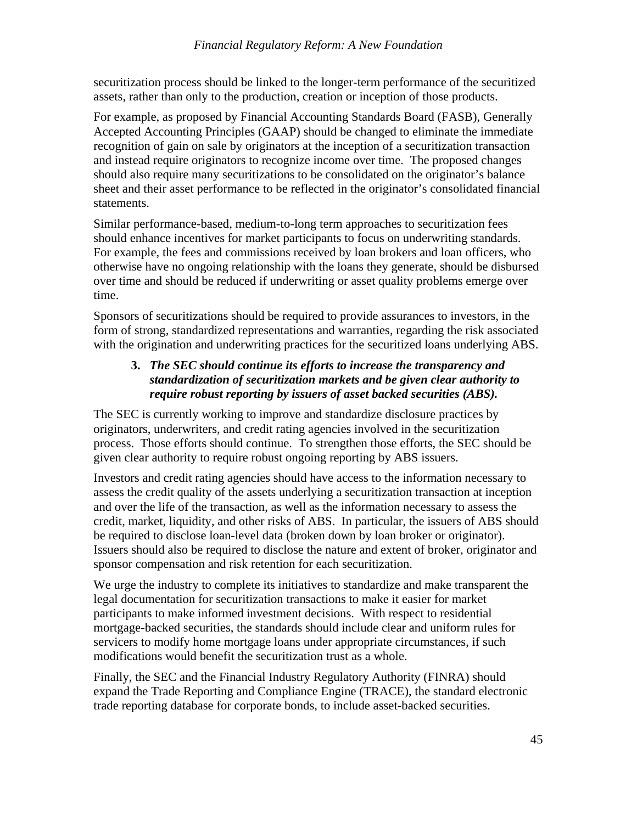securitization process should be linked to the longer-term performance of the securitized assets, rather than only to the production, creation or inception of those products.

For example, as proposed by Financial Accounting Standards Board (FASB), Generally Accepted Accounting Principles (GAAP) should be changed to eliminate the immediate recognition of gain on sale by originators at the inception of a securitization transaction and instead require originators to recognize income over time. The proposed changes should also require many securitizations to be consolidated on the originator's balance sheet and their asset performance to be reflected in the originator's consolidated financial statements.

Similar performance-based, medium-to-long term approaches to securitization fees should enhance incentives for market participants to focus on underwriting standards. For example, the fees and commissions received by loan brokers and loan officers, who otherwise have no ongoing relationship with the loans they generate, should be disbursed over time and should be reduced if underwriting or asset quality problems emerge over time.

Sponsors of securitizations should be required to provide assurances to investors, in the form of strong, standardized representations and warranties, regarding the risk associated with the origination and underwriting practices for the securitized loans underlying ABS.

# **3.** *The SEC should continue its efforts to increase the transparency and standardization of securitization markets and be given clear authority to require robust reporting by issuers of asset backed securities (ABS).*

The SEC is currently working to improve and standardize disclosure practices by originators, underwriters, and credit rating agencies involved in the securitization process. Those efforts should continue. To strengthen those efforts, the SEC should be given clear authority to require robust ongoing reporting by ABS issuers.

Investors and credit rating agencies should have access to the information necessary to assess the credit quality of the assets underlying a securitization transaction at inception and over the life of the transaction, as well as the information necessary to assess the credit, market, liquidity, and other risks of ABS. In particular, the issuers of ABS should be required to disclose loan-level data (broken down by loan broker or originator). Issuers should also be required to disclose the nature and extent of broker, originator and sponsor compensation and risk retention for each securitization.

We urge the industry to complete its initiatives to standardize and make transparent the legal documentation for securitization transactions to make it easier for market participants to make informed investment decisions. With respect to residential mortgage-backed securities, the standards should include clear and uniform rules for servicers to modify home mortgage loans under appropriate circumstances, if such modifications would benefit the securitization trust as a whole.

Finally, the SEC and the Financial Industry Regulatory Authority (FINRA) should expand the Trade Reporting and Compliance Engine (TRACE), the standard electronic trade reporting database for corporate bonds, to include asset-backed securities.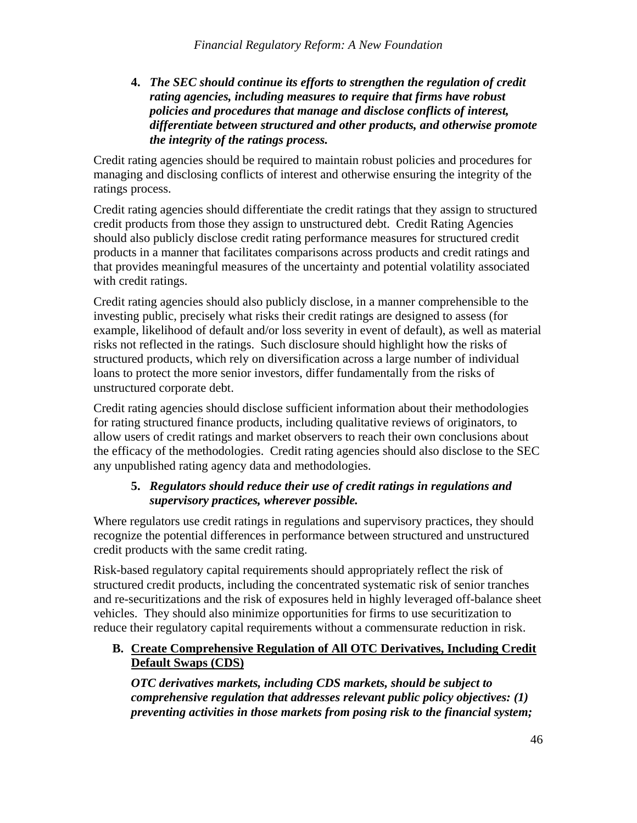# **4.** *The SEC should continue its efforts to strengthen the regulation of credit rating agencies, including measures to require that firms have robust policies and procedures that manage and disclose conflicts of interest, differentiate between structured and other products, and otherwise promote the integrity of the ratings process.*

Credit rating agencies should be required to maintain robust policies and procedures for managing and disclosing conflicts of interest and otherwise ensuring the integrity of the ratings process.

Credit rating agencies should differentiate the credit ratings that they assign to structured credit products from those they assign to unstructured debt. Credit Rating Agencies should also publicly disclose credit rating performance measures for structured credit products in a manner that facilitates comparisons across products and credit ratings and that provides meaningful measures of the uncertainty and potential volatility associated with credit ratings.

Credit rating agencies should also publicly disclose, in a manner comprehensible to the investing public, precisely what risks their credit ratings are designed to assess (for example, likelihood of default and/or loss severity in event of default), as well as material risks not reflected in the ratings. Such disclosure should highlight how the risks of structured products, which rely on diversification across a large number of individual loans to protect the more senior investors, differ fundamentally from the risks of unstructured corporate debt.

Credit rating agencies should disclose sufficient information about their methodologies for rating structured finance products, including qualitative reviews of originators, to allow users of credit ratings and market observers to reach their own conclusions about the efficacy of the methodologies. Credit rating agencies should also disclose to the SEC any unpublished rating agency data and methodologies.

# **5.** *Regulators should reduce their use of credit ratings in regulations and supervisory practices, wherever possible.*

Where regulators use credit ratings in regulations and supervisory practices, they should recognize the potential differences in performance between structured and unstructured credit products with the same credit rating.

Risk-based regulatory capital requirements should appropriately reflect the risk of structured credit products, including the concentrated systematic risk of senior tranches and re-securitizations and the risk of exposures held in highly leveraged off-balance sheet vehicles. They should also minimize opportunities for firms to use securitization to reduce their regulatory capital requirements without a commensurate reduction in risk.

# **B. Create Comprehensive Regulation of All OTC Derivatives, Including Credit Default Swaps (CDS)**

*OTC derivatives markets, including CDS markets, should be subject to comprehensive regulation that addresses relevant public policy objectives: (1) preventing activities in those markets from posing risk to the financial system;*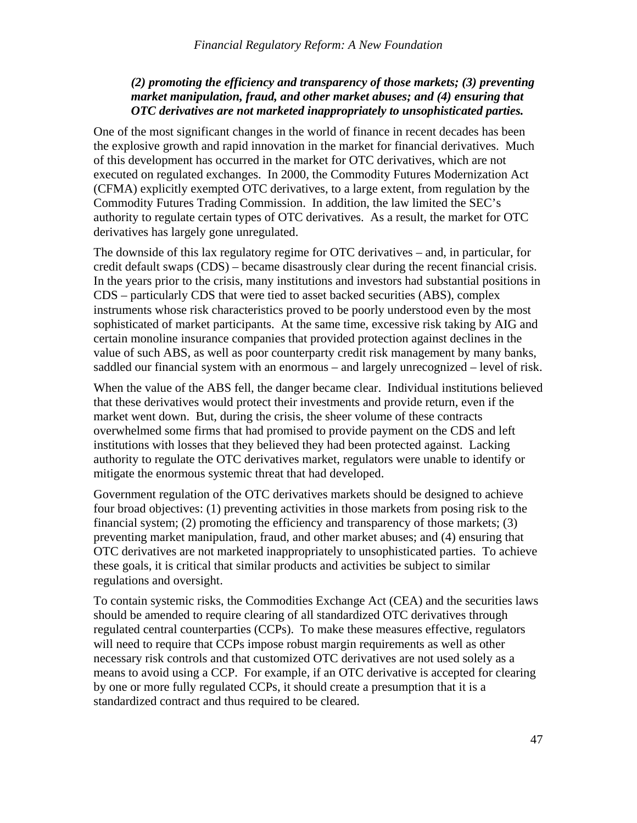## *(2) promoting the efficiency and transparency of those markets; (3) preventing market manipulation, fraud, and other market abuses; and (4) ensuring that OTC derivatives are not marketed inappropriately to unsophisticated parties.*

One of the most significant changes in the world of finance in recent decades has been the explosive growth and rapid innovation in the market for financial derivatives. Much of this development has occurred in the market for OTC derivatives, which are not executed on regulated exchanges. In 2000, the Commodity Futures Modernization Act (CFMA) explicitly exempted OTC derivatives, to a large extent, from regulation by the Commodity Futures Trading Commission. In addition, the law limited the SEC's authority to regulate certain types of OTC derivatives. As a result, the market for OTC derivatives has largely gone unregulated.

The downside of this lax regulatory regime for OTC derivatives – and, in particular, for credit default swaps (CDS) – became disastrously clear during the recent financial crisis. In the years prior to the crisis, many institutions and investors had substantial positions in CDS – particularly CDS that were tied to asset backed securities (ABS), complex instruments whose risk characteristics proved to be poorly understood even by the most sophisticated of market participants. At the same time, excessive risk taking by AIG and certain monoline insurance companies that provided protection against declines in the value of such ABS, as well as poor counterparty credit risk management by many banks, saddled our financial system with an enormous – and largely unrecognized – level of risk.

When the value of the ABS fell, the danger became clear. Individual institutions believed that these derivatives would protect their investments and provide return, even if the market went down. But, during the crisis, the sheer volume of these contracts overwhelmed some firms that had promised to provide payment on the CDS and left institutions with losses that they believed they had been protected against. Lacking authority to regulate the OTC derivatives market, regulators were unable to identify or mitigate the enormous systemic threat that had developed.

Government regulation of the OTC derivatives markets should be designed to achieve four broad objectives: (1) preventing activities in those markets from posing risk to the financial system; (2) promoting the efficiency and transparency of those markets; (3) preventing market manipulation, fraud, and other market abuses; and (4) ensuring that OTC derivatives are not marketed inappropriately to unsophisticated parties. To achieve these goals, it is critical that similar products and activities be subject to similar regulations and oversight.

To contain systemic risks, the Commodities Exchange Act (CEA) and the securities laws should be amended to require clearing of all standardized OTC derivatives through regulated central counterparties (CCPs). To make these measures effective, regulators will need to require that CCPs impose robust margin requirements as well as other necessary risk controls and that customized OTC derivatives are not used solely as a means to avoid using a CCP. For example, if an OTC derivative is accepted for clearing by one or more fully regulated CCPs, it should create a presumption that it is a standardized contract and thus required to be cleared.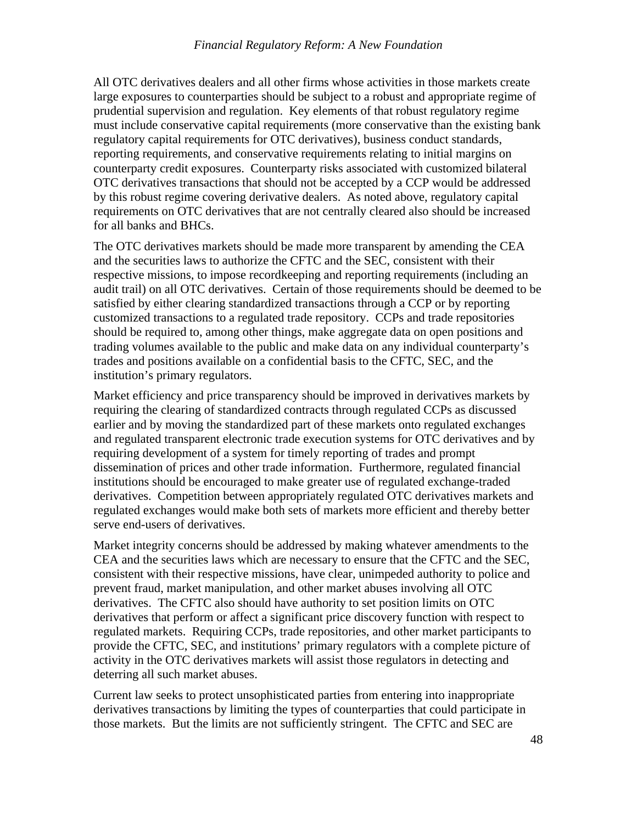All OTC derivatives dealers and all other firms whose activities in those markets create large exposures to counterparties should be subject to a robust and appropriate regime of prudential supervision and regulation. Key elements of that robust regulatory regime must include conservative capital requirements (more conservative than the existing bank regulatory capital requirements for OTC derivatives), business conduct standards, reporting requirements, and conservative requirements relating to initial margins on counterparty credit exposures. Counterparty risks associated with customized bilateral OTC derivatives transactions that should not be accepted by a CCP would be addressed by this robust regime covering derivative dealers. As noted above, regulatory capital requirements on OTC derivatives that are not centrally cleared also should be increased for all banks and BHCs.

The OTC derivatives markets should be made more transparent by amending the CEA and the securities laws to authorize the CFTC and the SEC, consistent with their respective missions, to impose recordkeeping and reporting requirements (including an audit trail) on all OTC derivatives. Certain of those requirements should be deemed to be satisfied by either clearing standardized transactions through a CCP or by reporting customized transactions to a regulated trade repository. CCPs and trade repositories should be required to, among other things, make aggregate data on open positions and trading volumes available to the public and make data on any individual counterparty's trades and positions available on a confidential basis to the CFTC, SEC, and the institution's primary regulators.

Market efficiency and price transparency should be improved in derivatives markets by requiring the clearing of standardized contracts through regulated CCPs as discussed earlier and by moving the standardized part of these markets onto regulated exchanges and regulated transparent electronic trade execution systems for OTC derivatives and by requiring development of a system for timely reporting of trades and prompt dissemination of prices and other trade information. Furthermore, regulated financial institutions should be encouraged to make greater use of regulated exchange-traded derivatives. Competition between appropriately regulated OTC derivatives markets and regulated exchanges would make both sets of markets more efficient and thereby better serve end-users of derivatives.

Market integrity concerns should be addressed by making whatever amendments to the CEA and the securities laws which are necessary to ensure that the CFTC and the SEC, consistent with their respective missions, have clear, unimpeded authority to police and prevent fraud, market manipulation, and other market abuses involving all OTC derivatives. The CFTC also should have authority to set position limits on OTC derivatives that perform or affect a significant price discovery function with respect to regulated markets. Requiring CCPs, trade repositories, and other market participants to provide the CFTC, SEC, and institutions' primary regulators with a complete picture of activity in the OTC derivatives markets will assist those regulators in detecting and deterring all such market abuses.

Current law seeks to protect unsophisticated parties from entering into inappropriate derivatives transactions by limiting the types of counterparties that could participate in those markets. But the limits are not sufficiently stringent. The CFTC and SEC are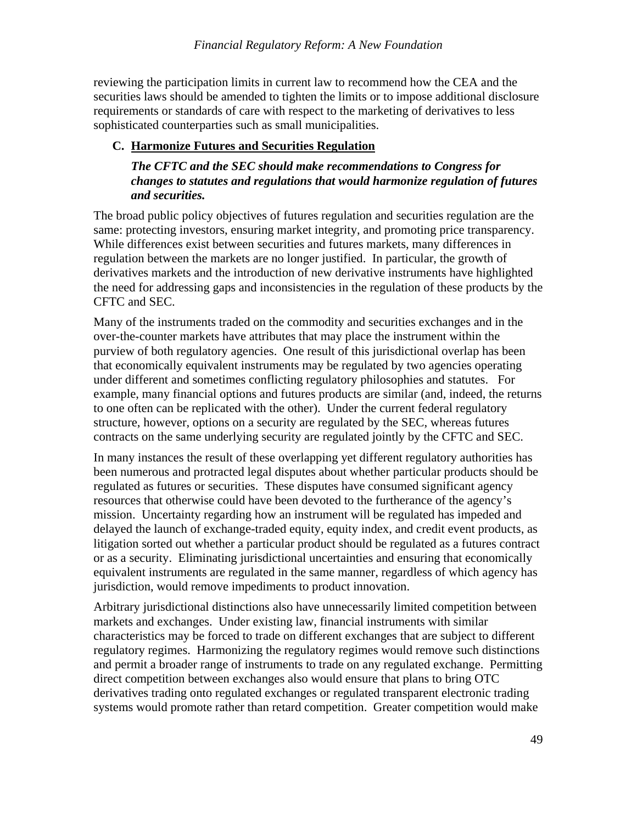reviewing the participation limits in current law to recommend how the CEA and the securities laws should be amended to tighten the limits or to impose additional disclosure requirements or standards of care with respect to the marketing of derivatives to less sophisticated counterparties such as small municipalities.

### **C. Harmonize Futures and Securities Regulation**

*The CFTC and the SEC should make recommendations to Congress for changes to statutes and regulations that would harmonize regulation of futures and securities.* 

The broad public policy objectives of futures regulation and securities regulation are the same: protecting investors, ensuring market integrity, and promoting price transparency. While differences exist between securities and futures markets, many differences in regulation between the markets are no longer justified. In particular, the growth of derivatives markets and the introduction of new derivative instruments have highlighted the need for addressing gaps and inconsistencies in the regulation of these products by the CFTC and SEC.

Many of the instruments traded on the commodity and securities exchanges and in the over-the-counter markets have attributes that may place the instrument within the purview of both regulatory agencies. One result of this jurisdictional overlap has been that economically equivalent instruments may be regulated by two agencies operating under different and sometimes conflicting regulatory philosophies and statutes. For example, many financial options and futures products are similar (and, indeed, the returns to one often can be replicated with the other). Under the current federal regulatory structure, however, options on a security are regulated by the SEC, whereas futures contracts on the same underlying security are regulated jointly by the CFTC and SEC.

In many instances the result of these overlapping yet different regulatory authorities has been numerous and protracted legal disputes about whether particular products should be regulated as futures or securities. These disputes have consumed significant agency resources that otherwise could have been devoted to the furtherance of the agency's mission. Uncertainty regarding how an instrument will be regulated has impeded and delayed the launch of exchange-traded equity, equity index, and credit event products, as litigation sorted out whether a particular product should be regulated as a futures contract or as a security. Eliminating jurisdictional uncertainties and ensuring that economically equivalent instruments are regulated in the same manner, regardless of which agency has jurisdiction, would remove impediments to product innovation.

Arbitrary jurisdictional distinctions also have unnecessarily limited competition between markets and exchanges. Under existing law, financial instruments with similar characteristics may be forced to trade on different exchanges that are subject to different regulatory regimes. Harmonizing the regulatory regimes would remove such distinctions and permit a broader range of instruments to trade on any regulated exchange. Permitting direct competition between exchanges also would ensure that plans to bring OTC derivatives trading onto regulated exchanges or regulated transparent electronic trading systems would promote rather than retard competition. Greater competition would make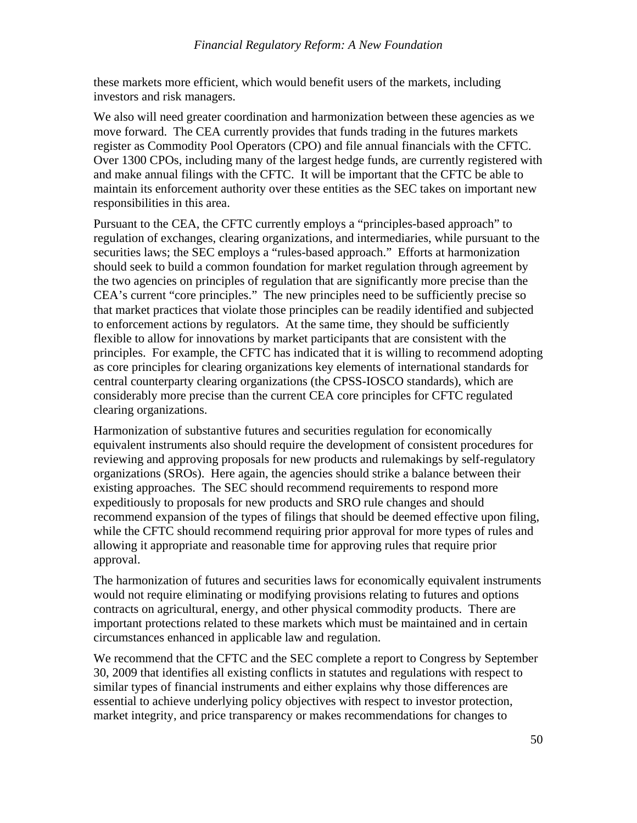these markets more efficient, which would benefit users of the markets, including investors and risk managers.

We also will need greater coordination and harmonization between these agencies as we move forward. The CEA currently provides that funds trading in the futures markets register as Commodity Pool Operators (CPO) and file annual financials with the CFTC. Over 1300 CPOs, including many of the largest hedge funds, are currently registered with and make annual filings with the CFTC. It will be important that the CFTC be able to maintain its enforcement authority over these entities as the SEC takes on important new responsibilities in this area.

Pursuant to the CEA, the CFTC currently employs a "principles-based approach" to regulation of exchanges, clearing organizations, and intermediaries, while pursuant to the securities laws; the SEC employs a "rules-based approach." Efforts at harmonization should seek to build a common foundation for market regulation through agreement by the two agencies on principles of regulation that are significantly more precise than the CEA's current "core principles." The new principles need to be sufficiently precise so that market practices that violate those principles can be readily identified and subjected to enforcement actions by regulators. At the same time, they should be sufficiently flexible to allow for innovations by market participants that are consistent with the principles. For example, the CFTC has indicated that it is willing to recommend adopting as core principles for clearing organizations key elements of international standards for central counterparty clearing organizations (the CPSS-IOSCO standards), which are considerably more precise than the current CEA core principles for CFTC regulated clearing organizations.

Harmonization of substantive futures and securities regulation for economically equivalent instruments also should require the development of consistent procedures for reviewing and approving proposals for new products and rulemakings by self-regulatory organizations (SROs). Here again, the agencies should strike a balance between their existing approaches. The SEC should recommend requirements to respond more expeditiously to proposals for new products and SRO rule changes and should recommend expansion of the types of filings that should be deemed effective upon filing, while the CFTC should recommend requiring prior approval for more types of rules and allowing it appropriate and reasonable time for approving rules that require prior approval.

The harmonization of futures and securities laws for economically equivalent instruments would not require eliminating or modifying provisions relating to futures and options contracts on agricultural, energy, and other physical commodity products. There are important protections related to these markets which must be maintained and in certain circumstances enhanced in applicable law and regulation.

We recommend that the CFTC and the SEC complete a report to Congress by September 30, 2009 that identifies all existing conflicts in statutes and regulations with respect to similar types of financial instruments and either explains why those differences are essential to achieve underlying policy objectives with respect to investor protection, market integrity, and price transparency or makes recommendations for changes to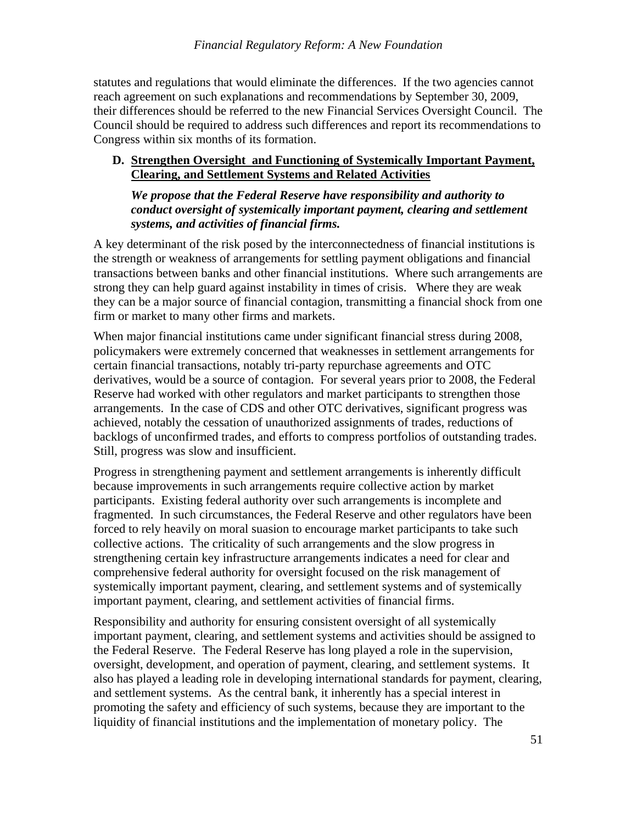statutes and regulations that would eliminate the differences. If the two agencies cannot reach agreement on such explanations and recommendations by September 30, 2009, their differences should be referred to the new Financial Services Oversight Council. The Council should be required to address such differences and report its recommendations to Congress within six months of its formation.

# **D. Strengthen Oversight and Functioning of Systemically Important Payment, Clearing, and Settlement Systems and Related Activities**

*We propose that the Federal Reserve have responsibility and authority to conduct oversight of systemically important payment, clearing and settlement systems, and activities of financial firms.* 

A key determinant of the risk posed by the interconnectedness of financial institutions is the strength or weakness of arrangements for settling payment obligations and financial transactions between banks and other financial institutions. Where such arrangements are strong they can help guard against instability in times of crisis. Where they are weak they can be a major source of financial contagion, transmitting a financial shock from one firm or market to many other firms and markets.

When major financial institutions came under significant financial stress during 2008, policymakers were extremely concerned that weaknesses in settlement arrangements for certain financial transactions, notably tri-party repurchase agreements and OTC derivatives, would be a source of contagion. For several years prior to 2008, the Federal Reserve had worked with other regulators and market participants to strengthen those arrangements. In the case of CDS and other OTC derivatives, significant progress was achieved, notably the cessation of unauthorized assignments of trades, reductions of backlogs of unconfirmed trades, and efforts to compress portfolios of outstanding trades. Still, progress was slow and insufficient.

Progress in strengthening payment and settlement arrangements is inherently difficult because improvements in such arrangements require collective action by market participants. Existing federal authority over such arrangements is incomplete and fragmented. In such circumstances, the Federal Reserve and other regulators have been forced to rely heavily on moral suasion to encourage market participants to take such collective actions. The criticality of such arrangements and the slow progress in strengthening certain key infrastructure arrangements indicates a need for clear and comprehensive federal authority for oversight focused on the risk management of systemically important payment, clearing, and settlement systems and of systemically important payment, clearing, and settlement activities of financial firms.

Responsibility and authority for ensuring consistent oversight of all systemically important payment, clearing, and settlement systems and activities should be assigned to the Federal Reserve. The Federal Reserve has long played a role in the supervision, oversight, development, and operation of payment, clearing, and settlement systems. It also has played a leading role in developing international standards for payment, clearing, and settlement systems. As the central bank, it inherently has a special interest in promoting the safety and efficiency of such systems, because they are important to the liquidity of financial institutions and the implementation of monetary policy. The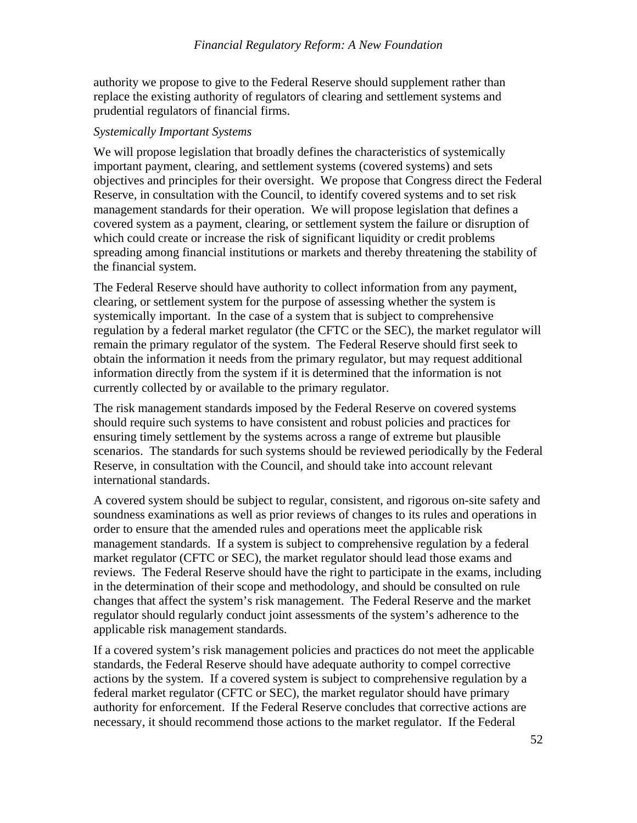authority we propose to give to the Federal Reserve should supplement rather than replace the existing authority of regulators of clearing and settlement systems and prudential regulators of financial firms.

### *Systemically Important Systems*

We will propose legislation that broadly defines the characteristics of systemically important payment, clearing, and settlement systems (covered systems) and sets objectives and principles for their oversight. We propose that Congress direct the Federal Reserve, in consultation with the Council, to identify covered systems and to set risk management standards for their operation. We will propose legislation that defines a covered system as a payment, clearing, or settlement system the failure or disruption of which could create or increase the risk of significant liquidity or credit problems spreading among financial institutions or markets and thereby threatening the stability of the financial system.

The Federal Reserve should have authority to collect information from any payment, clearing, or settlement system for the purpose of assessing whether the system is systemically important. In the case of a system that is subject to comprehensive regulation by a federal market regulator (the CFTC or the SEC), the market regulator will remain the primary regulator of the system. The Federal Reserve should first seek to obtain the information it needs from the primary regulator, but may request additional information directly from the system if it is determined that the information is not currently collected by or available to the primary regulator.

The risk management standards imposed by the Federal Reserve on covered systems should require such systems to have consistent and robust policies and practices for ensuring timely settlement by the systems across a range of extreme but plausible scenarios. The standards for such systems should be reviewed periodically by the Federal Reserve, in consultation with the Council, and should take into account relevant international standards.

A covered system should be subject to regular, consistent, and rigorous on-site safety and soundness examinations as well as prior reviews of changes to its rules and operations in order to ensure that the amended rules and operations meet the applicable risk management standards. If a system is subject to comprehensive regulation by a federal market regulator (CFTC or SEC), the market regulator should lead those exams and reviews. The Federal Reserve should have the right to participate in the exams, including in the determination of their scope and methodology, and should be consulted on rule changes that affect the system's risk management. The Federal Reserve and the market regulator should regularly conduct joint assessments of the system's adherence to the applicable risk management standards.

If a covered system's risk management policies and practices do not meet the applicable standards, the Federal Reserve should have adequate authority to compel corrective actions by the system. If a covered system is subject to comprehensive regulation by a federal market regulator (CFTC or SEC), the market regulator should have primary authority for enforcement. If the Federal Reserve concludes that corrective actions are necessary, it should recommend those actions to the market regulator. If the Federal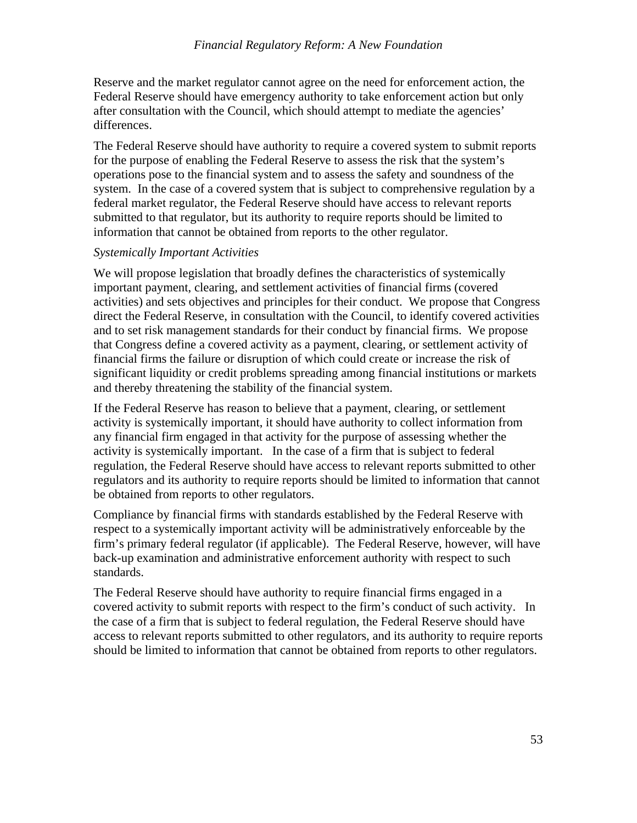Reserve and the market regulator cannot agree on the need for enforcement action, the Federal Reserve should have emergency authority to take enforcement action but only after consultation with the Council, which should attempt to mediate the agencies' differences.

The Federal Reserve should have authority to require a covered system to submit reports for the purpose of enabling the Federal Reserve to assess the risk that the system's operations pose to the financial system and to assess the safety and soundness of the system. In the case of a covered system that is subject to comprehensive regulation by a federal market regulator, the Federal Reserve should have access to relevant reports submitted to that regulator, but its authority to require reports should be limited to information that cannot be obtained from reports to the other regulator.

#### *Systemically Important Activities*

We will propose legislation that broadly defines the characteristics of systemically important payment, clearing, and settlement activities of financial firms (covered activities) and sets objectives and principles for their conduct. We propose that Congress direct the Federal Reserve, in consultation with the Council, to identify covered activities and to set risk management standards for their conduct by financial firms. We propose that Congress define a covered activity as a payment, clearing, or settlement activity of financial firms the failure or disruption of which could create or increase the risk of significant liquidity or credit problems spreading among financial institutions or markets and thereby threatening the stability of the financial system.

If the Federal Reserve has reason to believe that a payment, clearing, or settlement activity is systemically important, it should have authority to collect information from any financial firm engaged in that activity for the purpose of assessing whether the activity is systemically important. In the case of a firm that is subject to federal regulation, the Federal Reserve should have access to relevant reports submitted to other regulators and its authority to require reports should be limited to information that cannot be obtained from reports to other regulators.

Compliance by financial firms with standards established by the Federal Reserve with respect to a systemically important activity will be administratively enforceable by the firm's primary federal regulator (if applicable). The Federal Reserve, however, will have back-up examination and administrative enforcement authority with respect to such standards.

The Federal Reserve should have authority to require financial firms engaged in a covered activity to submit reports with respect to the firm's conduct of such activity. In the case of a firm that is subject to federal regulation, the Federal Reserve should have access to relevant reports submitted to other regulators, and its authority to require reports should be limited to information that cannot be obtained from reports to other regulators.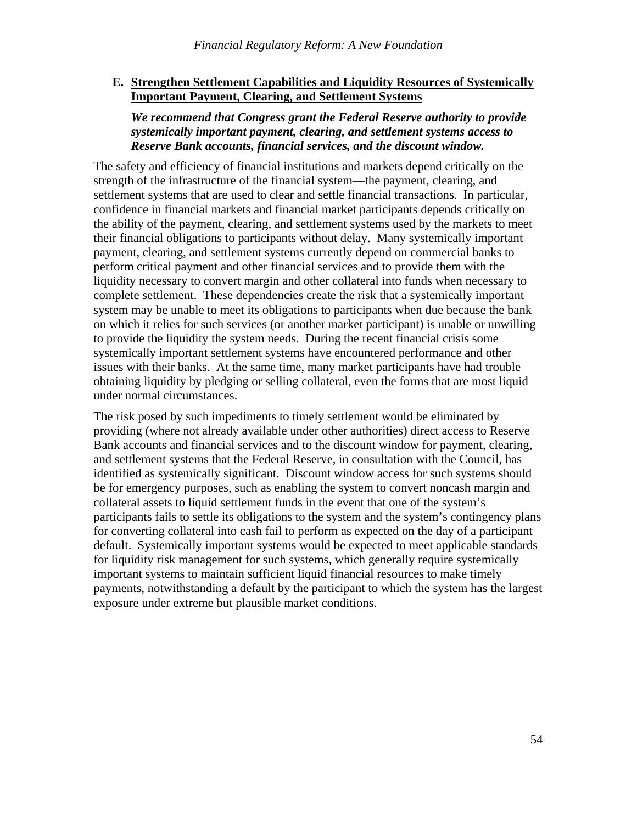# **E. Strengthen Settlement Capabilities and Liquidity Resources of Systemically Important Payment, Clearing, and Settlement Systems**

*We recommend that Congress grant the Federal Reserve authority to provide systemically important payment, clearing, and settlement systems access to Reserve Bank accounts, financial services, and the discount window.* 

The safety and efficiency of financial institutions and markets depend critically on the strength of the infrastructure of the financial system—the payment, clearing, and settlement systems that are used to clear and settle financial transactions. In particular, confidence in financial markets and financial market participants depends critically on the ability of the payment, clearing, and settlement systems used by the markets to meet their financial obligations to participants without delay. Many systemically important payment, clearing, and settlement systems currently depend on commercial banks to perform critical payment and other financial services and to provide them with the liquidity necessary to convert margin and other collateral into funds when necessary to complete settlement. These dependencies create the risk that a systemically important system may be unable to meet its obligations to participants when due because the bank on which it relies for such services (or another market participant) is unable or unwilling to provide the liquidity the system needs. During the recent financial crisis some systemically important settlement systems have encountered performance and other issues with their banks. At the same time, many market participants have had trouble obtaining liquidity by pledging or selling collateral, even the forms that are most liquid under normal circumstances.

The risk posed by such impediments to timely settlement would be eliminated by providing (where not already available under other authorities) direct access to Reserve Bank accounts and financial services and to the discount window for payment, clearing, and settlement systems that the Federal Reserve, in consultation with the Council, has identified as systemically significant. Discount window access for such systems should be for emergency purposes, such as enabling the system to convert noncash margin and collateral assets to liquid settlement funds in the event that one of the system's participants fails to settle its obligations to the system and the system's contingency plans for converting collateral into cash fail to perform as expected on the day of a participant default. Systemically important systems would be expected to meet applicable standards for liquidity risk management for such systems, which generally require systemically important systems to maintain sufficient liquid financial resources to make timely payments, notwithstanding a default by the participant to which the system has the largest exposure under extreme but plausible market conditions.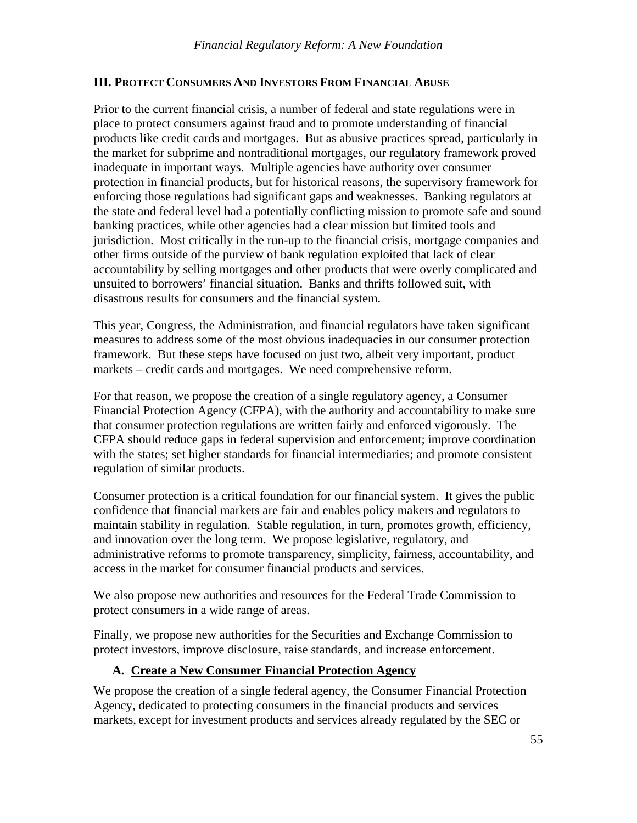# **III. PROTECT CONSUMERS AND INVESTORS FROM FINANCIAL ABUSE**

Prior to the current financial crisis, a number of federal and state regulations were in place to protect consumers against fraud and to promote understanding of financial products like credit cards and mortgages. But as abusive practices spread, particularly in the market for subprime and nontraditional mortgages, our regulatory framework proved inadequate in important ways. Multiple agencies have authority over consumer protection in financial products, but for historical reasons, the supervisory framework for enforcing those regulations had significant gaps and weaknesses. Banking regulators at the state and federal level had a potentially conflicting mission to promote safe and sound banking practices, while other agencies had a clear mission but limited tools and jurisdiction. Most critically in the run-up to the financial crisis, mortgage companies and other firms outside of the purview of bank regulation exploited that lack of clear accountability by selling mortgages and other products that were overly complicated and unsuited to borrowers' financial situation. Banks and thrifts followed suit, with disastrous results for consumers and the financial system.

This year, Congress, the Administration, and financial regulators have taken significant measures to address some of the most obvious inadequacies in our consumer protection framework. But these steps have focused on just two, albeit very important, product markets – credit cards and mortgages. We need comprehensive reform.

For that reason, we propose the creation of a single regulatory agency, a Consumer Financial Protection Agency (CFPA), with the authority and accountability to make sure that consumer protection regulations are written fairly and enforced vigorously. The CFPA should reduce gaps in federal supervision and enforcement; improve coordination with the states; set higher standards for financial intermediaries; and promote consistent regulation of similar products.

Consumer protection is a critical foundation for our financial system. It gives the public confidence that financial markets are fair and enables policy makers and regulators to maintain stability in regulation. Stable regulation, in turn, promotes growth, efficiency, and innovation over the long term. We propose legislative, regulatory, and administrative reforms to promote transparency, simplicity, fairness, accountability, and access in the market for consumer financial products and services.

We also propose new authorities and resources for the Federal Trade Commission to protect consumers in a wide range of areas.

Finally, we propose new authorities for the Securities and Exchange Commission to protect investors, improve disclosure, raise standards, and increase enforcement.

# **A. Create a New Consumer Financial Protection Agency**

We propose the creation of a single federal agency, the Consumer Financial Protection Agency, dedicated to protecting consumers in the financial products and services markets, except for investment products and services already regulated by the SEC or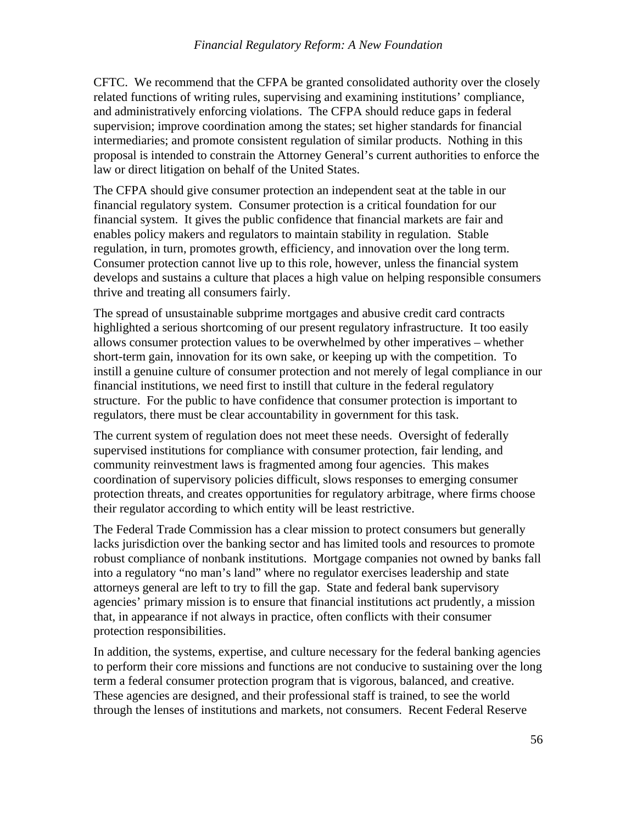CFTC. We recommend that the CFPA be granted consolidated authority over the closely related functions of writing rules, supervising and examining institutions' compliance, and administratively enforcing violations. The CFPA should reduce gaps in federal supervision; improve coordination among the states; set higher standards for financial intermediaries; and promote consistent regulation of similar products. Nothing in this proposal is intended to constrain the Attorney General's current authorities to enforce the law or direct litigation on behalf of the United States.

The CFPA should give consumer protection an independent seat at the table in our financial regulatory system. Consumer protection is a critical foundation for our financial system. It gives the public confidence that financial markets are fair and enables policy makers and regulators to maintain stability in regulation. Stable regulation, in turn, promotes growth, efficiency, and innovation over the long term. Consumer protection cannot live up to this role, however, unless the financial system develops and sustains a culture that places a high value on helping responsible consumers thrive and treating all consumers fairly.

The spread of unsustainable subprime mortgages and abusive credit card contracts highlighted a serious shortcoming of our present regulatory infrastructure. It too easily allows consumer protection values to be overwhelmed by other imperatives – whether short-term gain, innovation for its own sake, or keeping up with the competition. To instill a genuine culture of consumer protection and not merely of legal compliance in our financial institutions, we need first to instill that culture in the federal regulatory structure. For the public to have confidence that consumer protection is important to regulators, there must be clear accountability in government for this task.

The current system of regulation does not meet these needs. Oversight of federally supervised institutions for compliance with consumer protection, fair lending, and community reinvestment laws is fragmented among four agencies. This makes coordination of supervisory policies difficult, slows responses to emerging consumer protection threats, and creates opportunities for regulatory arbitrage, where firms choose their regulator according to which entity will be least restrictive.

The Federal Trade Commission has a clear mission to protect consumers but generally lacks jurisdiction over the banking sector and has limited tools and resources to promote robust compliance of nonbank institutions. Mortgage companies not owned by banks fall into a regulatory "no man's land" where no regulator exercises leadership and state attorneys general are left to try to fill the gap. State and federal bank supervisory agencies' primary mission is to ensure that financial institutions act prudently, a mission that, in appearance if not always in practice, often conflicts with their consumer protection responsibilities.

In addition, the systems, expertise, and culture necessary for the federal banking agencies to perform their core missions and functions are not conducive to sustaining over the long term a federal consumer protection program that is vigorous, balanced, and creative. These agencies are designed, and their professional staff is trained, to see the world through the lenses of institutions and markets, not consumers. Recent Federal Reserve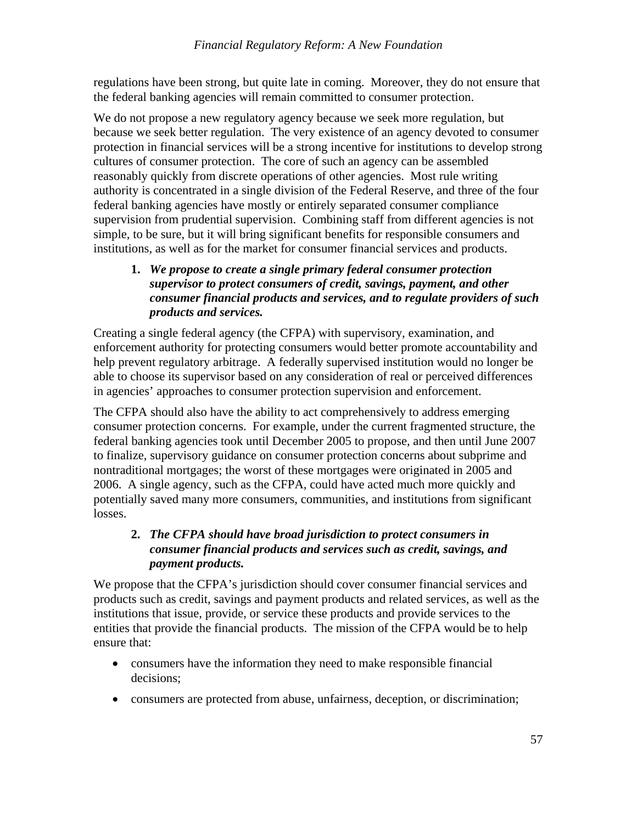regulations have been strong, but quite late in coming. Moreover, they do not ensure that the federal banking agencies will remain committed to consumer protection.

We do not propose a new regulatory agency because we seek more regulation, but because we seek better regulation. The very existence of an agency devoted to consumer protection in financial services will be a strong incentive for institutions to develop strong cultures of consumer protection. The core of such an agency can be assembled reasonably quickly from discrete operations of other agencies. Most rule writing authority is concentrated in a single division of the Federal Reserve, and three of the four federal banking agencies have mostly or entirely separated consumer compliance supervision from prudential supervision. Combining staff from different agencies is not simple, to be sure, but it will bring significant benefits for responsible consumers and institutions, as well as for the market for consumer financial services and products.

**1.** *We propose to create a single primary federal consumer protection supervisor to protect consumers of credit, savings, payment, and other consumer financial products and services, and to regulate providers of such products and services.* 

Creating a single federal agency (the CFPA) with supervisory, examination, and enforcement authority for protecting consumers would better promote accountability and help prevent regulatory arbitrage. A federally supervised institution would no longer be able to choose its supervisor based on any consideration of real or perceived differences in agencies' approaches to consumer protection supervision and enforcement.

The CFPA should also have the ability to act comprehensively to address emerging consumer protection concerns. For example, under the current fragmented structure, the federal banking agencies took until December 2005 to propose, and then until June 2007 to finalize, supervisory guidance on consumer protection concerns about subprime and nontraditional mortgages; the worst of these mortgages were originated in 2005 and 2006. A single agency, such as the CFPA, could have acted much more quickly and potentially saved many more consumers, communities, and institutions from significant losses.

# **2.** *The CFPA should have broad jurisdiction to protect consumers in consumer financial products and services such as credit, savings, and payment products.*

We propose that the CFPA's jurisdiction should cover consumer financial services and products such as credit, savings and payment products and related services, as well as the institutions that issue, provide, or service these products and provide services to the entities that provide the financial products. The mission of the CFPA would be to help ensure that:

- consumers have the information they need to make responsible financial decisions;
- consumers are protected from abuse, unfairness, deception, or discrimination;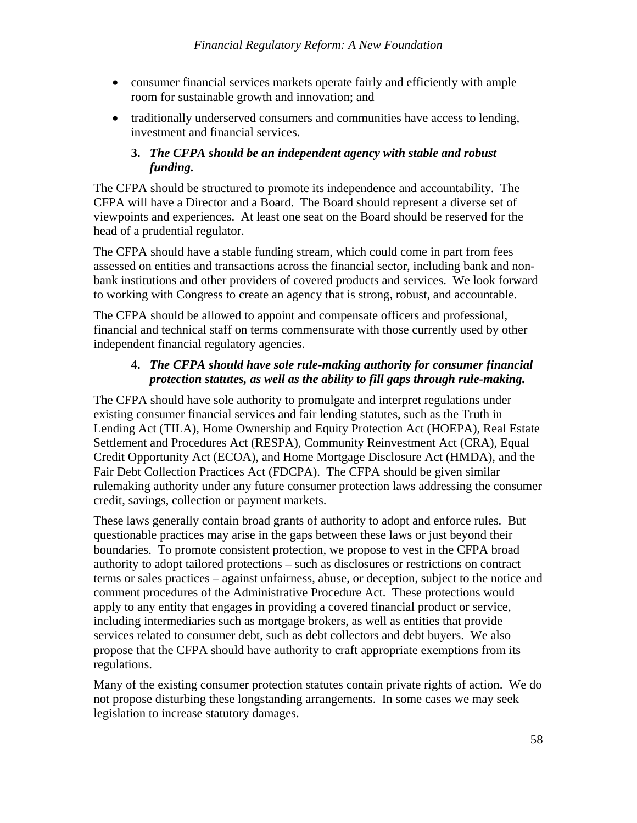- consumer financial services markets operate fairly and efficiently with ample room for sustainable growth and innovation; and
- traditionally underserved consumers and communities have access to lending, investment and financial services.

# **3.** *The CFPA should be an independent agency with stable and robust funding.*

The CFPA should be structured to promote its independence and accountability. The CFPA will have a Director and a Board. The Board should represent a diverse set of viewpoints and experiences. At least one seat on the Board should be reserved for the head of a prudential regulator.

The CFPA should have a stable funding stream, which could come in part from fees assessed on entities and transactions across the financial sector, including bank and nonbank institutions and other providers of covered products and services. We look forward to working with Congress to create an agency that is strong, robust, and accountable.

The CFPA should be allowed to appoint and compensate officers and professional, financial and technical staff on terms commensurate with those currently used by other independent financial regulatory agencies.

# **4.** *The CFPA should have sole rule-making authority for consumer financial protection statutes, as well as the ability to fill gaps through rule-making.*

The CFPA should have sole authority to promulgate and interpret regulations under existing consumer financial services and fair lending statutes, such as the Truth in Lending Act (TILA), Home Ownership and Equity Protection Act (HOEPA), Real Estate Settlement and Procedures Act (RESPA), Community Reinvestment Act (CRA), Equal Credit Opportunity Act (ECOA), and Home Mortgage Disclosure Act (HMDA), and the Fair Debt Collection Practices Act (FDCPA). The CFPA should be given similar rulemaking authority under any future consumer protection laws addressing the consumer credit, savings, collection or payment markets.

These laws generally contain broad grants of authority to adopt and enforce rules. But questionable practices may arise in the gaps between these laws or just beyond their boundaries. To promote consistent protection, we propose to vest in the CFPA broad authority to adopt tailored protections – such as disclosures or restrictions on contract terms or sales practices – against unfairness, abuse, or deception, subject to the notice and comment procedures of the Administrative Procedure Act. These protections would apply to any entity that engages in providing a covered financial product or service, including intermediaries such as mortgage brokers, as well as entities that provide services related to consumer debt, such as debt collectors and debt buyers. We also propose that the CFPA should have authority to craft appropriate exemptions from its regulations.

Many of the existing consumer protection statutes contain private rights of action. We do not propose disturbing these longstanding arrangements. In some cases we may seek legislation to increase statutory damages.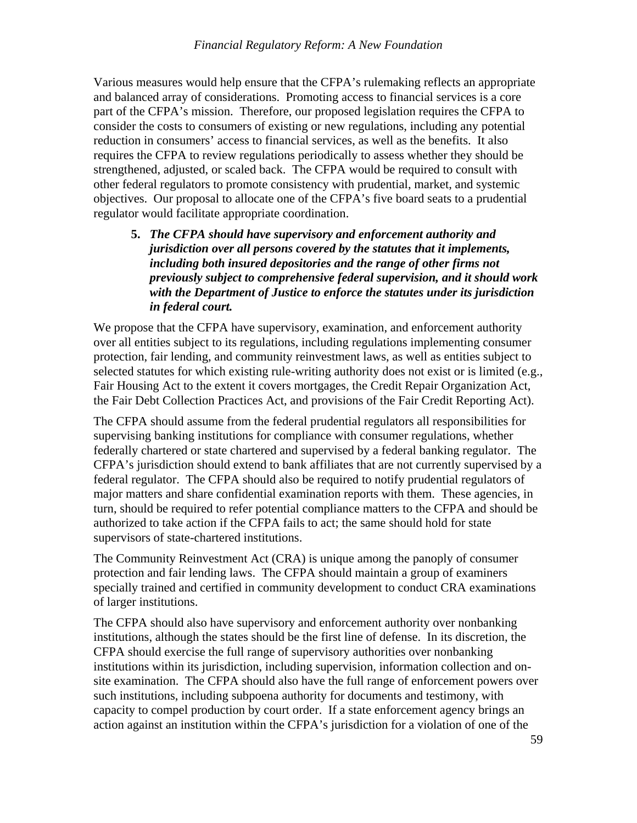Various measures would help ensure that the CFPA's rulemaking reflects an appropriate and balanced array of considerations. Promoting access to financial services is a core part of the CFPA's mission. Therefore, our proposed legislation requires the CFPA to consider the costs to consumers of existing or new regulations, including any potential reduction in consumers' access to financial services, as well as the benefits. It also requires the CFPA to review regulations periodically to assess whether they should be strengthened, adjusted, or scaled back. The CFPA would be required to consult with other federal regulators to promote consistency with prudential, market, and systemic objectives. Our proposal to allocate one of the CFPA's five board seats to a prudential regulator would facilitate appropriate coordination.

**5.** *The CFPA should have supervisory and enforcement authority and jurisdiction over all persons covered by the statutes that it implements, including both insured depositories and the range of other firms not previously subject to comprehensive federal supervision, and it should work with the Department of Justice to enforce the statutes under its jurisdiction in federal court.* 

We propose that the CFPA have supervisory, examination, and enforcement authority over all entities subject to its regulations, including regulations implementing consumer protection, fair lending, and community reinvestment laws, as well as entities subject to selected statutes for which existing rule-writing authority does not exist or is limited (e.g., Fair Housing Act to the extent it covers mortgages, the Credit Repair Organization Act, the Fair Debt Collection Practices Act, and provisions of the Fair Credit Reporting Act).

The CFPA should assume from the federal prudential regulators all responsibilities for supervising banking institutions for compliance with consumer regulations, whether federally chartered or state chartered and supervised by a federal banking regulator. The CFPA's jurisdiction should extend to bank affiliates that are not currently supervised by a federal regulator. The CFPA should also be required to notify prudential regulators of major matters and share confidential examination reports with them. These agencies, in turn, should be required to refer potential compliance matters to the CFPA and should be authorized to take action if the CFPA fails to act; the same should hold for state supervisors of state-chartered institutions.

The Community Reinvestment Act (CRA) is unique among the panoply of consumer protection and fair lending laws. The CFPA should maintain a group of examiners specially trained and certified in community development to conduct CRA examinations of larger institutions.

The CFPA should also have supervisory and enforcement authority over nonbanking institutions, although the states should be the first line of defense. In its discretion, the CFPA should exercise the full range of supervisory authorities over nonbanking institutions within its jurisdiction, including supervision, information collection and onsite examination. The CFPA should also have the full range of enforcement powers over such institutions, including subpoena authority for documents and testimony, with capacity to compel production by court order. If a state enforcement agency brings an action against an institution within the CFPA's jurisdiction for a violation of one of the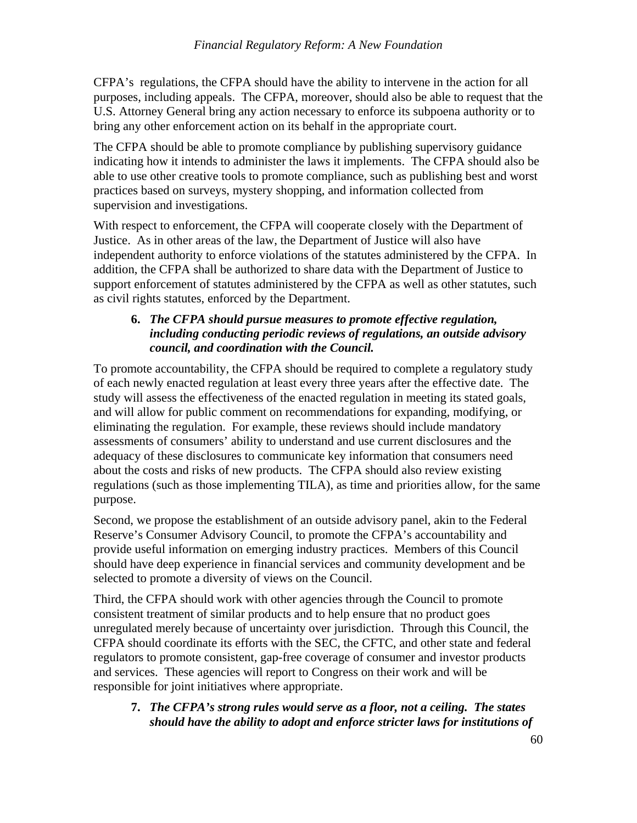CFPA's regulations, the CFPA should have the ability to intervene in the action for all purposes, including appeals. The CFPA, moreover, should also be able to request that the U.S. Attorney General bring any action necessary to enforce its subpoena authority or to bring any other enforcement action on its behalf in the appropriate court.

The CFPA should be able to promote compliance by publishing supervisory guidance indicating how it intends to administer the laws it implements. The CFPA should also be able to use other creative tools to promote compliance, such as publishing best and worst practices based on surveys, mystery shopping, and information collected from supervision and investigations.

With respect to enforcement, the CFPA will cooperate closely with the Department of Justice. As in other areas of the law, the Department of Justice will also have independent authority to enforce violations of the statutes administered by the CFPA. In addition, the CFPA shall be authorized to share data with the Department of Justice to support enforcement of statutes administered by the CFPA as well as other statutes, such as civil rights statutes, enforced by the Department.

# **6.** *The CFPA should pursue measures to promote effective regulation, including conducting periodic reviews of regulations, an outside advisory council, and coordination with the Council.*

To promote accountability, the CFPA should be required to complete a regulatory study of each newly enacted regulation at least every three years after the effective date. The study will assess the effectiveness of the enacted regulation in meeting its stated goals, and will allow for public comment on recommendations for expanding, modifying, or eliminating the regulation. For example, these reviews should include mandatory assessments of consumers' ability to understand and use current disclosures and the adequacy of these disclosures to communicate key information that consumers need about the costs and risks of new products. The CFPA should also review existing regulations (such as those implementing TILA), as time and priorities allow, for the same purpose.

Second, we propose the establishment of an outside advisory panel, akin to the Federal Reserve's Consumer Advisory Council, to promote the CFPA's accountability and provide useful information on emerging industry practices. Members of this Council should have deep experience in financial services and community development and be selected to promote a diversity of views on the Council.

Third, the CFPA should work with other agencies through the Council to promote consistent treatment of similar products and to help ensure that no product goes unregulated merely because of uncertainty over jurisdiction. Through this Council, the CFPA should coordinate its efforts with the SEC, the CFTC, and other state and federal regulators to promote consistent, gap-free coverage of consumer and investor products and services. These agencies will report to Congress on their work and will be responsible for joint initiatives where appropriate.

**7.** *The CFPA's strong rules would serve as a floor, not a ceiling. The states should have the ability to adopt and enforce stricter laws for institutions of*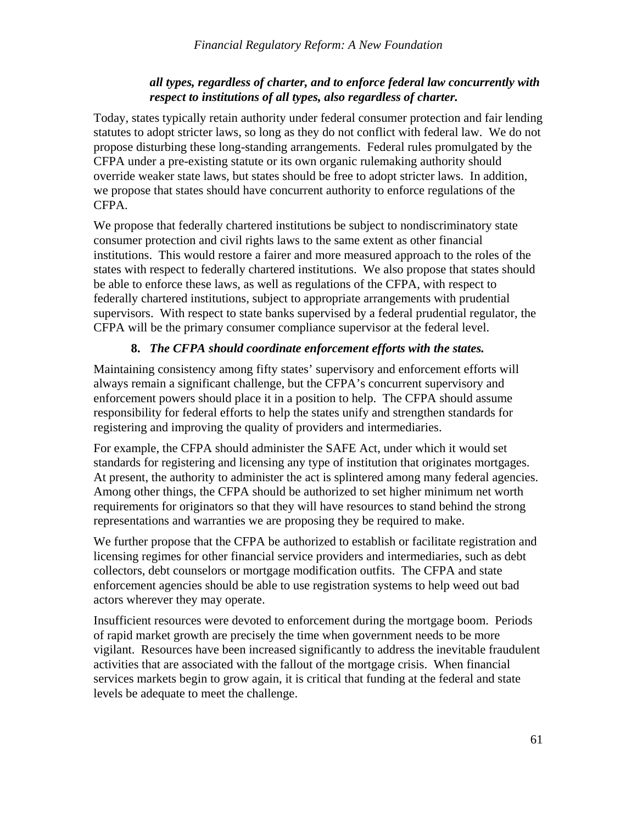# *all types, regardless of charter, and to enforce federal law concurrently with respect to institutions of all types, also regardless of charter.*

Today, states typically retain authority under federal consumer protection and fair lending statutes to adopt stricter laws, so long as they do not conflict with federal law. We do not propose disturbing these long-standing arrangements. Federal rules promulgated by the CFPA under a pre-existing statute or its own organic rulemaking authority should override weaker state laws, but states should be free to adopt stricter laws. In addition, we propose that states should have concurrent authority to enforce regulations of the CFPA.

We propose that federally chartered institutions be subject to nondiscriminatory state consumer protection and civil rights laws to the same extent as other financial institutions. This would restore a fairer and more measured approach to the roles of the states with respect to federally chartered institutions. We also propose that states should be able to enforce these laws, as well as regulations of the CFPA, with respect to federally chartered institutions, subject to appropriate arrangements with prudential supervisors. With respect to state banks supervised by a federal prudential regulator, the CFPA will be the primary consumer compliance supervisor at the federal level.

# **8.** *The CFPA should coordinate enforcement efforts with the states.*

Maintaining consistency among fifty states' supervisory and enforcement efforts will always remain a significant challenge, but the CFPA's concurrent supervisory and enforcement powers should place it in a position to help. The CFPA should assume responsibility for federal efforts to help the states unify and strengthen standards for registering and improving the quality of providers and intermediaries.

For example, the CFPA should administer the SAFE Act, under which it would set standards for registering and licensing any type of institution that originates mortgages. At present, the authority to administer the act is splintered among many federal agencies. Among other things, the CFPA should be authorized to set higher minimum net worth requirements for originators so that they will have resources to stand behind the strong representations and warranties we are proposing they be required to make.

We further propose that the CFPA be authorized to establish or facilitate registration and licensing regimes for other financial service providers and intermediaries, such as debt collectors, debt counselors or mortgage modification outfits. The CFPA and state enforcement agencies should be able to use registration systems to help weed out bad actors wherever they may operate.

Insufficient resources were devoted to enforcement during the mortgage boom. Periods of rapid market growth are precisely the time when government needs to be more vigilant. Resources have been increased significantly to address the inevitable fraudulent activities that are associated with the fallout of the mortgage crisis. When financial services markets begin to grow again, it is critical that funding at the federal and state levels be adequate to meet the challenge.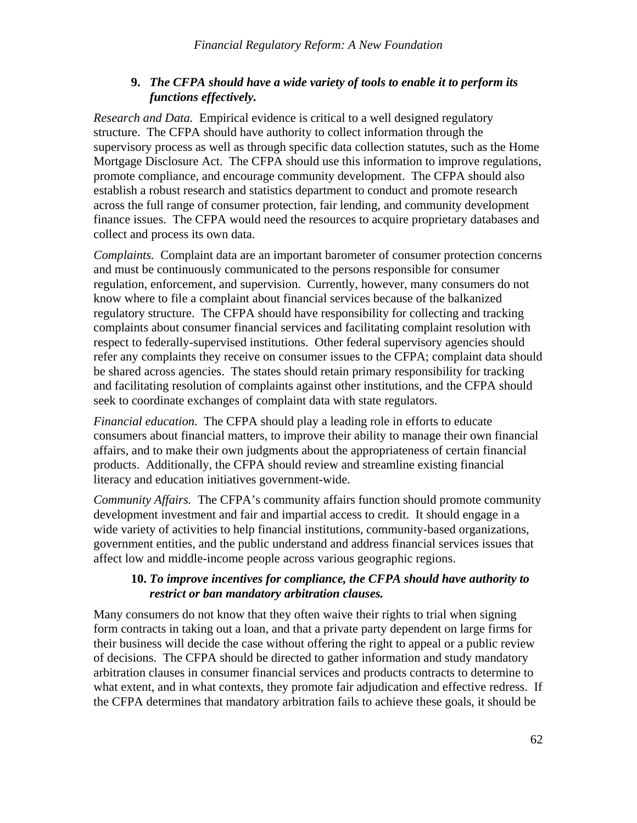# **9.** *The CFPA should have a wide variety of tools to enable it to perform its functions effectively.*

*Research and Data.* Empirical evidence is critical to a well designed regulatory structure. The CFPA should have authority to collect information through the supervisory process as well as through specific data collection statutes, such as the Home Mortgage Disclosure Act. The CFPA should use this information to improve regulations, promote compliance, and encourage community development. The CFPA should also establish a robust research and statistics department to conduct and promote research across the full range of consumer protection, fair lending, and community development finance issues. The CFPA would need the resources to acquire proprietary databases and collect and process its own data.

*Complaints.* Complaint data are an important barometer of consumer protection concerns and must be continuously communicated to the persons responsible for consumer regulation, enforcement, and supervision. Currently, however, many consumers do not know where to file a complaint about financial services because of the balkanized regulatory structure. The CFPA should have responsibility for collecting and tracking complaints about consumer financial services and facilitating complaint resolution with respect to federally-supervised institutions. Other federal supervisory agencies should refer any complaints they receive on consumer issues to the CFPA; complaint data should be shared across agencies. The states should retain primary responsibility for tracking and facilitating resolution of complaints against other institutions, and the CFPA should seek to coordinate exchanges of complaint data with state regulators.

*Financial education.* The CFPA should play a leading role in efforts to educate consumers about financial matters, to improve their ability to manage their own financial affairs, and to make their own judgments about the appropriateness of certain financial products. Additionally, the CFPA should review and streamline existing financial literacy and education initiatives government-wide.

*Community Affairs.* The CFPA's community affairs function should promote community development investment and fair and impartial access to credit. It should engage in a wide variety of activities to help financial institutions, community-based organizations, government entities, and the public understand and address financial services issues that affect low and middle-income people across various geographic regions.

## **10.** *To improve incentives for compliance, the CFPA should have authority to restrict or ban mandatory arbitration clauses.*

Many consumers do not know that they often waive their rights to trial when signing form contracts in taking out a loan, and that a private party dependent on large firms for their business will decide the case without offering the right to appeal or a public review of decisions. The CFPA should be directed to gather information and study mandatory arbitration clauses in consumer financial services and products contracts to determine to what extent, and in what contexts, they promote fair adjudication and effective redress. If the CFPA determines that mandatory arbitration fails to achieve these goals, it should be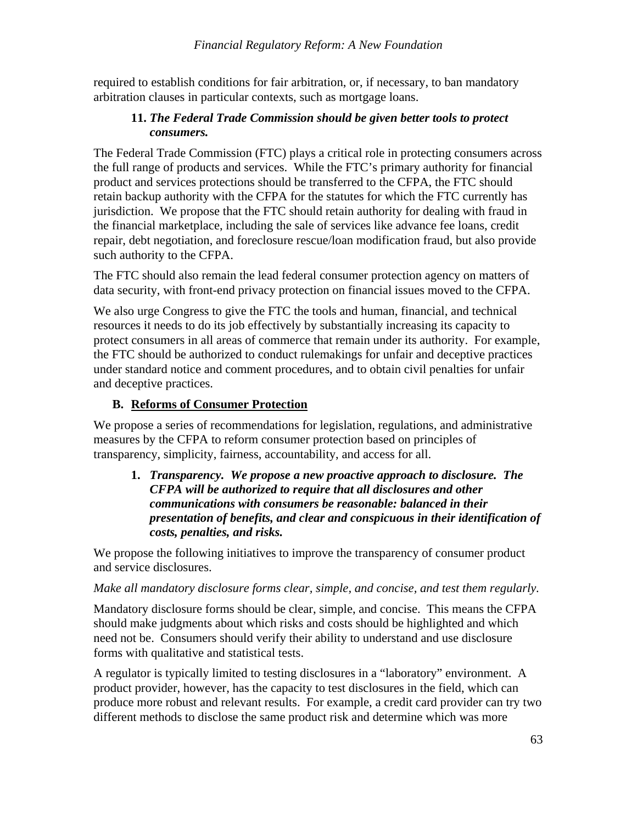required to establish conditions for fair arbitration, or, if necessary, to ban mandatory arbitration clauses in particular contexts, such as mortgage loans.

# **11.** *The Federal Trade Commission should be given better tools to protect consumers.*

The Federal Trade Commission (FTC) plays a critical role in protecting consumers across the full range of products and services. While the FTC's primary authority for financial product and services protections should be transferred to the CFPA, the FTC should retain backup authority with the CFPA for the statutes for which the FTC currently has jurisdiction. We propose that the FTC should retain authority for dealing with fraud in the financial marketplace, including the sale of services like advance fee loans, credit repair, debt negotiation, and foreclosure rescue/loan modification fraud, but also provide such authority to the CFPA.

The FTC should also remain the lead federal consumer protection agency on matters of data security, with front-end privacy protection on financial issues moved to the CFPA.

We also urge Congress to give the FTC the tools and human, financial, and technical resources it needs to do its job effectively by substantially increasing its capacity to protect consumers in all areas of commerce that remain under its authority. For example, the FTC should be authorized to conduct rulemakings for unfair and deceptive practices under standard notice and comment procedures, and to obtain civil penalties for unfair and deceptive practices.

# **B. Reforms of Consumer Protection**

We propose a series of recommendations for legislation, regulations, and administrative measures by the CFPA to reform consumer protection based on principles of transparency, simplicity, fairness, accountability, and access for all.

# **1.** *Transparency. We propose a new proactive approach to disclosure. The CFPA will be authorized to require that all disclosures and other communications with consumers be reasonable: balanced in their presentation of benefits, and clear and conspicuous in their identification of costs, penalties, and risks.*

We propose the following initiatives to improve the transparency of consumer product and service disclosures.

# *Make all mandatory disclosure forms clear, simple, and concise, and test them regularly.*

Mandatory disclosure forms should be clear, simple, and concise. This means the CFPA should make judgments about which risks and costs should be highlighted and which need not be. Consumers should verify their ability to understand and use disclosure forms with qualitative and statistical tests.

A regulator is typically limited to testing disclosures in a "laboratory" environment. A product provider, however, has the capacity to test disclosures in the field, which can produce more robust and relevant results. For example, a credit card provider can try two different methods to disclose the same product risk and determine which was more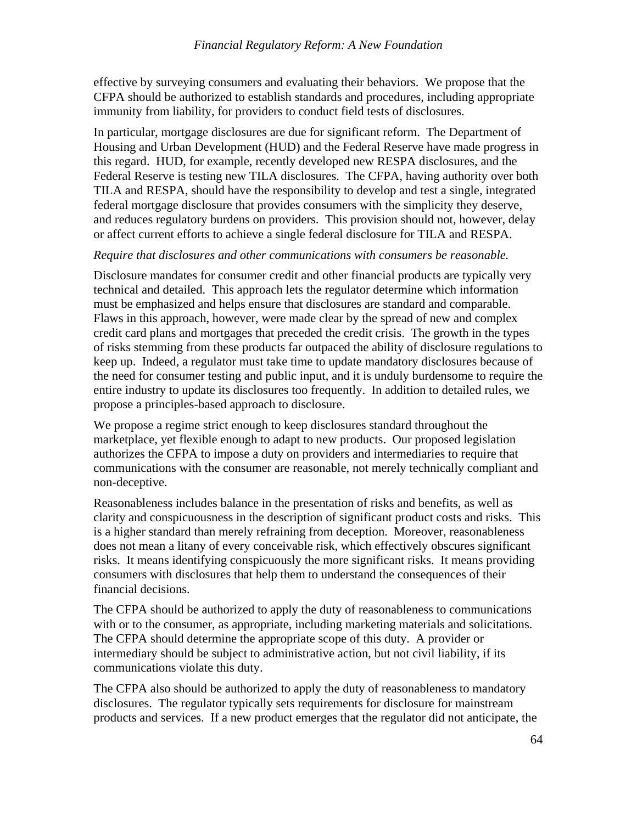effective by surveying consumers and evaluating their behaviors. We propose that the CFPA should be authorized to establish standards and procedures, including appropriate immunity from liability, for providers to conduct field tests of disclosures.

In particular, mortgage disclosures are due for significant reform. The Department of Housing and Urban Development (HUD) and the Federal Reserve have made progress in this regard. HUD, for example, recently developed new RESPA disclosures, and the Federal Reserve is testing new TILA disclosures. The CFPA, having authority over both TILA and RESPA, should have the responsibility to develop and test a single, integrated federal mortgage disclosure that provides consumers with the simplicity they deserve, and reduces regulatory burdens on providers. This provision should not, however, delay or affect current efforts to achieve a single federal disclosure for TILA and RESPA.

#### *Require that disclosures and other communications with consumers be reasonable.*

Disclosure mandates for consumer credit and other financial products are typically very technical and detailed. This approach lets the regulator determine which information must be emphasized and helps ensure that disclosures are standard and comparable. Flaws in this approach, however, were made clear by the spread of new and complex credit card plans and mortgages that preceded the credit crisis. The growth in the types of risks stemming from these products far outpaced the ability of disclosure regulations to keep up. Indeed, a regulator must take time to update mandatory disclosures because of the need for consumer testing and public input, and it is unduly burdensome to require the entire industry to update its disclosures too frequently. In addition to detailed rules, we propose a principles-based approach to disclosure.

We propose a regime strict enough to keep disclosures standard throughout the marketplace, yet flexible enough to adapt to new products. Our proposed legislation authorizes the CFPA to impose a duty on providers and intermediaries to require that communications with the consumer are reasonable, not merely technically compliant and non-deceptive.

Reasonableness includes balance in the presentation of risks and benefits, as well as clarity and conspicuousness in the description of significant product costs and risks. This is a higher standard than merely refraining from deception. Moreover, reasonableness does not mean a litany of every conceivable risk, which effectively obscures significant risks. It means identifying conspicuously the more significant risks. It means providing consumers with disclosures that help them to understand the consequences of their financial decisions.

The CFPA should be authorized to apply the duty of reasonableness to communications with or to the consumer, as appropriate, including marketing materials and solicitations. The CFPA should determine the appropriate scope of this duty. A provider or intermediary should be subject to administrative action, but not civil liability, if its communications violate this duty.

The CFPA also should be authorized to apply the duty of reasonableness to mandatory disclosures. The regulator typically sets requirements for disclosure for mainstream products and services. If a new product emerges that the regulator did not anticipate, the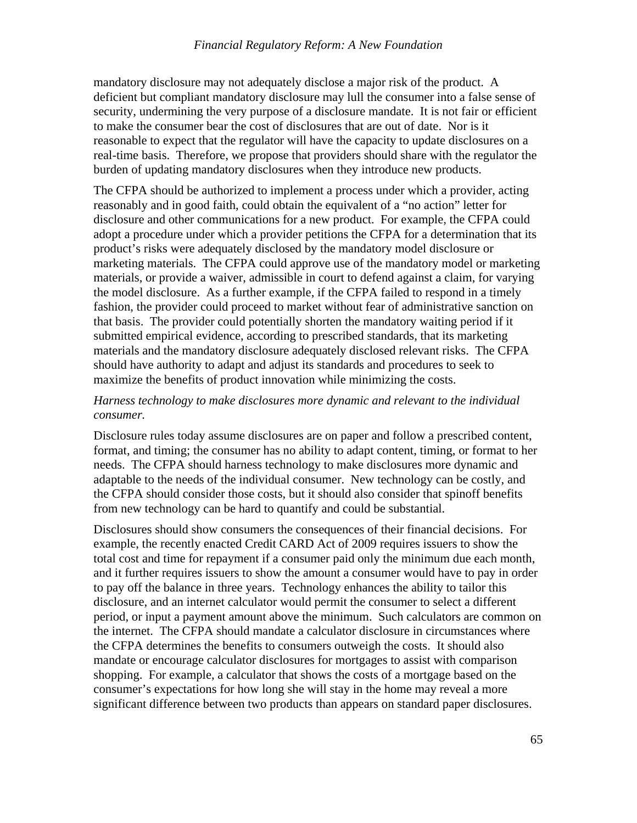mandatory disclosure may not adequately disclose a major risk of the product. A deficient but compliant mandatory disclosure may lull the consumer into a false sense of security, undermining the very purpose of a disclosure mandate. It is not fair or efficient to make the consumer bear the cost of disclosures that are out of date. Nor is it reasonable to expect that the regulator will have the capacity to update disclosures on a real-time basis. Therefore, we propose that providers should share with the regulator the burden of updating mandatory disclosures when they introduce new products.

The CFPA should be authorized to implement a process under which a provider, acting reasonably and in good faith, could obtain the equivalent of a "no action" letter for disclosure and other communications for a new product. For example, the CFPA could adopt a procedure under which a provider petitions the CFPA for a determination that its product's risks were adequately disclosed by the mandatory model disclosure or marketing materials. The CFPA could approve use of the mandatory model or marketing materials, or provide a waiver, admissible in court to defend against a claim, for varying the model disclosure. As a further example, if the CFPA failed to respond in a timely fashion, the provider could proceed to market without fear of administrative sanction on that basis. The provider could potentially shorten the mandatory waiting period if it submitted empirical evidence, according to prescribed standards, that its marketing materials and the mandatory disclosure adequately disclosed relevant risks. The CFPA should have authority to adapt and adjust its standards and procedures to seek to maximize the benefits of product innovation while minimizing the costs.

## *Harness technology to make disclosures more dynamic and relevant to the individual consumer.*

Disclosure rules today assume disclosures are on paper and follow a prescribed content, format, and timing; the consumer has no ability to adapt content, timing, or format to her needs. The CFPA should harness technology to make disclosures more dynamic and adaptable to the needs of the individual consumer. New technology can be costly, and the CFPA should consider those costs, but it should also consider that spinoff benefits from new technology can be hard to quantify and could be substantial.

Disclosures should show consumers the consequences of their financial decisions. For example, the recently enacted Credit CARD Act of 2009 requires issuers to show the total cost and time for repayment if a consumer paid only the minimum due each month, and it further requires issuers to show the amount a consumer would have to pay in order to pay off the balance in three years. Technology enhances the ability to tailor this disclosure, and an internet calculator would permit the consumer to select a different period, or input a payment amount above the minimum. Such calculators are common on the internet. The CFPA should mandate a calculator disclosure in circumstances where the CFPA determines the benefits to consumers outweigh the costs. It should also mandate or encourage calculator disclosures for mortgages to assist with comparison shopping. For example, a calculator that shows the costs of a mortgage based on the consumer's expectations for how long she will stay in the home may reveal a more significant difference between two products than appears on standard paper disclosures.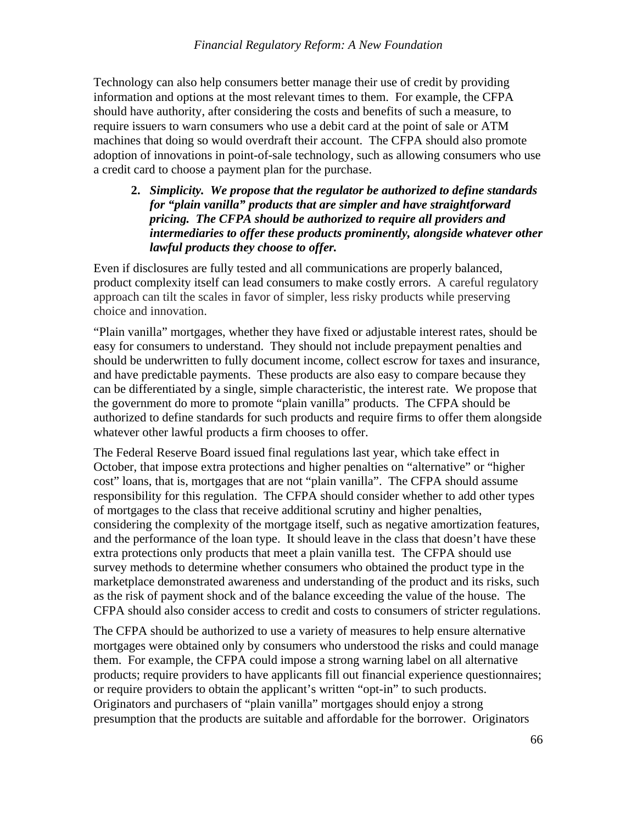Technology can also help consumers better manage their use of credit by providing information and options at the most relevant times to them. For example, the CFPA should have authority, after considering the costs and benefits of such a measure, to require issuers to warn consumers who use a debit card at the point of sale or ATM machines that doing so would overdraft their account. The CFPA should also promote adoption of innovations in point-of-sale technology, such as allowing consumers who use a credit card to choose a payment plan for the purchase.

## **2.** *Simplicity. We propose that the regulator be authorized to define standards for "plain vanilla" products that are simpler and have straightforward pricing. The CFPA should be authorized to require all providers and intermediaries to offer these products prominently, alongside whatever other lawful products they choose to offer.*

Even if disclosures are fully tested and all communications are properly balanced, product complexity itself can lead consumers to make costly errors. A careful regulatory approach can tilt the scales in favor of simpler, less risky products while preserving choice and innovation.

"Plain vanilla" mortgages, whether they have fixed or adjustable interest rates, should be easy for consumers to understand. They should not include prepayment penalties and should be underwritten to fully document income, collect escrow for taxes and insurance, and have predictable payments. These products are also easy to compare because they can be differentiated by a single, simple characteristic, the interest rate. We propose that the government do more to promote "plain vanilla" products. The CFPA should be authorized to define standards for such products and require firms to offer them alongside whatever other lawful products a firm chooses to offer.

The Federal Reserve Board issued final regulations last year, which take effect in October, that impose extra protections and higher penalties on "alternative" or "higher cost" loans, that is, mortgages that are not "plain vanilla". The CFPA should assume responsibility for this regulation. The CFPA should consider whether to add other types of mortgages to the class that receive additional scrutiny and higher penalties, considering the complexity of the mortgage itself, such as negative amortization features, and the performance of the loan type. It should leave in the class that doesn't have these extra protections only products that meet a plain vanilla test. The CFPA should use survey methods to determine whether consumers who obtained the product type in the marketplace demonstrated awareness and understanding of the product and its risks, such as the risk of payment shock and of the balance exceeding the value of the house. The CFPA should also consider access to credit and costs to consumers of stricter regulations.

The CFPA should be authorized to use a variety of measures to help ensure alternative mortgages were obtained only by consumers who understood the risks and could manage them. For example, the CFPA could impose a strong warning label on all alternative products; require providers to have applicants fill out financial experience questionnaires; or require providers to obtain the applicant's written "opt-in" to such products. Originators and purchasers of "plain vanilla" mortgages should enjoy a strong presumption that the products are suitable and affordable for the borrower. Originators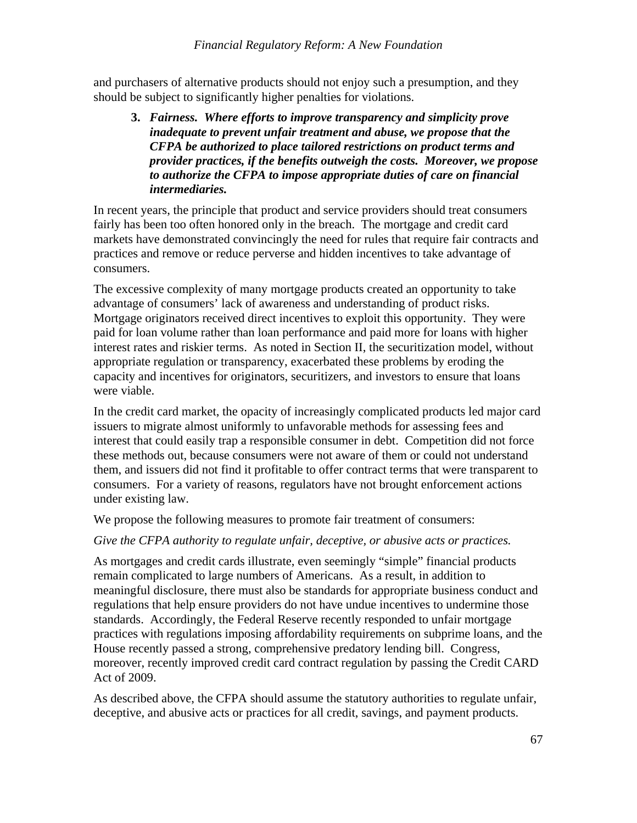and purchasers of alternative products should not enjoy such a presumption, and they should be subject to significantly higher penalties for violations.

**3.** *Fairness. Where efforts to improve transparency and simplicity prove inadequate to prevent unfair treatment and abuse, we propose that the CFPA be authorized to place tailored restrictions on product terms and provider practices, if the benefits outweigh the costs. Moreover, we propose to authorize the CFPA to impose appropriate duties of care on financial intermediaries.* 

In recent years, the principle that product and service providers should treat consumers fairly has been too often honored only in the breach. The mortgage and credit card markets have demonstrated convincingly the need for rules that require fair contracts and practices and remove or reduce perverse and hidden incentives to take advantage of consumers.

The excessive complexity of many mortgage products created an opportunity to take advantage of consumers' lack of awareness and understanding of product risks. Mortgage originators received direct incentives to exploit this opportunity. They were paid for loan volume rather than loan performance and paid more for loans with higher interest rates and riskier terms. As noted in Section II, the securitization model, without appropriate regulation or transparency, exacerbated these problems by eroding the capacity and incentives for originators, securitizers, and investors to ensure that loans were viable.

In the credit card market, the opacity of increasingly complicated products led major card issuers to migrate almost uniformly to unfavorable methods for assessing fees and interest that could easily trap a responsible consumer in debt. Competition did not force these methods out, because consumers were not aware of them or could not understand them, and issuers did not find it profitable to offer contract terms that were transparent to consumers. For a variety of reasons, regulators have not brought enforcement actions under existing law.

We propose the following measures to promote fair treatment of consumers:

## *Give the CFPA authority to regulate unfair, deceptive, or abusive acts or practices.*

As mortgages and credit cards illustrate, even seemingly "simple" financial products remain complicated to large numbers of Americans. As a result, in addition to meaningful disclosure, there must also be standards for appropriate business conduct and regulations that help ensure providers do not have undue incentives to undermine those standards. Accordingly, the Federal Reserve recently responded to unfair mortgage practices with regulations imposing affordability requirements on subprime loans, and the House recently passed a strong, comprehensive predatory lending bill. Congress, moreover, recently improved credit card contract regulation by passing the Credit CARD Act of 2009.

As described above, the CFPA should assume the statutory authorities to regulate unfair, deceptive, and abusive acts or practices for all credit, savings, and payment products.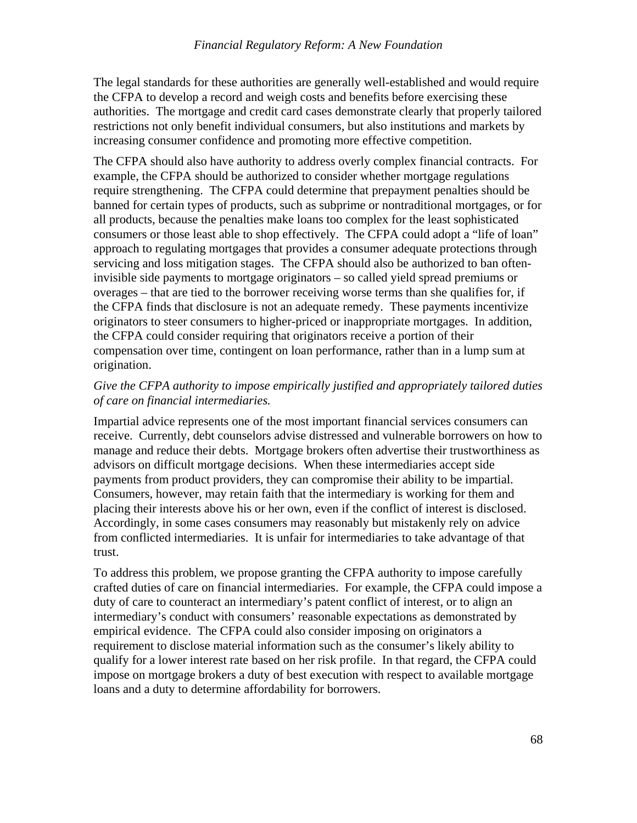The legal standards for these authorities are generally well-established and would require the CFPA to develop a record and weigh costs and benefits before exercising these authorities. The mortgage and credit card cases demonstrate clearly that properly tailored restrictions not only benefit individual consumers, but also institutions and markets by increasing consumer confidence and promoting more effective competition.

The CFPA should also have authority to address overly complex financial contracts. For example, the CFPA should be authorized to consider whether mortgage regulations require strengthening. The CFPA could determine that prepayment penalties should be banned for certain types of products, such as subprime or nontraditional mortgages, or for all products, because the penalties make loans too complex for the least sophisticated consumers or those least able to shop effectively. The CFPA could adopt a "life of loan" approach to regulating mortgages that provides a consumer adequate protections through servicing and loss mitigation stages. The CFPA should also be authorized to ban ofteninvisible side payments to mortgage originators – so called yield spread premiums or overages – that are tied to the borrower receiving worse terms than she qualifies for, if the CFPA finds that disclosure is not an adequate remedy. These payments incentivize originators to steer consumers to higher-priced or inappropriate mortgages. In addition, the CFPA could consider requiring that originators receive a portion of their compensation over time, contingent on loan performance, rather than in a lump sum at origination.

# *Give the CFPA authority to impose empirically justified and appropriately tailored duties of care on financial intermediaries.*

Impartial advice represents one of the most important financial services consumers can receive. Currently, debt counselors advise distressed and vulnerable borrowers on how to manage and reduce their debts. Mortgage brokers often advertise their trustworthiness as advisors on difficult mortgage decisions. When these intermediaries accept side payments from product providers, they can compromise their ability to be impartial. Consumers, however, may retain faith that the intermediary is working for them and placing their interests above his or her own, even if the conflict of interest is disclosed. Accordingly, in some cases consumers may reasonably but mistakenly rely on advice from conflicted intermediaries. It is unfair for intermediaries to take advantage of that trust.

To address this problem, we propose granting the CFPA authority to impose carefully crafted duties of care on financial intermediaries. For example, the CFPA could impose a duty of care to counteract an intermediary's patent conflict of interest, or to align an intermediary's conduct with consumers' reasonable expectations as demonstrated by empirical evidence. The CFPA could also consider imposing on originators a requirement to disclose material information such as the consumer's likely ability to qualify for a lower interest rate based on her risk profile. In that regard, the CFPA could impose on mortgage brokers a duty of best execution with respect to available mortgage loans and a duty to determine affordability for borrowers.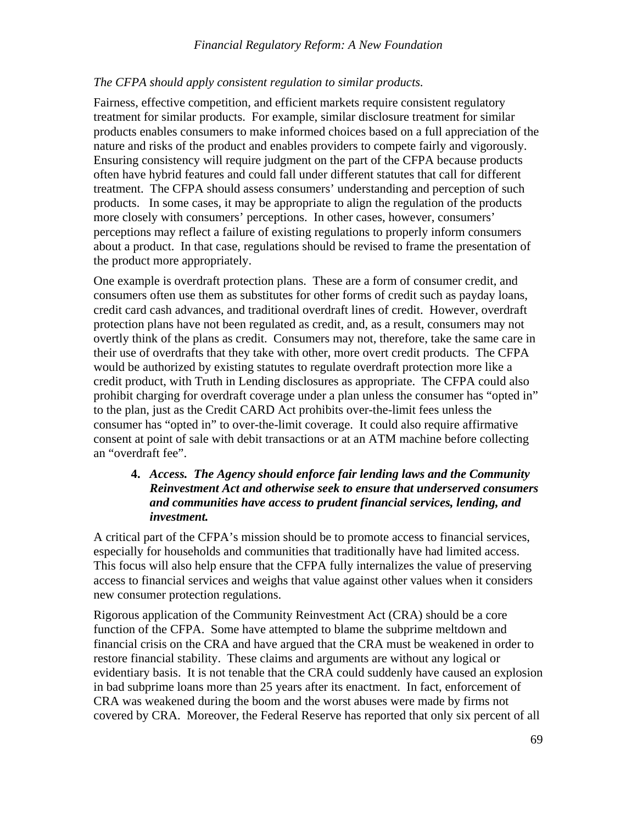#### *The CFPA should apply consistent regulation to similar products.*

Fairness, effective competition, and efficient markets require consistent regulatory treatment for similar products. For example, similar disclosure treatment for similar products enables consumers to make informed choices based on a full appreciation of the nature and risks of the product and enables providers to compete fairly and vigorously. Ensuring consistency will require judgment on the part of the CFPA because products often have hybrid features and could fall under different statutes that call for different treatment. The CFPA should assess consumers' understanding and perception of such products. In some cases, it may be appropriate to align the regulation of the products more closely with consumers' perceptions. In other cases, however, consumers' perceptions may reflect a failure of existing regulations to properly inform consumers about a product. In that case, regulations should be revised to frame the presentation of the product more appropriately.

One example is overdraft protection plans. These are a form of consumer credit, and consumers often use them as substitutes for other forms of credit such as payday loans, credit card cash advances, and traditional overdraft lines of credit. However, overdraft protection plans have not been regulated as credit, and, as a result, consumers may not overtly think of the plans as credit. Consumers may not, therefore, take the same care in their use of overdrafts that they take with other, more overt credit products. The CFPA would be authorized by existing statutes to regulate overdraft protection more like a credit product, with Truth in Lending disclosures as appropriate. The CFPA could also prohibit charging for overdraft coverage under a plan unless the consumer has "opted in" to the plan, just as the Credit CARD Act prohibits over-the-limit fees unless the consumer has "opted in" to over-the-limit coverage. It could also require affirmative consent at point of sale with debit transactions or at an ATM machine before collecting an "overdraft fee".

## **4.** *Access. The Agency should enforce fair lending laws and the Community Reinvestment Act and otherwise seek to ensure that underserved consumers and communities have access to prudent financial services, lending, and investment.*

A critical part of the CFPA's mission should be to promote access to financial services, especially for households and communities that traditionally have had limited access. This focus will also help ensure that the CFPA fully internalizes the value of preserving access to financial services and weighs that value against other values when it considers new consumer protection regulations.

Rigorous application of the Community Reinvestment Act (CRA) should be a core function of the CFPA. Some have attempted to blame the subprime meltdown and financial crisis on the CRA and have argued that the CRA must be weakened in order to restore financial stability. These claims and arguments are without any logical or evidentiary basis. It is not tenable that the CRA could suddenly have caused an explosion in bad subprime loans more than 25 years after its enactment. In fact, enforcement of CRA was weakened during the boom and the worst abuses were made by firms not covered by CRA. Moreover, the Federal Reserve has reported that only six percent of all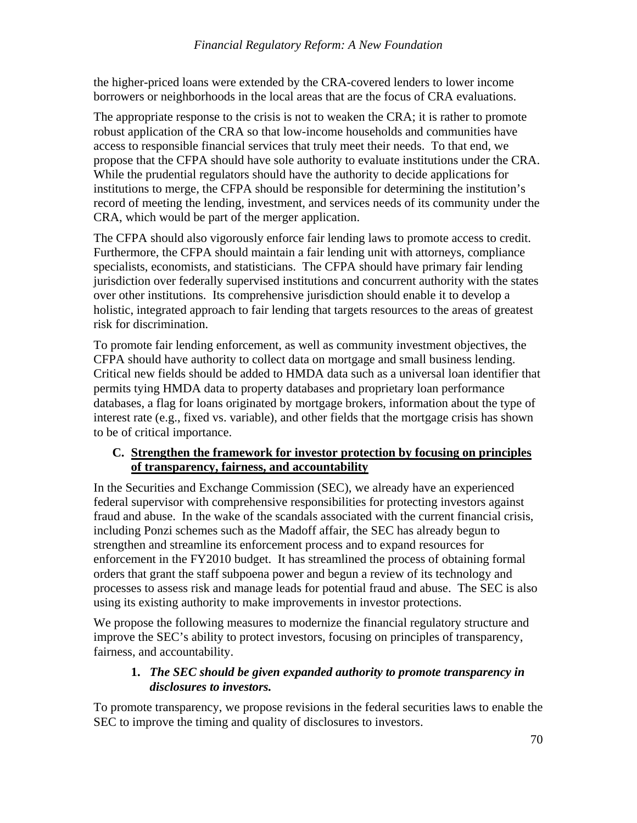the higher-priced loans were extended by the CRA-covered lenders to lower income borrowers or neighborhoods in the local areas that are the focus of CRA evaluations.

The appropriate response to the crisis is not to weaken the CRA; it is rather to promote robust application of the CRA so that low-income households and communities have access to responsible financial services that truly meet their needs. To that end, we propose that the CFPA should have sole authority to evaluate institutions under the CRA. While the prudential regulators should have the authority to decide applications for institutions to merge, the CFPA should be responsible for determining the institution's record of meeting the lending, investment, and services needs of its community under the CRA, which would be part of the merger application.

The CFPA should also vigorously enforce fair lending laws to promote access to credit. Furthermore, the CFPA should maintain a fair lending unit with attorneys, compliance specialists, economists, and statisticians. The CFPA should have primary fair lending jurisdiction over federally supervised institutions and concurrent authority with the states over other institutions. Its comprehensive jurisdiction should enable it to develop a holistic, integrated approach to fair lending that targets resources to the areas of greatest risk for discrimination.

To promote fair lending enforcement, as well as community investment objectives, the CFPA should have authority to collect data on mortgage and small business lending. Critical new fields should be added to HMDA data such as a universal loan identifier that permits tying HMDA data to property databases and proprietary loan performance databases, a flag for loans originated by mortgage brokers, information about the type of interest rate (e.g., fixed vs. variable), and other fields that the mortgage crisis has shown to be of critical importance.

# **C. Strengthen the framework for investor protection by focusing on principles of transparency, fairness, and accountability**

In the Securities and Exchange Commission (SEC), we already have an experienced federal supervisor with comprehensive responsibilities for protecting investors against fraud and abuse. In the wake of the scandals associated with the current financial crisis, including Ponzi schemes such as the Madoff affair, the SEC has already begun to strengthen and streamline its enforcement process and to expand resources for enforcement in the FY2010 budget. It has streamlined the process of obtaining formal orders that grant the staff subpoena power and begun a review of its technology and processes to assess risk and manage leads for potential fraud and abuse. The SEC is also using its existing authority to make improvements in investor protections.

We propose the following measures to modernize the financial regulatory structure and improve the SEC's ability to protect investors, focusing on principles of transparency, fairness, and accountability.

# **1.** *The SEC should be given expanded authority to promote transparency in disclosures to investors.*

To promote transparency, we propose revisions in the federal securities laws to enable the SEC to improve the timing and quality of disclosures to investors.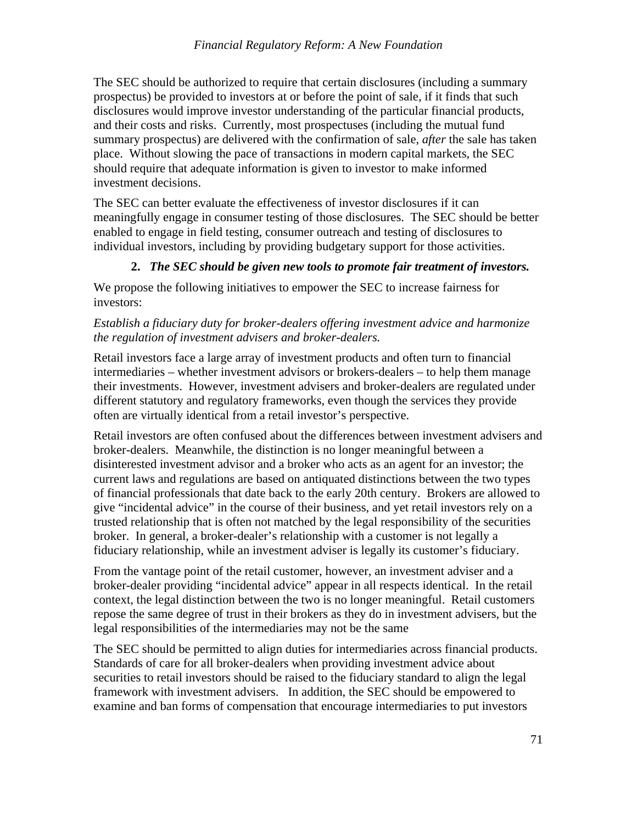The SEC should be authorized to require that certain disclosures (including a summary prospectus) be provided to investors at or before the point of sale, if it finds that such disclosures would improve investor understanding of the particular financial products, and their costs and risks. Currently, most prospectuses (including the mutual fund summary prospectus) are delivered with the confirmation of sale, *after* the sale has taken place. Without slowing the pace of transactions in modern capital markets, the SEC should require that adequate information is given to investor to make informed investment decisions.

The SEC can better evaluate the effectiveness of investor disclosures if it can meaningfully engage in consumer testing of those disclosures. The SEC should be better enabled to engage in field testing, consumer outreach and testing of disclosures to individual investors, including by providing budgetary support for those activities.

## **2.** *The SEC should be given new tools to promote fair treatment of investors.*

We propose the following initiatives to empower the SEC to increase fairness for investors:

## *Establish a fiduciary duty for broker-dealers offering investment advice and harmonize the regulation of investment advisers and broker-dealers.*

Retail investors face a large array of investment products and often turn to financial intermediaries – whether investment advisors or brokers-dealers – to help them manage their investments. However, investment advisers and broker-dealers are regulated under different statutory and regulatory frameworks, even though the services they provide often are virtually identical from a retail investor's perspective.

Retail investors are often confused about the differences between investment advisers and broker-dealers. Meanwhile, the distinction is no longer meaningful between a disinterested investment advisor and a broker who acts as an agent for an investor; the current laws and regulations are based on antiquated distinctions between the two types of financial professionals that date back to the early 20th century. Brokers are allowed to give "incidental advice" in the course of their business, and yet retail investors rely on a trusted relationship that is often not matched by the legal responsibility of the securities broker. In general, a broker-dealer's relationship with a customer is not legally a fiduciary relationship, while an investment adviser is legally its customer's fiduciary.

From the vantage point of the retail customer, however, an investment adviser and a broker-dealer providing "incidental advice" appear in all respects identical. In the retail context, the legal distinction between the two is no longer meaningful. Retail customers repose the same degree of trust in their brokers as they do in investment advisers, but the legal responsibilities of the intermediaries may not be the same

The SEC should be permitted to align duties for intermediaries across financial products. Standards of care for all broker-dealers when providing investment advice about securities to retail investors should be raised to the fiduciary standard to align the legal framework with investment advisers. In addition, the SEC should be empowered to examine and ban forms of compensation that encourage intermediaries to put investors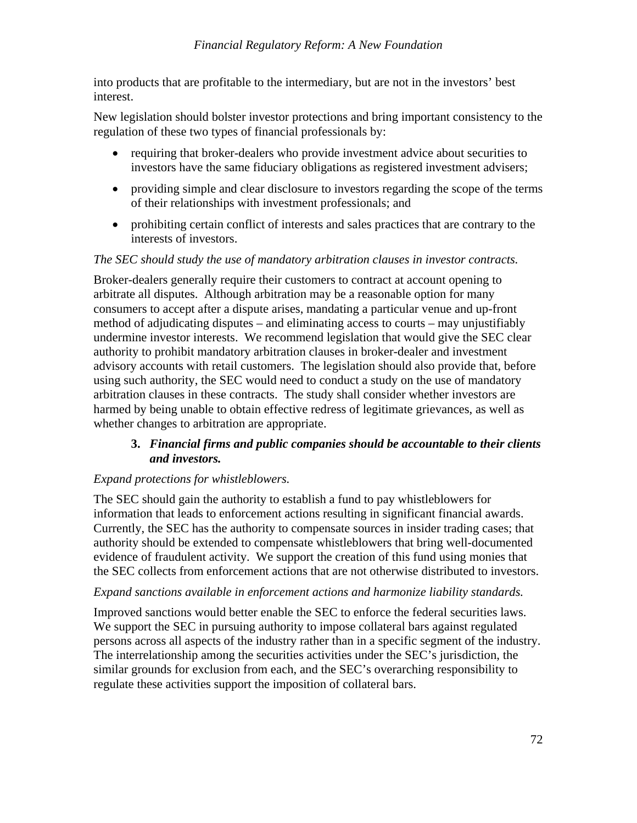into products that are profitable to the intermediary, but are not in the investors' best interest.

New legislation should bolster investor protections and bring important consistency to the regulation of these two types of financial professionals by:

- requiring that broker-dealers who provide investment advice about securities to investors have the same fiduciary obligations as registered investment advisers;
- providing simple and clear disclosure to investors regarding the scope of the terms of their relationships with investment professionals; and
- prohibiting certain conflict of interests and sales practices that are contrary to the interests of investors.

# *The SEC should study the use of mandatory arbitration clauses in investor contracts.*

Broker-dealers generally require their customers to contract at account opening to arbitrate all disputes. Although arbitration may be a reasonable option for many consumers to accept after a dispute arises, mandating a particular venue and up-front method of adjudicating disputes – and eliminating access to courts – may unjustifiably undermine investor interests. We recommend legislation that would give the SEC clear authority to prohibit mandatory arbitration clauses in broker-dealer and investment advisory accounts with retail customers. The legislation should also provide that, before using such authority, the SEC would need to conduct a study on the use of mandatory arbitration clauses in these contracts. The study shall consider whether investors are harmed by being unable to obtain effective redress of legitimate grievances, as well as whether changes to arbitration are appropriate.

# **3.** *Financial firms and public companies should be accountable to their clients and investors.*

# *Expand protections for whistleblowers.*

The SEC should gain the authority to establish a fund to pay whistleblowers for information that leads to enforcement actions resulting in significant financial awards. Currently, the SEC has the authority to compensate sources in insider trading cases; that authority should be extended to compensate whistleblowers that bring well-documented evidence of fraudulent activity. We support the creation of this fund using monies that the SEC collects from enforcement actions that are not otherwise distributed to investors.

## *Expand sanctions available in enforcement actions and harmonize liability standards.*

Improved sanctions would better enable the SEC to enforce the federal securities laws. We support the SEC in pursuing authority to impose collateral bars against regulated persons across all aspects of the industry rather than in a specific segment of the industry. The interrelationship among the securities activities under the SEC's jurisdiction, the similar grounds for exclusion from each, and the SEC's overarching responsibility to regulate these activities support the imposition of collateral bars.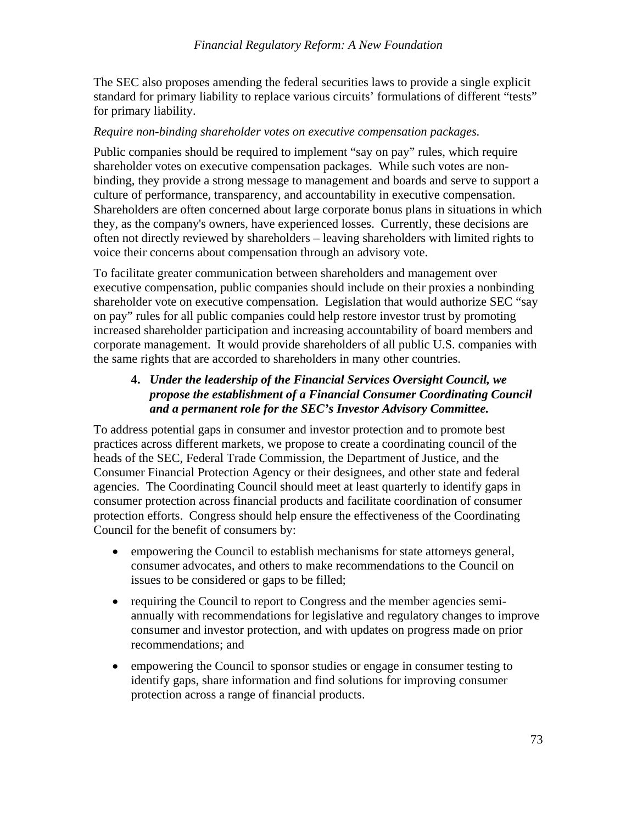The SEC also proposes amending the federal securities laws to provide a single explicit standard for primary liability to replace various circuits' formulations of different "tests" for primary liability.

#### *Require non-binding shareholder votes on executive compensation packages.*

Public companies should be required to implement "say on pay" rules, which require shareholder votes on executive compensation packages. While such votes are nonbinding, they provide a strong message to management and boards and serve to support a culture of performance, transparency, and accountability in executive compensation. Shareholders are often concerned about large corporate bonus plans in situations in which they, as the company's owners, have experienced losses. Currently, these decisions are often not directly reviewed by shareholders – leaving shareholders with limited rights to voice their concerns about compensation through an advisory vote.

To facilitate greater communication between shareholders and management over executive compensation, public companies should include on their proxies a nonbinding shareholder vote on executive compensation. Legislation that would authorize SEC "say on pay" rules for all public companies could help restore investor trust by promoting increased shareholder participation and increasing accountability of board members and corporate management. It would provide shareholders of all public U.S. companies with the same rights that are accorded to shareholders in many other countries.

# **4.** *Under the leadership of the Financial Services Oversight Council, we propose the establishment of a Financial Consumer Coordinating Council and a permanent role for the SEC's Investor Advisory Committee.*

To address potential gaps in consumer and investor protection and to promote best practices across different markets, we propose to create a coordinating council of the heads of the SEC, Federal Trade Commission, the Department of Justice, and the Consumer Financial Protection Agency or their designees, and other state and federal agencies. The Coordinating Council should meet at least quarterly to identify gaps in consumer protection across financial products and facilitate coordination of consumer protection efforts. Congress should help ensure the effectiveness of the Coordinating Council for the benefit of consumers by:

- empowering the Council to establish mechanisms for state attorneys general, consumer advocates, and others to make recommendations to the Council on issues to be considered or gaps to be filled;
- requiring the Council to report to Congress and the member agencies semiannually with recommendations for legislative and regulatory changes to improve consumer and investor protection, and with updates on progress made on prior recommendations; and
- empowering the Council to sponsor studies or engage in consumer testing to identify gaps, share information and find solutions for improving consumer protection across a range of financial products.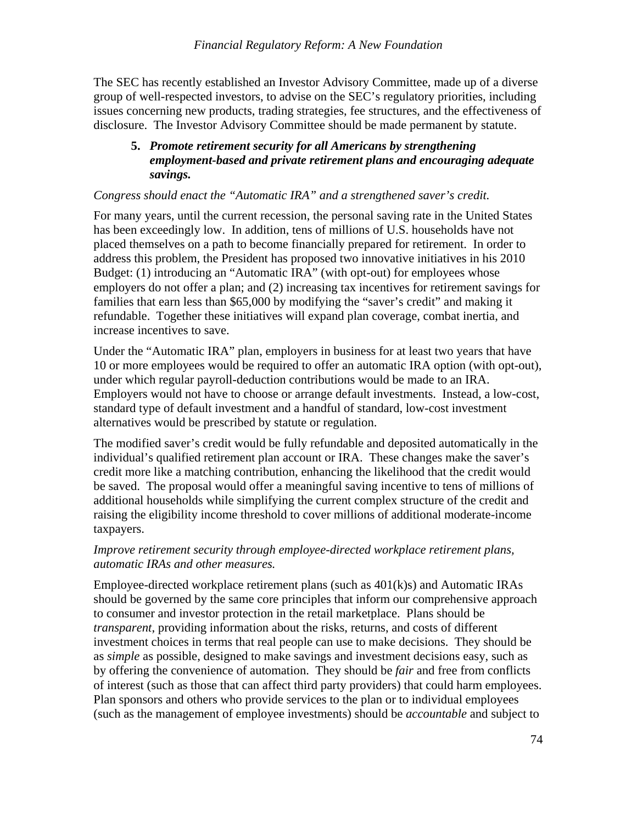The SEC has recently established an Investor Advisory Committee, made up of a diverse group of well-respected investors, to advise on the SEC's regulatory priorities, including issues concerning new products, trading strategies, fee structures, and the effectiveness of disclosure. The Investor Advisory Committee should be made permanent by statute.

# **5.** *Promote retirement security for all Americans by strengthening employment-based and private retirement plans and encouraging adequate savings.*

### *Congress should enact the "Automatic IRA" and a strengthened saver's credit.*

For many years, until the current recession, the personal saving rate in the United States has been exceedingly low. In addition, tens of millions of U.S. households have not placed themselves on a path to become financially prepared for retirement. In order to address this problem, the President has proposed two innovative initiatives in his 2010 Budget: (1) introducing an "Automatic IRA" (with opt-out) for employees whose employers do not offer a plan; and (2) increasing tax incentives for retirement savings for families that earn less than \$65,000 by modifying the "saver's credit" and making it refundable. Together these initiatives will expand plan coverage, combat inertia, and increase incentives to save.

Under the "Automatic IRA" plan, employers in business for at least two years that have 10 or more employees would be required to offer an automatic IRA option (with opt-out), under which regular payroll-deduction contributions would be made to an IRA. Employers would not have to choose or arrange default investments. Instead, a low-cost, standard type of default investment and a handful of standard, low-cost investment alternatives would be prescribed by statute or regulation.

The modified saver's credit would be fully refundable and deposited automatically in the individual's qualified retirement plan account or IRA. These changes make the saver's credit more like a matching contribution, enhancing the likelihood that the credit would be saved. The proposal would offer a meaningful saving incentive to tens of millions of additional households while simplifying the current complex structure of the credit and raising the eligibility income threshold to cover millions of additional moderate-income taxpayers.

### *Improve retirement security through employee-directed workplace retirement plans, automatic IRAs and other measures.*

Employee-directed workplace retirement plans (such as  $401(k)s$ ) and Automatic IRAs should be governed by the same core principles that inform our comprehensive approach to consumer and investor protection in the retail marketplace. Plans should be *transparent*, providing information about the risks, returns, and costs of different investment choices in terms that real people can use to make decisions. They should be as *simple* as possible, designed to make savings and investment decisions easy, such as by offering the convenience of automation. They should be *fair* and free from conflicts of interest (such as those that can affect third party providers) that could harm employees. Plan sponsors and others who provide services to the plan or to individual employees (such as the management of employee investments) should be *accountable* and subject to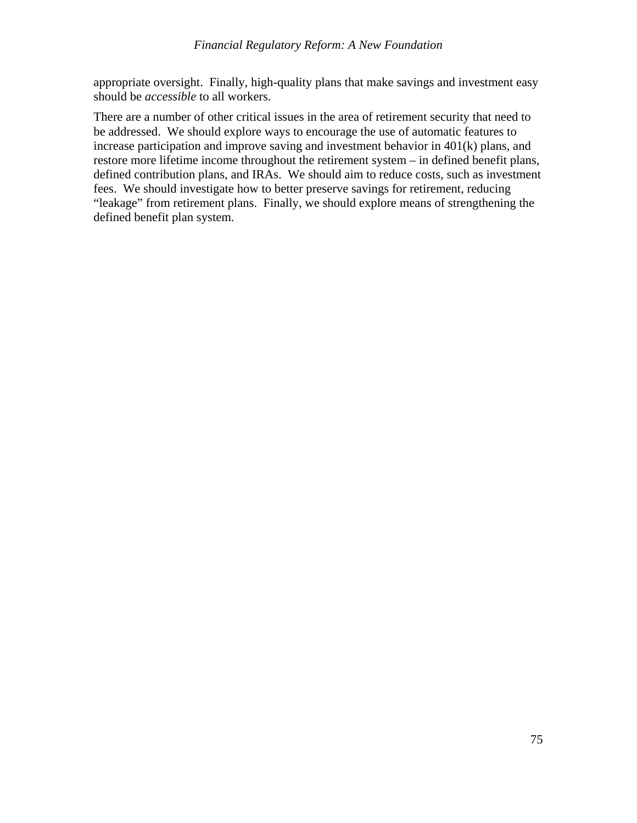appropriate oversight. Finally, high-quality plans that make savings and investment easy should be *accessible* to all workers.

There are a number of other critical issues in the area of retirement security that need to be addressed. We should explore ways to encourage the use of automatic features to increase participation and improve saving and investment behavior in 401(k) plans, and restore more lifetime income throughout the retirement system – in defined benefit plans, defined contribution plans, and IRAs. We should aim to reduce costs, such as investment fees. We should investigate how to better preserve savings for retirement, reducing "leakage" from retirement plans. Finally, we should explore means of strengthening the defined benefit plan system.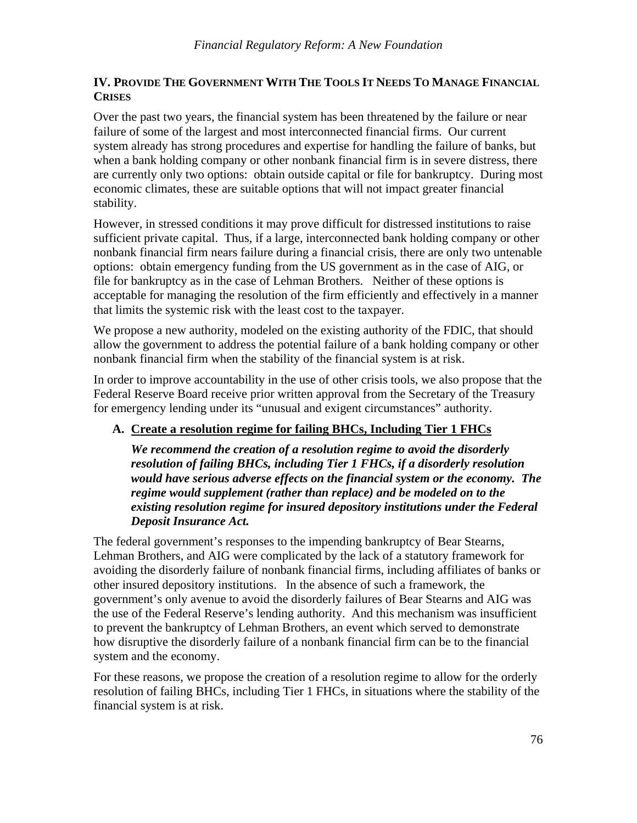### **IV. PROVIDE THE GOVERNMENT WITH THE TOOLS IT NEEDS TO MANAGE FINANCIAL CRISES**

Over the past two years, the financial system has been threatened by the failure or near failure of some of the largest and most interconnected financial firms. Our current system already has strong procedures and expertise for handling the failure of banks, but when a bank holding company or other nonbank financial firm is in severe distress, there are currently only two options: obtain outside capital or file for bankruptcy. During most economic climates, these are suitable options that will not impact greater financial stability.

However, in stressed conditions it may prove difficult for distressed institutions to raise sufficient private capital. Thus, if a large, interconnected bank holding company or other nonbank financial firm nears failure during a financial crisis, there are only two untenable options: obtain emergency funding from the US government as in the case of AIG, or file for bankruptcy as in the case of Lehman Brothers. Neither of these options is acceptable for managing the resolution of the firm efficiently and effectively in a manner that limits the systemic risk with the least cost to the taxpayer.

We propose a new authority, modeled on the existing authority of the FDIC, that should allow the government to address the potential failure of a bank holding company or other nonbank financial firm when the stability of the financial system is at risk.

In order to improve accountability in the use of other crisis tools, we also propose that the Federal Reserve Board receive prior written approval from the Secretary of the Treasury for emergency lending under its "unusual and exigent circumstances" authority.

# **A. Create a resolution regime for failing BHCs, Including Tier 1 FHCs**

*We recommend the creation of a resolution regime to avoid the disorderly resolution of failing BHCs, including Tier 1 FHCs, if a disorderly resolution would have serious adverse effects on the financial system or the economy. The regime would supplement (rather than replace) and be modeled on to the existing resolution regime for insured depository institutions under the Federal Deposit Insurance Act.* 

The federal government's responses to the impending bankruptcy of Bear Stearns, Lehman Brothers, and AIG were complicated by the lack of a statutory framework for avoiding the disorderly failure of nonbank financial firms, including affiliates of banks or other insured depository institutions. In the absence of such a framework, the government's only avenue to avoid the disorderly failures of Bear Stearns and AIG was the use of the Federal Reserve's lending authority. And this mechanism was insufficient to prevent the bankruptcy of Lehman Brothers, an event which served to demonstrate how disruptive the disorderly failure of a nonbank financial firm can be to the financial system and the economy.

For these reasons, we propose the creation of a resolution regime to allow for the orderly resolution of failing BHCs, including Tier 1 FHCs, in situations where the stability of the financial system is at risk.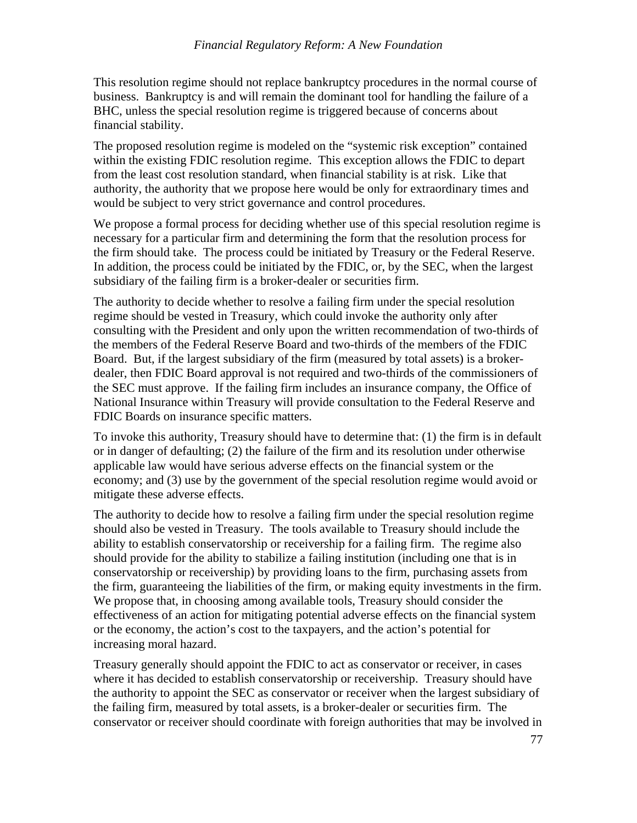This resolution regime should not replace bankruptcy procedures in the normal course of business. Bankruptcy is and will remain the dominant tool for handling the failure of a BHC, unless the special resolution regime is triggered because of concerns about financial stability.

The proposed resolution regime is modeled on the "systemic risk exception" contained within the existing FDIC resolution regime. This exception allows the FDIC to depart from the least cost resolution standard, when financial stability is at risk. Like that authority, the authority that we propose here would be only for extraordinary times and would be subject to very strict governance and control procedures.

We propose a formal process for deciding whether use of this special resolution regime is necessary for a particular firm and determining the form that the resolution process for the firm should take. The process could be initiated by Treasury or the Federal Reserve. In addition, the process could be initiated by the FDIC, or, by the SEC, when the largest subsidiary of the failing firm is a broker-dealer or securities firm.

The authority to decide whether to resolve a failing firm under the special resolution regime should be vested in Treasury, which could invoke the authority only after consulting with the President and only upon the written recommendation of two-thirds of the members of the Federal Reserve Board and two-thirds of the members of the FDIC Board. But, if the largest subsidiary of the firm (measured by total assets) is a brokerdealer, then FDIC Board approval is not required and two-thirds of the commissioners of the SEC must approve. If the failing firm includes an insurance company, the Office of National Insurance within Treasury will provide consultation to the Federal Reserve and FDIC Boards on insurance specific matters.

To invoke this authority, Treasury should have to determine that: (1) the firm is in default or in danger of defaulting; (2) the failure of the firm and its resolution under otherwise applicable law would have serious adverse effects on the financial system or the economy; and (3) use by the government of the special resolution regime would avoid or mitigate these adverse effects.

The authority to decide how to resolve a failing firm under the special resolution regime should also be vested in Treasury. The tools available to Treasury should include the ability to establish conservatorship or receivership for a failing firm. The regime also should provide for the ability to stabilize a failing institution (including one that is in conservatorship or receivership) by providing loans to the firm, purchasing assets from the firm, guaranteeing the liabilities of the firm, or making equity investments in the firm. We propose that, in choosing among available tools, Treasury should consider the effectiveness of an action for mitigating potential adverse effects on the financial system or the economy, the action's cost to the taxpayers, and the action's potential for increasing moral hazard.

Treasury generally should appoint the FDIC to act as conservator or receiver, in cases where it has decided to establish conservatorship or receivership. Treasury should have the authority to appoint the SEC as conservator or receiver when the largest subsidiary of the failing firm, measured by total assets, is a broker-dealer or securities firm. The conservator or receiver should coordinate with foreign authorities that may be involved in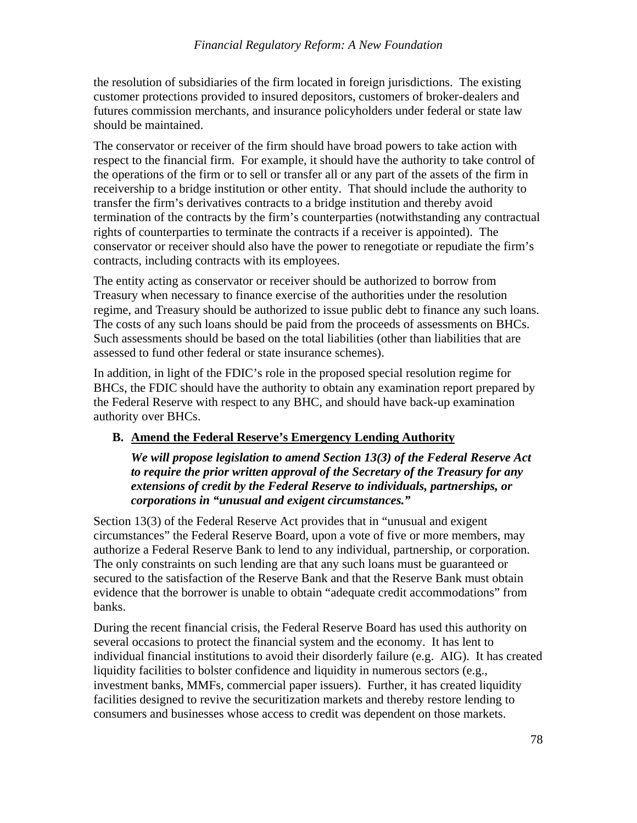the resolution of subsidiaries of the firm located in foreign jurisdictions. The existing customer protections provided to insured depositors, customers of broker-dealers and futures commission merchants, and insurance policyholders under federal or state law should be maintained.

The conservator or receiver of the firm should have broad powers to take action with respect to the financial firm. For example, it should have the authority to take control of the operations of the firm or to sell or transfer all or any part of the assets of the firm in receivership to a bridge institution or other entity. That should include the authority to transfer the firm's derivatives contracts to a bridge institution and thereby avoid termination of the contracts by the firm's counterparties (notwithstanding any contractual rights of counterparties to terminate the contracts if a receiver is appointed). The conservator or receiver should also have the power to renegotiate or repudiate the firm's contracts, including contracts with its employees.

The entity acting as conservator or receiver should be authorized to borrow from Treasury when necessary to finance exercise of the authorities under the resolution regime, and Treasury should be authorized to issue public debt to finance any such loans. The costs of any such loans should be paid from the proceeds of assessments on BHCs. Such assessments should be based on the total liabilities (other than liabilities that are assessed to fund other federal or state insurance schemes).

In addition, in light of the FDIC's role in the proposed special resolution regime for BHCs, the FDIC should have the authority to obtain any examination report prepared by the Federal Reserve with respect to any BHC, and should have back-up examination authority over BHCs.

#### **B. Amend the Federal Reserve's Emergency Lending Authority**

*We will propose legislation to amend Section 13(3) of the Federal Reserve Act to require the prior written approval of the Secretary of the Treasury for any extensions of credit by the Federal Reserve to individuals, partnerships, or corporations in "unusual and exigent circumstances."* 

Section 13(3) of the Federal Reserve Act provides that in "unusual and exigent circumstances" the Federal Reserve Board, upon a vote of five or more members, may authorize a Federal Reserve Bank to lend to any individual, partnership, or corporation. The only constraints on such lending are that any such loans must be guaranteed or secured to the satisfaction of the Reserve Bank and that the Reserve Bank must obtain evidence that the borrower is unable to obtain "adequate credit accommodations" from banks.

During the recent financial crisis, the Federal Reserve Board has used this authority on several occasions to protect the financial system and the economy. It has lent to individual financial institutions to avoid their disorderly failure (e.g. AIG). It has created liquidity facilities to bolster confidence and liquidity in numerous sectors (e.g., investment banks, MMFs, commercial paper issuers). Further, it has created liquidity facilities designed to revive the securitization markets and thereby restore lending to consumers and businesses whose access to credit was dependent on those markets.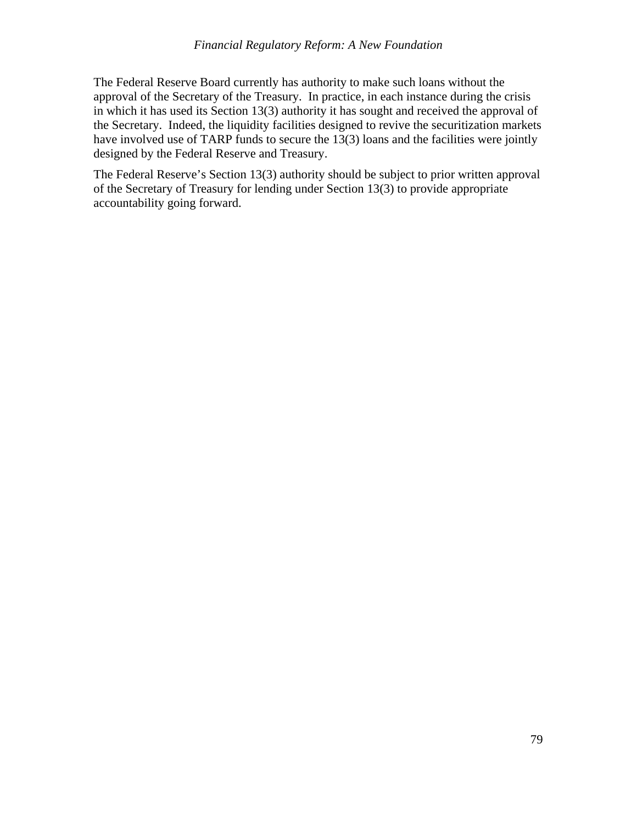The Federal Reserve Board currently has authority to make such loans without the approval of the Secretary of the Treasury. In practice, in each instance during the crisis in which it has used its Section 13(3) authority it has sought and received the approval of the Secretary. Indeed, the liquidity facilities designed to revive the securitization markets have involved use of TARP funds to secure the  $13(3)$  loans and the facilities were jointly designed by the Federal Reserve and Treasury.

The Federal Reserve's Section 13(3) authority should be subject to prior written approval of the Secretary of Treasury for lending under Section 13(3) to provide appropriate accountability going forward.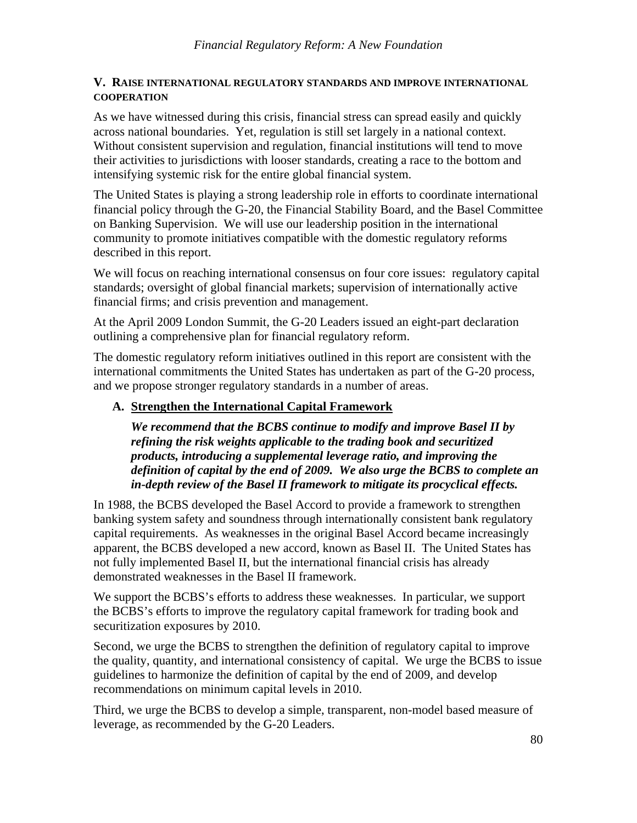#### **V. RAISE INTERNATIONAL REGULATORY STANDARDS AND IMPROVE INTERNATIONAL COOPERATION**

As we have witnessed during this crisis, financial stress can spread easily and quickly across national boundaries. Yet, regulation is still set largely in a national context. Without consistent supervision and regulation, financial institutions will tend to move their activities to jurisdictions with looser standards, creating a race to the bottom and intensifying systemic risk for the entire global financial system.

The United States is playing a strong leadership role in efforts to coordinate international financial policy through the G-20, the Financial Stability Board, and the Basel Committee on Banking Supervision. We will use our leadership position in the international community to promote initiatives compatible with the domestic regulatory reforms described in this report.

We will focus on reaching international consensus on four core issues: regulatory capital standards; oversight of global financial markets; supervision of internationally active financial firms; and crisis prevention and management.

At the April 2009 London Summit, the G-20 Leaders issued an eight-part declaration outlining a comprehensive plan for financial regulatory reform.

The domestic regulatory reform initiatives outlined in this report are consistent with the international commitments the United States has undertaken as part of the G-20 process, and we propose stronger regulatory standards in a number of areas.

### **A. Strengthen the International Capital Framework**

*We recommend that the BCBS continue to modify and improve Basel II by refining the risk weights applicable to the trading book and securitized products, introducing a supplemental leverage ratio, and improving the definition of capital by the end of 2009. We also urge the BCBS to complete an in-depth review of the Basel II framework to mitigate its procyclical effects.* 

In 1988, the BCBS developed the Basel Accord to provide a framework to strengthen banking system safety and soundness through internationally consistent bank regulatory capital requirements. As weaknesses in the original Basel Accord became increasingly apparent, the BCBS developed a new accord, known as Basel II. The United States has not fully implemented Basel II, but the international financial crisis has already demonstrated weaknesses in the Basel II framework.

We support the BCBS's efforts to address these weaknesses. In particular, we support the BCBS's efforts to improve the regulatory capital framework for trading book and securitization exposures by 2010.

Second, we urge the BCBS to strengthen the definition of regulatory capital to improve the quality, quantity, and international consistency of capital. We urge the BCBS to issue guidelines to harmonize the definition of capital by the end of 2009, and develop recommendations on minimum capital levels in 2010.

Third, we urge the BCBS to develop a simple, transparent, non-model based measure of leverage, as recommended by the G-20 Leaders.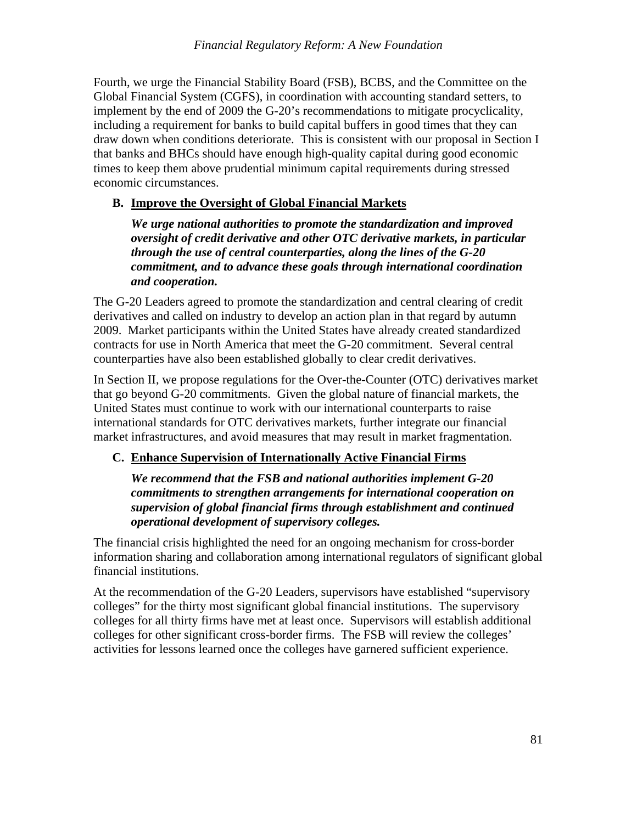Fourth, we urge the Financial Stability Board (FSB), BCBS, and the Committee on the Global Financial System (CGFS), in coordination with accounting standard setters, to implement by the end of 2009 the G-20's recommendations to mitigate procyclicality, including a requirement for banks to build capital buffers in good times that they can draw down when conditions deteriorate. This is consistent with our proposal in Section I that banks and BHCs should have enough high-quality capital during good economic times to keep them above prudential minimum capital requirements during stressed economic circumstances.

# **B. Improve the Oversight of Global Financial Markets**

*We urge national authorities to promote the standardization and improved oversight of credit derivative and other OTC derivative markets, in particular through the use of central counterparties, along the lines of the G-20 commitment, and to advance these goals through international coordination and cooperation.* 

The G-20 Leaders agreed to promote the standardization and central clearing of credit derivatives and called on industry to develop an action plan in that regard by autumn 2009. Market participants within the United States have already created standardized contracts for use in North America that meet the G-20 commitment. Several central counterparties have also been established globally to clear credit derivatives.

In Section II, we propose regulations for the Over-the-Counter (OTC) derivatives market that go beyond G-20 commitments. Given the global nature of financial markets, the United States must continue to work with our international counterparts to raise international standards for OTC derivatives markets, further integrate our financial market infrastructures, and avoid measures that may result in market fragmentation.

# **C. Enhance Supervision of Internationally Active Financial Firms**

*We recommend that the FSB and national authorities implement G-20 commitments to strengthen arrangements for international cooperation on supervision of global financial firms through establishment and continued operational development of supervisory colleges.* 

The financial crisis highlighted the need for an ongoing mechanism for cross-border information sharing and collaboration among international regulators of significant global financial institutions.

At the recommendation of the G-20 Leaders, supervisors have established "supervisory colleges" for the thirty most significant global financial institutions. The supervisory colleges for all thirty firms have met at least once. Supervisors will establish additional colleges for other significant cross-border firms. The FSB will review the colleges' activities for lessons learned once the colleges have garnered sufficient experience.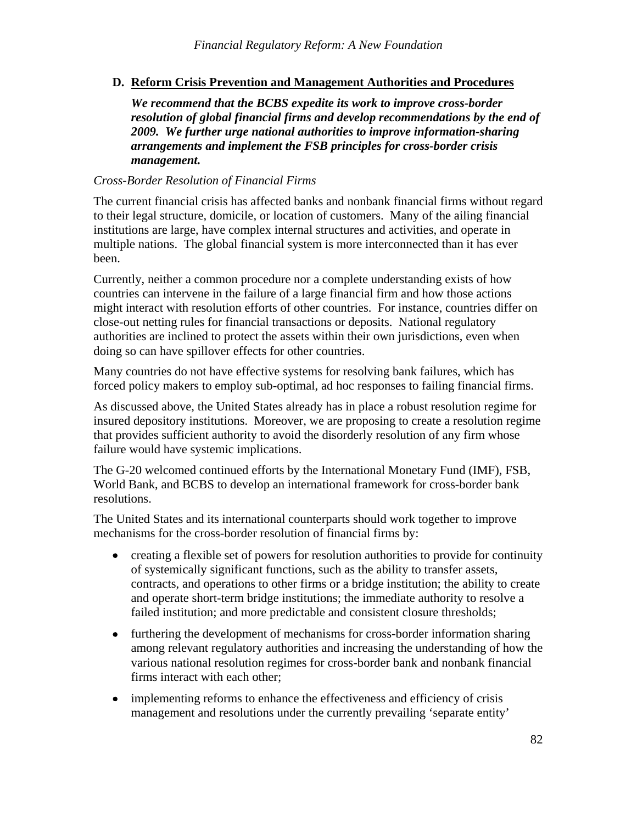**D. Reform Crisis Prevention and Management Authorities and Procedures**

*We recommend that the BCBS expedite its work to improve cross-border resolution of global financial firms and develop recommendations by the end of 2009. We further urge national authorities to improve information-sharing arrangements and implement the FSB principles for cross-border crisis management.* 

#### *Cross-Border Resolution of Financial Firms*

The current financial crisis has affected banks and nonbank financial firms without regard to their legal structure, domicile, or location of customers. Many of the ailing financial institutions are large, have complex internal structures and activities, and operate in multiple nations. The global financial system is more interconnected than it has ever been.

Currently, neither a common procedure nor a complete understanding exists of how countries can intervene in the failure of a large financial firm and how those actions might interact with resolution efforts of other countries. For instance, countries differ on close-out netting rules for financial transactions or deposits. National regulatory authorities are inclined to protect the assets within their own jurisdictions, even when doing so can have spillover effects for other countries.

Many countries do not have effective systems for resolving bank failures, which has forced policy makers to employ sub-optimal, ad hoc responses to failing financial firms.

As discussed above, the United States already has in place a robust resolution regime for insured depository institutions. Moreover, we are proposing to create a resolution regime that provides sufficient authority to avoid the disorderly resolution of any firm whose failure would have systemic implications.

The G-20 welcomed continued efforts by the International Monetary Fund (IMF), FSB, World Bank, and BCBS to develop an international framework for cross-border bank resolutions.

The United States and its international counterparts should work together to improve mechanisms for the cross-border resolution of financial firms by:

- creating a flexible set of powers for resolution authorities to provide for continuity of systemically significant functions, such as the ability to transfer assets, contracts, and operations to other firms or a bridge institution; the ability to create and operate short-term bridge institutions; the immediate authority to resolve a failed institution; and more predictable and consistent closure thresholds;
- furthering the development of mechanisms for cross-border information sharing among relevant regulatory authorities and increasing the understanding of how the various national resolution regimes for cross-border bank and nonbank financial firms interact with each other;
- implementing reforms to enhance the effectiveness and efficiency of crisis management and resolutions under the currently prevailing 'separate entity'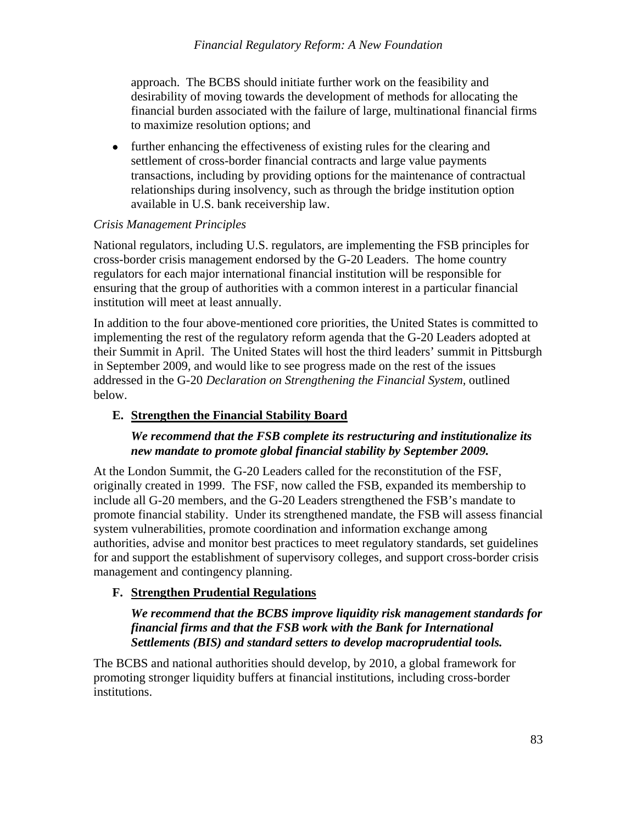approach. The BCBS should initiate further work on the feasibility and desirability of moving towards the development of methods for allocating the financial burden associated with the failure of large, multinational financial firms to maximize resolution options; and

• further enhancing the effectiveness of existing rules for the clearing and settlement of cross-border financial contracts and large value payments transactions, including by providing options for the maintenance of contractual relationships during insolvency, such as through the bridge institution option available in U.S. bank receivership law.

#### *Crisis Management Principles*

National regulators, including U.S. regulators, are implementing the FSB principles for cross-border crisis management endorsed by the G-20 Leaders. The home country regulators for each major international financial institution will be responsible for ensuring that the group of authorities with a common interest in a particular financial institution will meet at least annually.

In addition to the four above-mentioned core priorities, the United States is committed to implementing the rest of the regulatory reform agenda that the G-20 Leaders adopted at their Summit in April. The United States will host the third leaders' summit in Pittsburgh in September 2009, and would like to see progress made on the rest of the issues addressed in the G-20 *Declaration on Strengthening the Financial System,* outlined below.

#### **E. Strengthen the Financial Stability Board**

#### *We recommend that the FSB complete its restructuring and institutionalize its new mandate to promote global financial stability by September 2009.*

At the London Summit, the G-20 Leaders called for the reconstitution of the FSF, originally created in 1999. The FSF, now called the FSB, expanded its membership to include all G-20 members, and the G-20 Leaders strengthened the FSB's mandate to promote financial stability. Under its strengthened mandate, the FSB will assess financial system vulnerabilities, promote coordination and information exchange among authorities, advise and monitor best practices to meet regulatory standards, set guidelines for and support the establishment of supervisory colleges, and support cross-border crisis management and contingency planning.

#### **F. Strengthen Prudential Regulations**

### *We recommend that the BCBS improve liquidity risk management standards for financial firms and that the FSB work with the Bank for International Settlements (BIS) and standard setters to develop macroprudential tools.*

The BCBS and national authorities should develop, by 2010, a global framework for promoting stronger liquidity buffers at financial institutions, including cross-border institutions.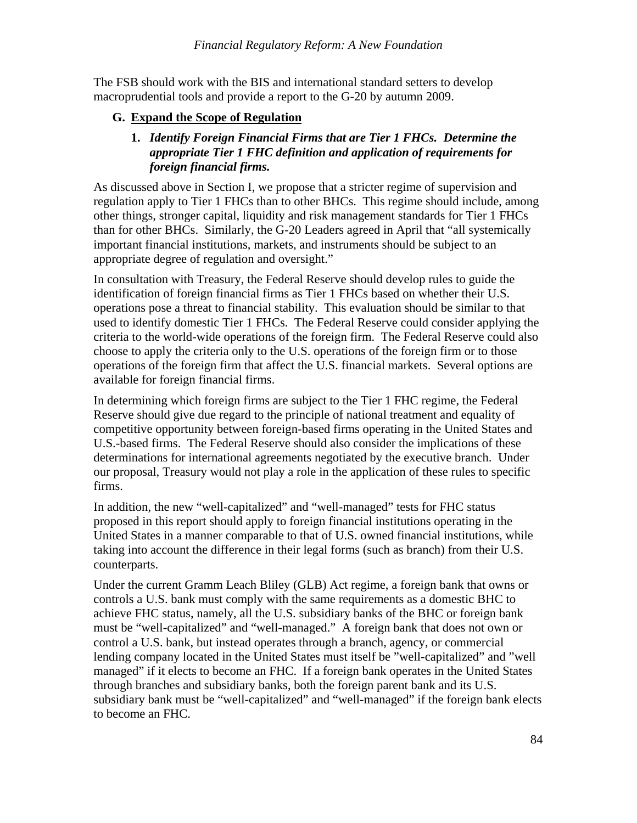The FSB should work with the BIS and international standard setters to develop macroprudential tools and provide a report to the G-20 by autumn 2009.

**G. Expand the Scope of Regulation**

# **1.** *Identify Foreign Financial Firms that are Tier 1 FHCs. Determine the appropriate Tier 1 FHC definition and application of requirements for foreign financial firms.*

As discussed above in Section I, we propose that a stricter regime of supervision and regulation apply to Tier 1 FHCs than to other BHCs. This regime should include, among other things, stronger capital, liquidity and risk management standards for Tier 1 FHCs than for other BHCs. Similarly, the G-20 Leaders agreed in April that "all systemically important financial institutions, markets, and instruments should be subject to an appropriate degree of regulation and oversight."

In consultation with Treasury, the Federal Reserve should develop rules to guide the identification of foreign financial firms as Tier 1 FHCs based on whether their U.S. operations pose a threat to financial stability. This evaluation should be similar to that used to identify domestic Tier 1 FHCs. The Federal Reserve could consider applying the criteria to the world-wide operations of the foreign firm. The Federal Reserve could also choose to apply the criteria only to the U.S. operations of the foreign firm or to those operations of the foreign firm that affect the U.S. financial markets. Several options are available for foreign financial firms.

In determining which foreign firms are subject to the Tier 1 FHC regime, the Federal Reserve should give due regard to the principle of national treatment and equality of competitive opportunity between foreign-based firms operating in the United States and U.S.-based firms. The Federal Reserve should also consider the implications of these determinations for international agreements negotiated by the executive branch. Under our proposal, Treasury would not play a role in the application of these rules to specific firms.

In addition, the new "well-capitalized" and "well-managed" tests for FHC status proposed in this report should apply to foreign financial institutions operating in the United States in a manner comparable to that of U.S. owned financial institutions, while taking into account the difference in their legal forms (such as branch) from their U.S. counterparts.

Under the current Gramm Leach Bliley (GLB) Act regime, a foreign bank that owns or controls a U.S. bank must comply with the same requirements as a domestic BHC to achieve FHC status, namely, all the U.S. subsidiary banks of the BHC or foreign bank must be "well-capitalized" and "well-managed." A foreign bank that does not own or control a U.S. bank, but instead operates through a branch, agency, or commercial lending company located in the United States must itself be "well-capitalized" and "well managed" if it elects to become an FHC. If a foreign bank operates in the United States through branches and subsidiary banks, both the foreign parent bank and its U.S. subsidiary bank must be "well-capitalized" and "well-managed" if the foreign bank elects to become an FHC.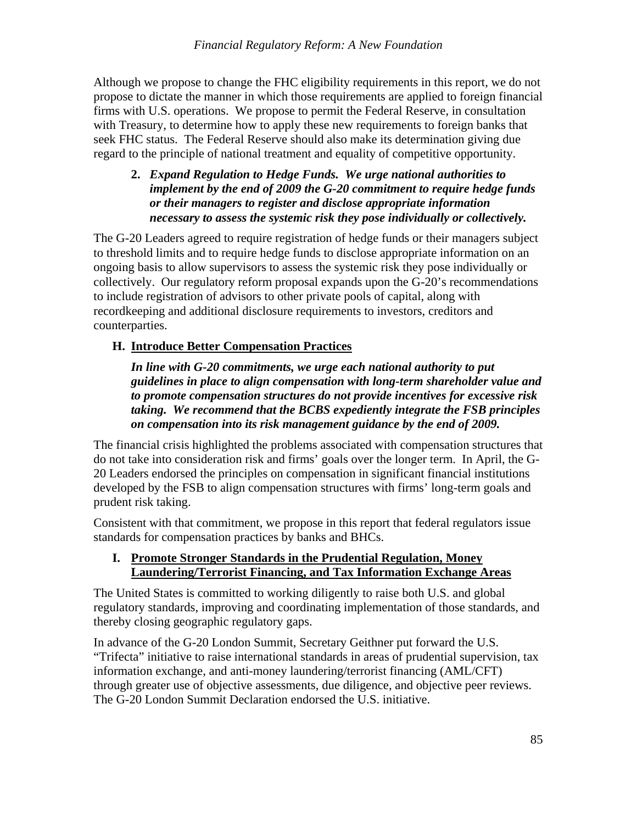Although we propose to change the FHC eligibility requirements in this report, we do not propose to dictate the manner in which those requirements are applied to foreign financial firms with U.S. operations. We propose to permit the Federal Reserve, in consultation with Treasury, to determine how to apply these new requirements to foreign banks that seek FHC status. The Federal Reserve should also make its determination giving due regard to the principle of national treatment and equality of competitive opportunity.

### **2.** *Expand Regulation to Hedge Funds. We urge national authorities to implement by the end of 2009 the G-20 commitment to require hedge funds or their managers to register and disclose appropriate information necessary to assess the systemic risk they pose individually or collectively.*

The G-20 Leaders agreed to require registration of hedge funds or their managers subject to threshold limits and to require hedge funds to disclose appropriate information on an ongoing basis to allow supervisors to assess the systemic risk they pose individually or collectively. Our regulatory reform proposal expands upon the G-20's recommendations to include registration of advisors to other private pools of capital, along with recordkeeping and additional disclosure requirements to investors, creditors and counterparties.

# **H. Introduce Better Compensation Practices**

*In line with G-20 commitments, we urge each national authority to put guidelines in place to align compensation with long-term shareholder value and to promote compensation structures do not provide incentives for excessive risk taking. We recommend that the BCBS expediently integrate the FSB principles on compensation into its risk management guidance by the end of 2009.*

The financial crisis highlighted the problems associated with compensation structures that do not take into consideration risk and firms' goals over the longer term.In April, the G-20 Leaders endorsed the principles on compensation in significant financial institutions developed by the FSB to align compensation structures with firms' long-term goals and prudent risk taking.

Consistent with that commitment, we propose in this report that federal regulators issue standards for compensation practices by banks and BHCs.

# **I. Promote Stronger Standards in the Prudential Regulation, Money Laundering/Terrorist Financing, and Tax Information Exchange Areas**

The United States is committed to working diligently to raise both U.S. and global regulatory standards, improving and coordinating implementation of those standards, and thereby closing geographic regulatory gaps.

In advance of the G-20 London Summit, Secretary Geithner put forward the U.S. "Trifecta" initiative to raise international standards in areas of prudential supervision, tax information exchange, and anti-money laundering/terrorist financing (AML/CFT) through greater use of objective assessments, due diligence, and objective peer reviews. The G-20 London Summit Declaration endorsed the U.S. initiative.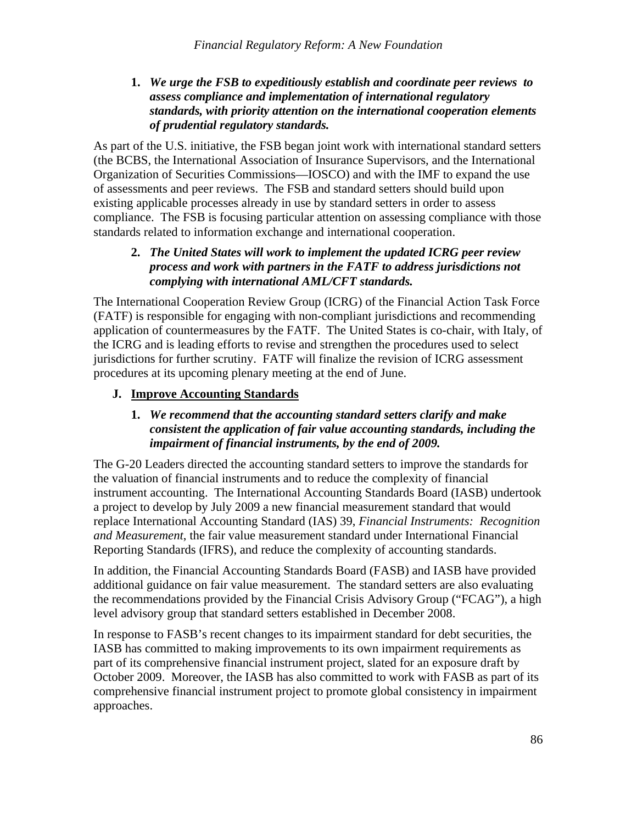# **1.** *We urge the FSB to expeditiously establish and coordinate peer reviews to assess compliance and implementation of international regulatory standards, with priority attention on the international cooperation elements of prudential regulatory standards.*

As part of the U.S. initiative, the FSB began joint work with international standard setters (the BCBS, the International Association of Insurance Supervisors, and the International Organization of Securities Commissions—IOSCO) and with the IMF to expand the use of assessments and peer reviews. The FSB and standard setters should build upon existing applicable processes already in use by standard setters in order to assess compliance. The FSB is focusing particular attention on assessing compliance with those standards related to information exchange and international cooperation.

# **2.** *The United States will work to implement the updated ICRG peer review process and work with partners in the FATF to address jurisdictions not complying with international AML/CFT standards.*

The International Cooperation Review Group (ICRG) of the Financial Action Task Force (FATF) is responsible for engaging with non-compliant jurisdictions and recommending application of countermeasures by the FATF. The United States is co-chair, with Italy, of the ICRG and is leading efforts to revise and strengthen the procedures used to select jurisdictions for further scrutiny. FATF will finalize the revision of ICRG assessment procedures at its upcoming plenary meeting at the end of June.

# **J. Improve Accounting Standards**

# **1.** *We recommend that the accounting standard setters clarify and make consistent the application of fair value accounting standards, including the impairment of financial instruments, by the end of 2009.*

The G-20 Leaders directed the accounting standard setters to improve the standards for the valuation of financial instruments and to reduce the complexity of financial instrument accounting. The International Accounting Standards Board (IASB) undertook a project to develop by July 2009 a new financial measurement standard that would replace International Accounting Standard (IAS) 39, *Financial Instruments: Recognition and Measurement*, the fair value measurement standard under International Financial Reporting Standards (IFRS), and reduce the complexity of accounting standards.

In addition, the Financial Accounting Standards Board (FASB) and IASB have provided additional guidance on fair value measurement. The standard setters are also evaluating the recommendations provided by the Financial Crisis Advisory Group ("FCAG"), a high level advisory group that standard setters established in December 2008.

In response to FASB's recent changes to its impairment standard for debt securities, the IASB has committed to making improvements to its own impairment requirements as part of its comprehensive financial instrument project, slated for an exposure draft by October 2009. Moreover, the IASB has also committed to work with FASB as part of its comprehensive financial instrument project to promote global consistency in impairment approaches.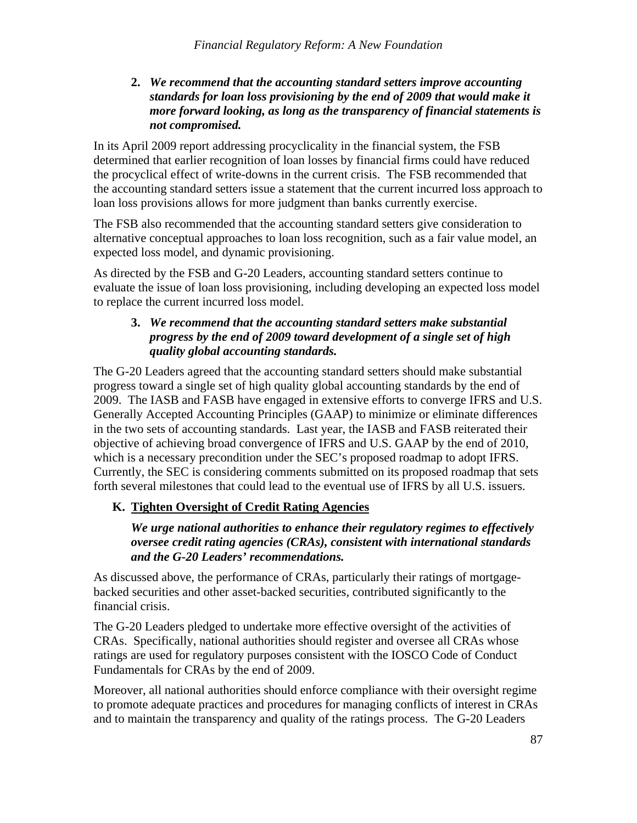### **2.** *We recommend that the accounting standard setters improve accounting standards for loan loss provisioning by the end of 2009 that would make it more forward looking, as long as the transparency of financial statements is not compromised.*

In its April 2009 report addressing procyclicality in the financial system, the FSB determined that earlier recognition of loan losses by financial firms could have reduced the procyclical effect of write-downs in the current crisis. The FSB recommended that the accounting standard setters issue a statement that the current incurred loss approach to loan loss provisions allows for more judgment than banks currently exercise.

The FSB also recommended that the accounting standard setters give consideration to alternative conceptual approaches to loan loss recognition, such as a fair value model, an expected loss model, and dynamic provisioning.

As directed by the FSB and G-20 Leaders, accounting standard setters continue to evaluate the issue of loan loss provisioning, including developing an expected loss model to replace the current incurred loss model.

# **3.** *We recommend that the accounting standard setters make substantial progress by the end of 2009 toward development of a single set of high quality global accounting standards.*

The G-20 Leaders agreed that the accounting standard setters should make substantial progress toward a single set of high quality global accounting standards by the end of 2009. The IASB and FASB have engaged in extensive efforts to converge IFRS and U.S. Generally Accepted Accounting Principles (GAAP) to minimize or eliminate differences in the two sets of accounting standards. Last year, the IASB and FASB reiterated their objective of achieving broad convergence of IFRS and U.S. GAAP by the end of 2010, which is a necessary precondition under the SEC's proposed roadmap to adopt IFRS. Currently, the SEC is considering comments submitted on its proposed roadmap that sets forth several milestones that could lead to the eventual use of IFRS by all U.S. issuers.

# **K. Tighten Oversight of Credit Rating Agencies**

# *We urge national authorities to enhance their regulatory regimes to effectively oversee credit rating agencies (CRAs), consistent with international standards and the G-20 Leaders' recommendations.*

As discussed above, the performance of CRAs, particularly their ratings of mortgagebacked securities and other asset-backed securities, contributed significantly to the financial crisis.

The G-20 Leaders pledged to undertake more effective oversight of the activities of CRAs. Specifically, national authorities should register and oversee all CRAs whose ratings are used for regulatory purposes consistent with the IOSCO Code of Conduct Fundamentals for CRAs by the end of 2009.

Moreover, all national authorities should enforce compliance with their oversight regime to promote adequate practices and procedures for managing conflicts of interest in CRAs and to maintain the transparency and quality of the ratings process. The G-20 Leaders